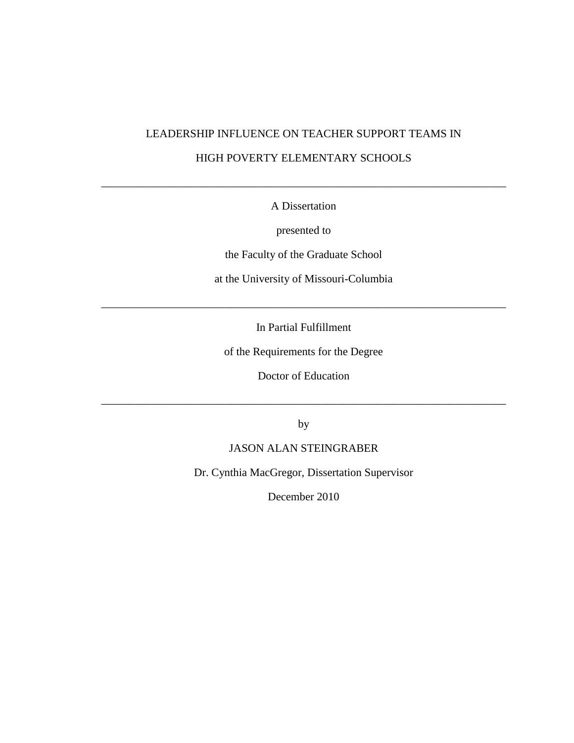# LEADERSHIP INFLUENCE ON TEACHER SUPPORT TEAMS IN HIGH POVERTY ELEMENTARY SCHOOLS

## A Dissertation

\_\_\_\_\_\_\_\_\_\_\_\_\_\_\_\_\_\_\_\_\_\_\_\_\_\_\_\_\_\_\_\_\_\_\_\_\_\_\_\_\_\_\_\_\_\_\_\_\_\_\_\_\_\_\_\_\_\_\_\_\_\_\_\_\_\_\_\_\_\_\_\_

presented to

the Faculty of the Graduate School

at the University of Missouri-Columbia

In Partial Fulfillment

\_\_\_\_\_\_\_\_\_\_\_\_\_\_\_\_\_\_\_\_\_\_\_\_\_\_\_\_\_\_\_\_\_\_\_\_\_\_\_\_\_\_\_\_\_\_\_\_\_\_\_\_\_\_\_\_\_\_\_\_\_\_\_\_\_\_\_\_\_\_\_\_

of the Requirements for the Degree

Doctor of Education

by

\_\_\_\_\_\_\_\_\_\_\_\_\_\_\_\_\_\_\_\_\_\_\_\_\_\_\_\_\_\_\_\_\_\_\_\_\_\_\_\_\_\_\_\_\_\_\_\_\_\_\_\_\_\_\_\_\_\_\_\_\_\_\_\_\_\_\_\_\_\_\_\_

## JASON ALAN STEINGRABER

Dr. Cynthia MacGregor, Dissertation Supervisor

December 2010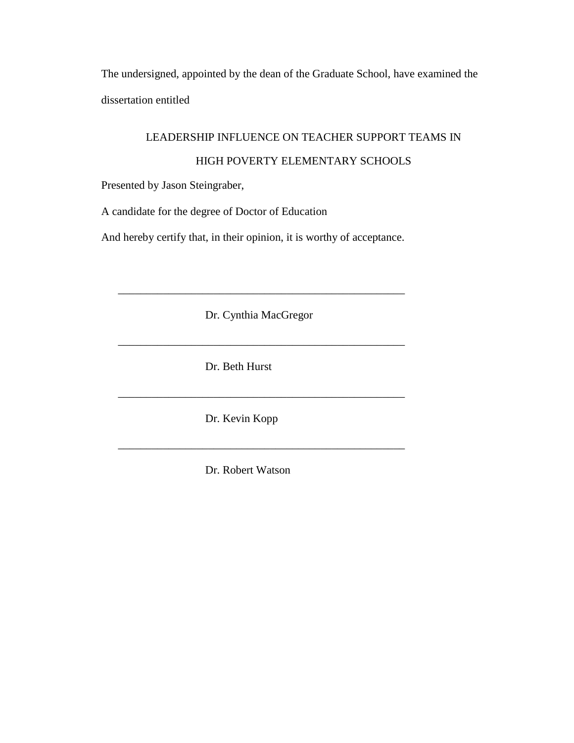The undersigned, appointed by the dean of the Graduate School, have examined the dissertation entitled

## LEADERSHIP INFLUENCE ON TEACHER SUPPORT TEAMS IN

## HIGH POVERTY ELEMENTARY SCHOOLS

Presented by Jason Steingraber,

A candidate for the degree of Doctor of Education

And hereby certify that, in their opinion, it is worthy of acceptance.

Dr. Cynthia MacGregor

\_\_\_\_\_\_\_\_\_\_\_\_\_\_\_\_\_\_\_\_\_\_\_\_\_\_\_\_\_\_\_\_\_\_\_\_\_\_\_\_\_\_\_\_\_\_\_\_\_\_\_

 $\overline{\phantom{a}}$  ,  $\overline{\phantom{a}}$  ,  $\overline{\phantom{a}}$  ,  $\overline{\phantom{a}}$  ,  $\overline{\phantom{a}}$  ,  $\overline{\phantom{a}}$  ,  $\overline{\phantom{a}}$  ,  $\overline{\phantom{a}}$  ,  $\overline{\phantom{a}}$  ,  $\overline{\phantom{a}}$  ,  $\overline{\phantom{a}}$  ,  $\overline{\phantom{a}}$  ,  $\overline{\phantom{a}}$  ,  $\overline{\phantom{a}}$  ,  $\overline{\phantom{a}}$  ,  $\overline{\phantom{a}}$ 

Dr. Beth Hurst

Dr. Kevin Kopp

Dr. Robert Watson

\_\_\_\_\_\_\_\_\_\_\_\_\_\_\_\_\_\_\_\_\_\_\_\_\_\_\_\_\_\_\_\_\_\_\_\_\_\_\_\_\_\_\_\_\_\_\_\_\_\_\_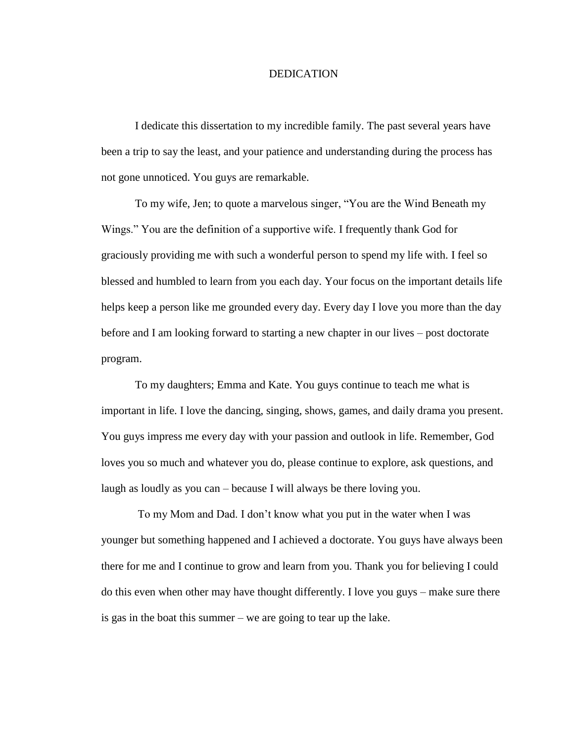#### DEDICATION

I dedicate this dissertation to my incredible family. The past several years have been a trip to say the least, and your patience and understanding during the process has not gone unnoticed. You guys are remarkable.

To my wife, Jen; to quote a marvelous singer, "You are the Wind Beneath my Wings." You are the definition of a supportive wife. I frequently thank God for graciously providing me with such a wonderful person to spend my life with. I feel so blessed and humbled to learn from you each day. Your focus on the important details life helps keep a person like me grounded every day. Every day I love you more than the day before and I am looking forward to starting a new chapter in our lives – post doctorate program.

To my daughters; Emma and Kate. You guys continue to teach me what is important in life. I love the dancing, singing, shows, games, and daily drama you present. You guys impress me every day with your passion and outlook in life. Remember, God loves you so much and whatever you do, please continue to explore, ask questions, and laugh as loudly as you can – because I will always be there loving you.

To my Mom and Dad. I don"t know what you put in the water when I was younger but something happened and I achieved a doctorate. You guys have always been there for me and I continue to grow and learn from you. Thank you for believing I could do this even when other may have thought differently. I love you guys – make sure there is gas in the boat this summer – we are going to tear up the lake.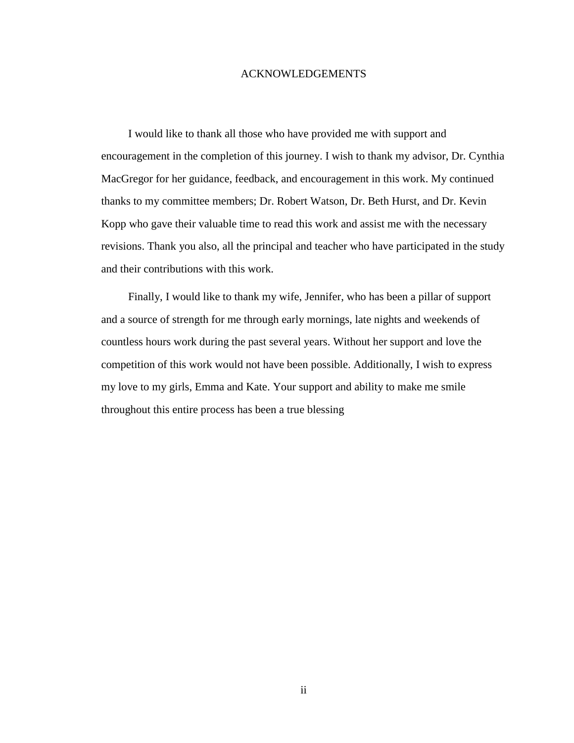### ACKNOWLEDGEMENTS

I would like to thank all those who have provided me with support and encouragement in the completion of this journey. I wish to thank my advisor, Dr. Cynthia MacGregor for her guidance, feedback, and encouragement in this work. My continued thanks to my committee members; Dr. Robert Watson, Dr. Beth Hurst, and Dr. Kevin Kopp who gave their valuable time to read this work and assist me with the necessary revisions. Thank you also, all the principal and teacher who have participated in the study and their contributions with this work.

Finally, I would like to thank my wife, Jennifer, who has been a pillar of support and a source of strength for me through early mornings, late nights and weekends of countless hours work during the past several years. Without her support and love the competition of this work would not have been possible. Additionally, I wish to express my love to my girls, Emma and Kate. Your support and ability to make me smile throughout this entire process has been a true blessing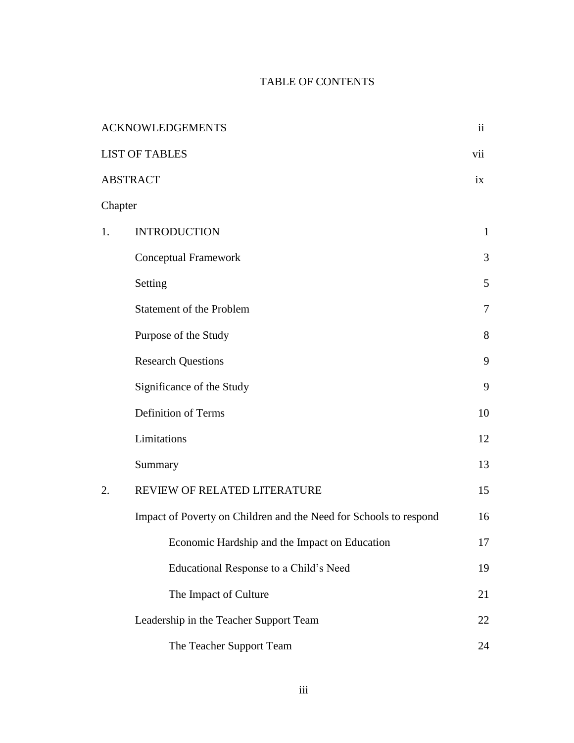## TABLE OF CONTENTS

|         | <b>ACKNOWLEDGEMENTS</b>                                           | $\overline{\mathbf{u}}$ |
|---------|-------------------------------------------------------------------|-------------------------|
|         | <b>LIST OF TABLES</b>                                             | vii                     |
|         | <b>ABSTRACT</b>                                                   | ix                      |
| Chapter |                                                                   |                         |
| 1.      | <b>INTRODUCTION</b>                                               | $\mathbf{1}$            |
|         | <b>Conceptual Framework</b>                                       | 3                       |
|         | Setting                                                           | 5                       |
|         | Statement of the Problem                                          | 7                       |
|         | Purpose of the Study                                              | 8                       |
|         | <b>Research Questions</b>                                         | 9                       |
|         | Significance of the Study                                         | 9                       |
|         | Definition of Terms                                               | 10                      |
|         | Limitations                                                       | 12                      |
|         | Summary                                                           | 13                      |
| 2.      | REVIEW OF RELATED LITERATURE                                      | 15                      |
|         | Impact of Poverty on Children and the Need for Schools to respond | 16                      |
|         | Economic Hardship and the Impact on Education                     | 17                      |
|         | Educational Response to a Child's Need                            | 19                      |
|         | The Impact of Culture                                             | 21                      |
|         | Leadership in the Teacher Support Team                            | 22                      |
|         | The Teacher Support Team                                          | 24                      |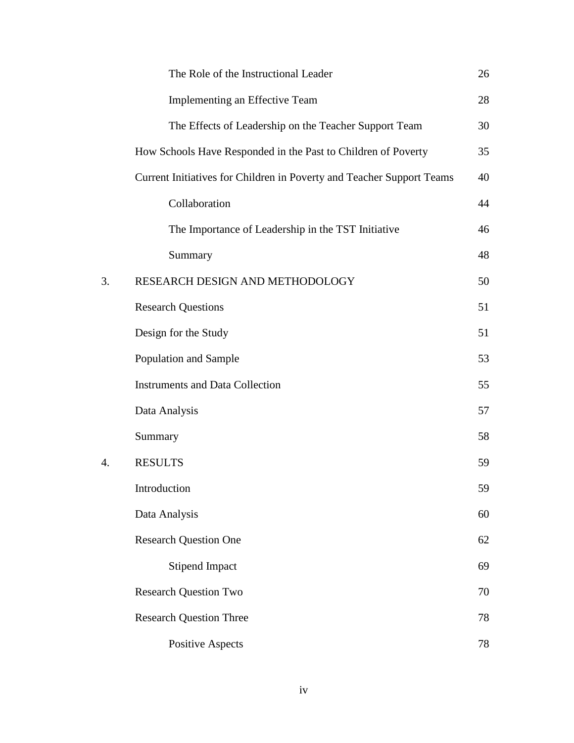|    | The Role of the Instructional Leader                                  | 26 |
|----|-----------------------------------------------------------------------|----|
|    | Implementing an Effective Team                                        | 28 |
|    | The Effects of Leadership on the Teacher Support Team                 | 30 |
|    | How Schools Have Responded in the Past to Children of Poverty         | 35 |
|    | Current Initiatives for Children in Poverty and Teacher Support Teams | 40 |
|    | Collaboration                                                         | 44 |
|    | The Importance of Leadership in the TST Initiative                    | 46 |
|    | Summary                                                               | 48 |
| 3. | RESEARCH DESIGN AND METHODOLOGY                                       | 50 |
|    | <b>Research Questions</b>                                             | 51 |
|    | Design for the Study                                                  | 51 |
|    | Population and Sample                                                 | 53 |
|    | <b>Instruments and Data Collection</b>                                | 55 |
|    | Data Analysis                                                         | 57 |
|    | Summary                                                               | 58 |
| 4. | <b>RESULTS</b>                                                        | 59 |
|    | Introduction                                                          | 59 |
|    | Data Analysis                                                         | 60 |
|    | <b>Research Question One</b>                                          | 62 |
|    | <b>Stipend Impact</b>                                                 | 69 |
|    | <b>Research Question Two</b>                                          | 70 |
|    | <b>Research Question Three</b>                                        | 78 |
|    | <b>Positive Aspects</b>                                               | 78 |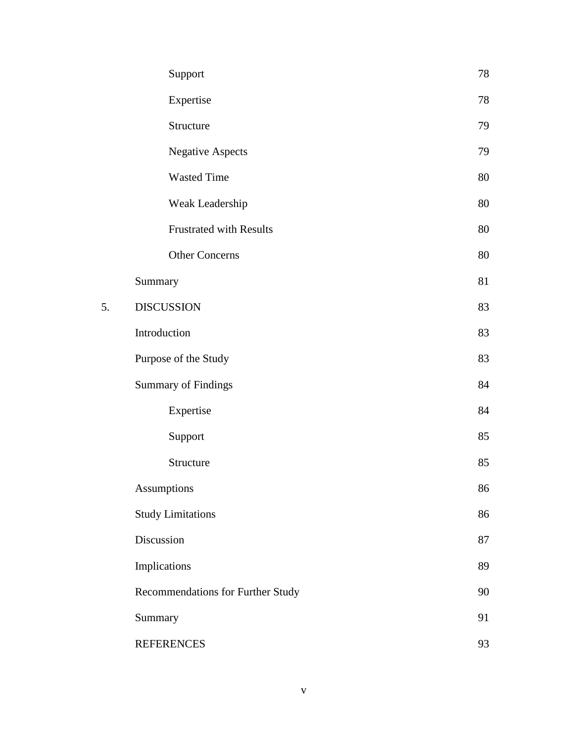|    | Support                           | 78 |
|----|-----------------------------------|----|
|    | Expertise                         | 78 |
|    | Structure                         | 79 |
|    | <b>Negative Aspects</b>           | 79 |
|    | <b>Wasted Time</b>                | 80 |
|    | Weak Leadership                   | 80 |
|    | <b>Frustrated with Results</b>    | 80 |
|    | <b>Other Concerns</b>             | 80 |
|    | Summary                           | 81 |
| 5. | <b>DISCUSSION</b>                 | 83 |
|    | Introduction                      | 83 |
|    | Purpose of the Study              | 83 |
|    | <b>Summary of Findings</b>        | 84 |
|    | Expertise                         | 84 |
|    | Support                           | 85 |
|    | Structure                         | 85 |
|    | <b>Assumptions</b>                | 86 |
|    | <b>Study Limitations</b>          | 86 |
|    | Discussion                        | 87 |
|    | Implications                      | 89 |
|    | Recommendations for Further Study | 90 |
|    | Summary                           | 91 |
|    | <b>REFERENCES</b>                 | 93 |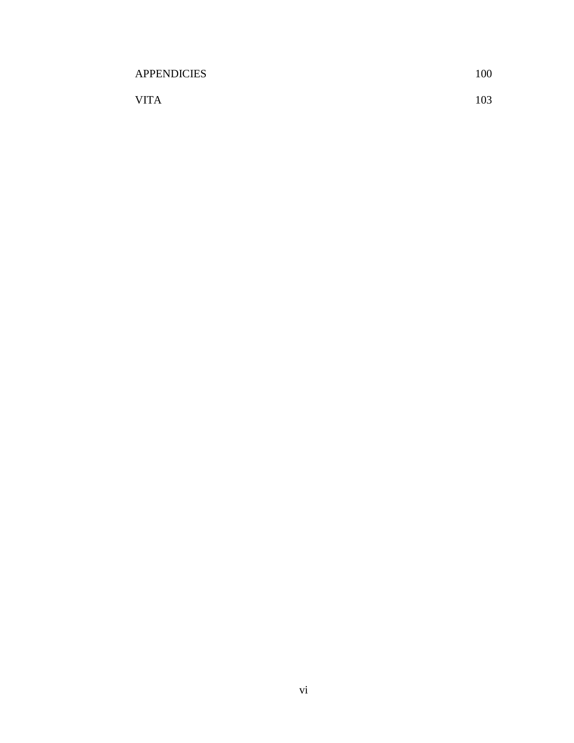| <b>APPENDICIES</b> | 100 |
|--------------------|-----|
| <b>VITA</b>        | 103 |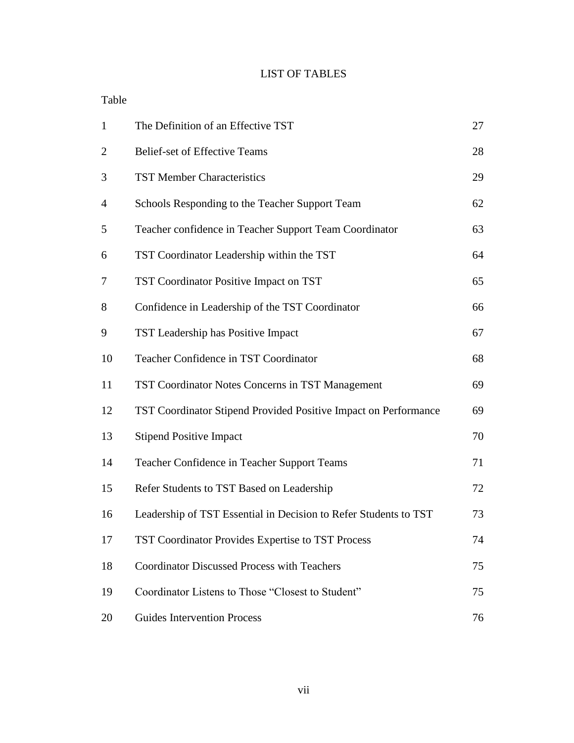## LIST OF TABLES

## Table

| $\mathbf{1}$   | The Definition of an Effective TST                               | 27 |
|----------------|------------------------------------------------------------------|----|
| $\overline{2}$ | <b>Belief-set of Effective Teams</b>                             | 28 |
| 3              | <b>TST Member Characteristics</b>                                | 29 |
| $\overline{4}$ | Schools Responding to the Teacher Support Team                   | 62 |
| 5              | Teacher confidence in Teacher Support Team Coordinator           | 63 |
| 6              | TST Coordinator Leadership within the TST                        | 64 |
| 7              | TST Coordinator Positive Impact on TST                           | 65 |
| 8              | Confidence in Leadership of the TST Coordinator                  | 66 |
| 9              | TST Leadership has Positive Impact                               | 67 |
| 10             | Teacher Confidence in TST Coordinator                            | 68 |
| 11             | <b>TST Coordinator Notes Concerns in TST Management</b>          | 69 |
| 12             | TST Coordinator Stipend Provided Positive Impact on Performance  | 69 |
| 13             | <b>Stipend Positive Impact</b>                                   | 70 |
| 14             | Teacher Confidence in Teacher Support Teams                      | 71 |
| 15             | Refer Students to TST Based on Leadership                        | 72 |
| 16             | Leadership of TST Essential in Decision to Refer Students to TST | 73 |
| 17             | TST Coordinator Provides Expertise to TST Process                | 74 |
| 18             | <b>Coordinator Discussed Process with Teachers</b>               | 75 |
| 19             | Coordinator Listens to Those "Closest to Student"                | 75 |
| 20             | <b>Guides Intervention Process</b>                               | 76 |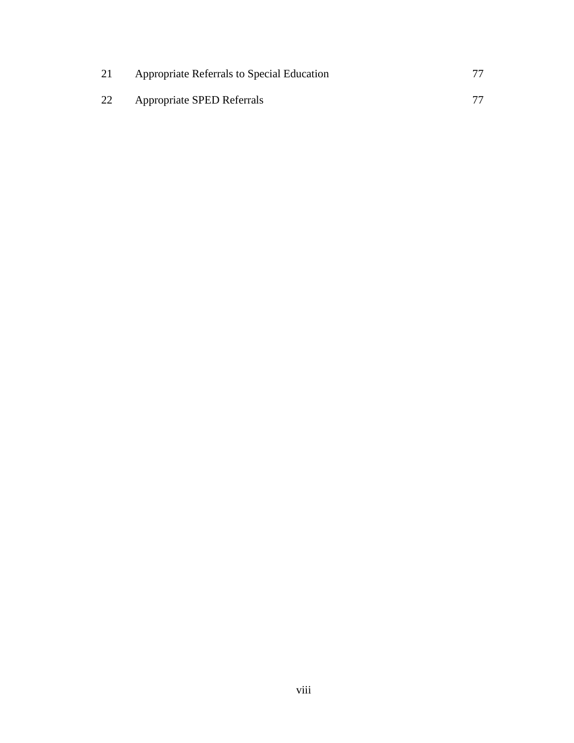| 21 | Appropriate Referrals to Special Education |  |
|----|--------------------------------------------|--|
| 22 | Appropriate SPED Referrals                 |  |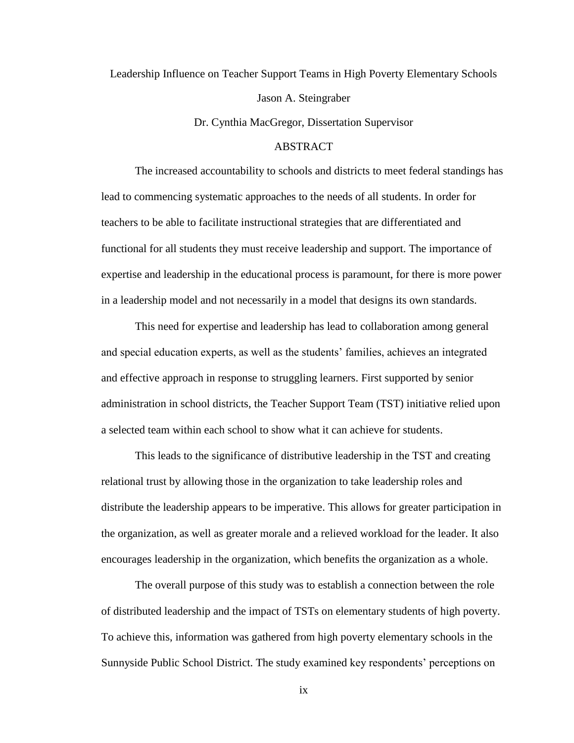Leadership Influence on Teacher Support Teams in High Poverty Elementary Schools Jason A. Steingraber

Dr. Cynthia MacGregor, Dissertation Supervisor

### ABSTRACT

The increased accountability to schools and districts to meet federal standings has lead to commencing systematic approaches to the needs of all students. In order for teachers to be able to facilitate instructional strategies that are differentiated and functional for all students they must receive leadership and support. The importance of expertise and leadership in the educational process is paramount, for there is more power in a leadership model and not necessarily in a model that designs its own standards.

This need for expertise and leadership has lead to collaboration among general and special education experts, as well as the students" families, achieves an integrated and effective approach in response to struggling learners. First supported by senior administration in school districts, the Teacher Support Team (TST) initiative relied upon a selected team within each school to show what it can achieve for students.

This leads to the significance of distributive leadership in the TST and creating relational trust by allowing those in the organization to take leadership roles and distribute the leadership appears to be imperative. This allows for greater participation in the organization, as well as greater morale and a relieved workload for the leader. It also encourages leadership in the organization, which benefits the organization as a whole.

The overall purpose of this study was to establish a connection between the role of distributed leadership and the impact of TSTs on elementary students of high poverty. To achieve this, information was gathered from high poverty elementary schools in the Sunnyside Public School District. The study examined key respondents' perceptions on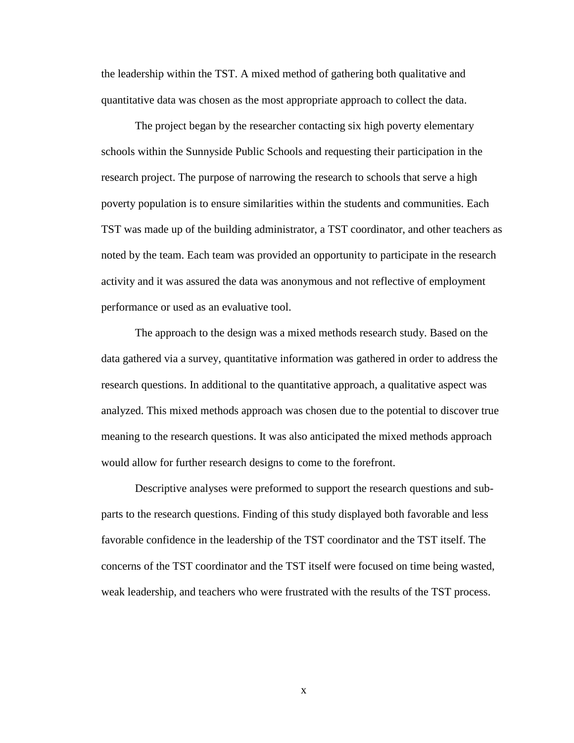the leadership within the TST. A mixed method of gathering both qualitative and quantitative data was chosen as the most appropriate approach to collect the data.

The project began by the researcher contacting six high poverty elementary schools within the Sunnyside Public Schools and requesting their participation in the research project. The purpose of narrowing the research to schools that serve a high poverty population is to ensure similarities within the students and communities. Each TST was made up of the building administrator, a TST coordinator, and other teachers as noted by the team. Each team was provided an opportunity to participate in the research activity and it was assured the data was anonymous and not reflective of employment performance or used as an evaluative tool.

The approach to the design was a mixed methods research study. Based on the data gathered via a survey, quantitative information was gathered in order to address the research questions. In additional to the quantitative approach, a qualitative aspect was analyzed. This mixed methods approach was chosen due to the potential to discover true meaning to the research questions. It was also anticipated the mixed methods approach would allow for further research designs to come to the forefront.

Descriptive analyses were preformed to support the research questions and subparts to the research questions. Finding of this study displayed both favorable and less favorable confidence in the leadership of the TST coordinator and the TST itself. The concerns of the TST coordinator and the TST itself were focused on time being wasted, weak leadership, and teachers who were frustrated with the results of the TST process.

x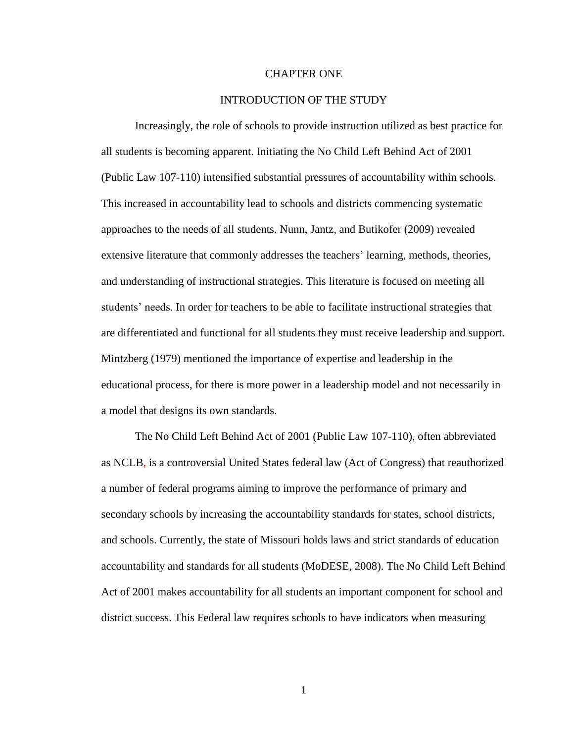#### CHAPTER ONE

#### INTRODUCTION OF THE STUDY

Increasingly, the role of schools to provide instruction utilized as best practice for all students is becoming apparent. Initiating the No Child Left Behind Act of 2001 (Public Law 107-110) intensified substantial pressures of accountability within schools. This increased in accountability lead to schools and districts commencing systematic approaches to the needs of all students. Nunn, Jantz, and Butikofer (2009) revealed extensive literature that commonly addresses the teachers' learning, methods, theories, and understanding of instructional strategies. This literature is focused on meeting all students' needs. In order for teachers to be able to facilitate instructional strategies that are differentiated and functional for all students they must receive leadership and support. Mintzberg (1979) mentioned the importance of expertise and leadership in the educational process, for there is more power in a leadership model and not necessarily in a model that designs its own standards.

The No Child Left Behind Act of 2001 (Public Law 107-110), often abbreviated as NCLB, is a controversial United States federal law (Act of Congress) that reauthorized a number of federal programs aiming to improve the performance of primary and secondary schools by increasing the accountability standards for states, school districts, and schools. Currently, the state of Missouri holds laws and strict standards of education accountability and standards for all students (MoDESE, 2008). The No Child Left Behind Act of 2001 makes accountability for all students an important component for school and district success. This Federal law requires schools to have indicators when measuring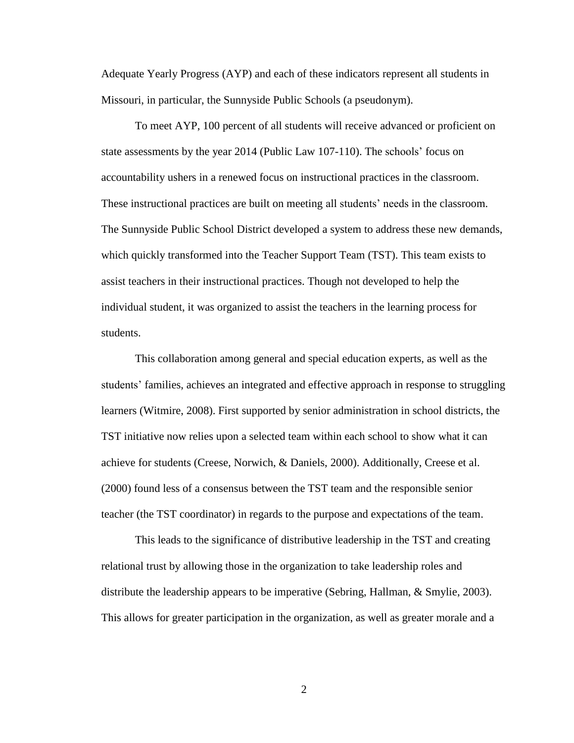Adequate Yearly Progress (AYP) and each of these indicators represent all students in Missouri, in particular, the Sunnyside Public Schools (a pseudonym).

To meet AYP, 100 percent of all students will receive advanced or proficient on state assessments by the year 2014 (Public Law 107-110). The schools" focus on accountability ushers in a renewed focus on instructional practices in the classroom. These instructional practices are built on meeting all students" needs in the classroom. The Sunnyside Public School District developed a system to address these new demands, which quickly transformed into the Teacher Support Team (TST). This team exists to assist teachers in their instructional practices. Though not developed to help the individual student, it was organized to assist the teachers in the learning process for students.

This collaboration among general and special education experts, as well as the students' families, achieves an integrated and effective approach in response to struggling learners (Witmire, 2008). First supported by senior administration in school districts, the TST initiative now relies upon a selected team within each school to show what it can achieve for students (Creese, Norwich, & Daniels, 2000). Additionally, Creese et al. (2000) found less of a consensus between the TST team and the responsible senior teacher (the TST coordinator) in regards to the purpose and expectations of the team.

This leads to the significance of distributive leadership in the TST and creating relational trust by allowing those in the organization to take leadership roles and distribute the leadership appears to be imperative (Sebring, Hallman, & Smylie, 2003). This allows for greater participation in the organization, as well as greater morale and a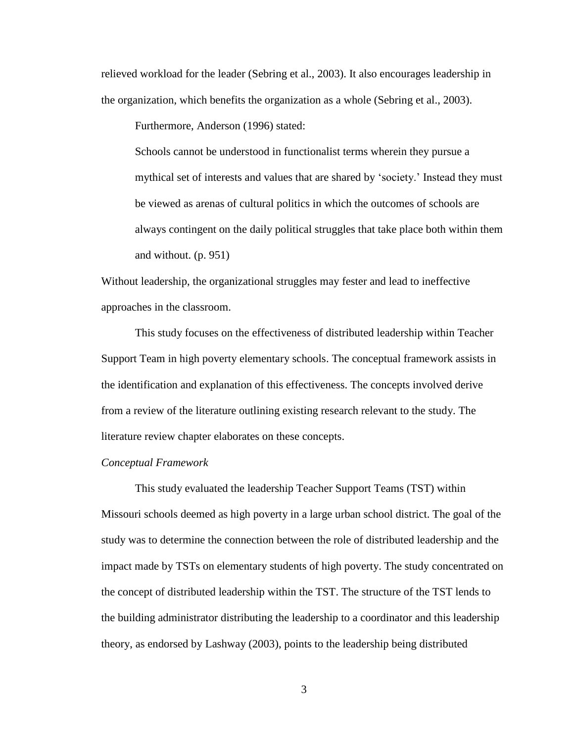relieved workload for the leader (Sebring et al., 2003). It also encourages leadership in the organization, which benefits the organization as a whole (Sebring et al., 2003).

Furthermore, Anderson (1996) stated:

Schools cannot be understood in functionalist terms wherein they pursue a mythical set of interests and values that are shared by "society." Instead they must be viewed as arenas of cultural politics in which the outcomes of schools are always contingent on the daily political struggles that take place both within them and without. (p. 951)

Without leadership, the organizational struggles may fester and lead to ineffective approaches in the classroom.

This study focuses on the effectiveness of distributed leadership within Teacher Support Team in high poverty elementary schools. The conceptual framework assists in the identification and explanation of this effectiveness. The concepts involved derive from a review of the literature outlining existing research relevant to the study. The literature review chapter elaborates on these concepts.

### *Conceptual Framework*

This study evaluated the leadership Teacher Support Teams (TST) within Missouri schools deemed as high poverty in a large urban school district. The goal of the study was to determine the connection between the role of distributed leadership and the impact made by TSTs on elementary students of high poverty. The study concentrated on the concept of distributed leadership within the TST. The structure of the TST lends to the building administrator distributing the leadership to a coordinator and this leadership theory, as endorsed by Lashway (2003), points to the leadership being distributed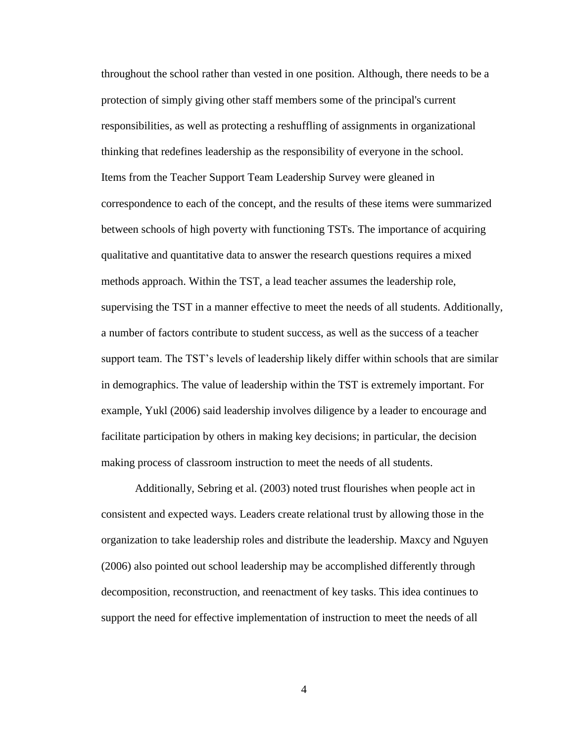throughout the school rather than vested in one position. Although, there needs to be a protection of simply giving other staff members some of the principal's current responsibilities, as well as protecting a reshuffling of assignments in organizational thinking that redefines leadership as the responsibility of everyone in the school. Items from the Teacher Support Team Leadership Survey were gleaned in correspondence to each of the concept, and the results of these items were summarized between schools of high poverty with functioning TSTs. The importance of acquiring qualitative and quantitative data to answer the research questions requires a mixed methods approach. Within the TST, a lead teacher assumes the leadership role, supervising the TST in a manner effective to meet the needs of all students. Additionally, a number of factors contribute to student success, as well as the success of a teacher support team. The TST"s levels of leadership likely differ within schools that are similar in demographics. The value of leadership within the TST is extremely important. For example, Yukl (2006) said leadership involves diligence by a leader to encourage and facilitate participation by others in making key decisions; in particular, the decision making process of classroom instruction to meet the needs of all students.

Additionally, Sebring et al. (2003) noted trust flourishes when people act in consistent and expected ways. Leaders create relational trust by allowing those in the organization to take leadership roles and distribute the leadership. Maxcy and Nguyen (2006) also pointed out school leadership may be accomplished differently through decomposition, reconstruction, and reenactment of key tasks. This idea continues to support the need for effective implementation of instruction to meet the needs of all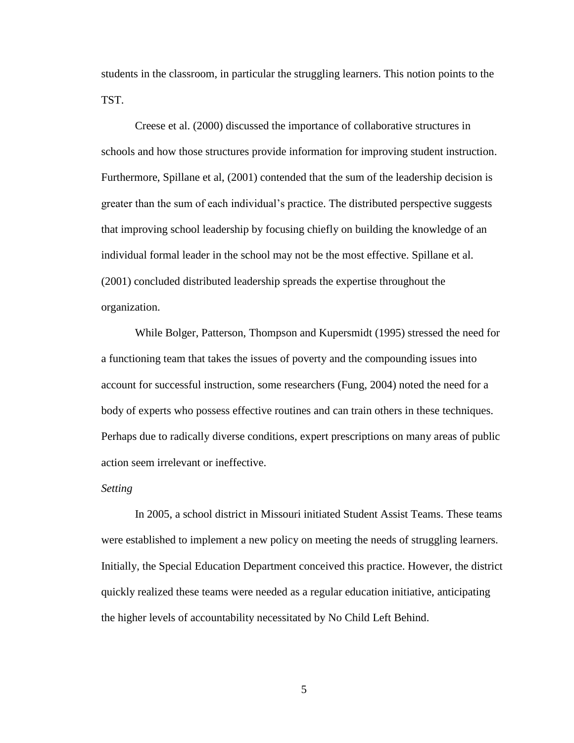students in the classroom, in particular the struggling learners. This notion points to the TST.

Creese et al. (2000) discussed the importance of collaborative structures in schools and how those structures provide information for improving student instruction. Furthermore, Spillane et al, (2001) contended that the sum of the leadership decision is greater than the sum of each individual"s practice. The distributed perspective suggests that improving school leadership by focusing chiefly on building the knowledge of an individual formal leader in the school may not be the most effective. Spillane et al. (2001) concluded distributed leadership spreads the expertise throughout the organization.

While Bolger, Patterson, Thompson and Kupersmidt (1995) stressed the need for a functioning team that takes the issues of poverty and the compounding issues into account for successful instruction, some researchers (Fung, 2004) noted the need for a body of experts who possess effective routines and can train others in these techniques. Perhaps due to radically diverse conditions, expert prescriptions on many areas of public action seem irrelevant or ineffective.

#### *Setting*

In 2005, a school district in Missouri initiated Student Assist Teams. These teams were established to implement a new policy on meeting the needs of struggling learners. Initially, the Special Education Department conceived this practice. However, the district quickly realized these teams were needed as a regular education initiative, anticipating the higher levels of accountability necessitated by No Child Left Behind.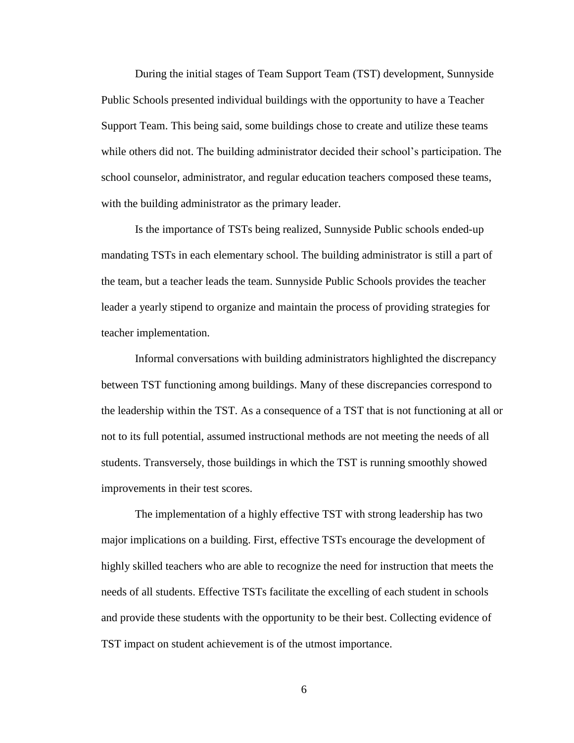During the initial stages of Team Support Team (TST) development, Sunnyside Public Schools presented individual buildings with the opportunity to have a Teacher Support Team. This being said, some buildings chose to create and utilize these teams while others did not. The building administrator decided their school"s participation. The school counselor, administrator, and regular education teachers composed these teams, with the building administrator as the primary leader.

Is the importance of TSTs being realized, Sunnyside Public schools ended-up mandating TSTs in each elementary school. The building administrator is still a part of the team, but a teacher leads the team. Sunnyside Public Schools provides the teacher leader a yearly stipend to organize and maintain the process of providing strategies for teacher implementation.

Informal conversations with building administrators highlighted the discrepancy between TST functioning among buildings. Many of these discrepancies correspond to the leadership within the TST. As a consequence of a TST that is not functioning at all or not to its full potential, assumed instructional methods are not meeting the needs of all students. Transversely, those buildings in which the TST is running smoothly showed improvements in their test scores.

The implementation of a highly effective TST with strong leadership has two major implications on a building. First, effective TSTs encourage the development of highly skilled teachers who are able to recognize the need for instruction that meets the needs of all students. Effective TSTs facilitate the excelling of each student in schools and provide these students with the opportunity to be their best. Collecting evidence of TST impact on student achievement is of the utmost importance.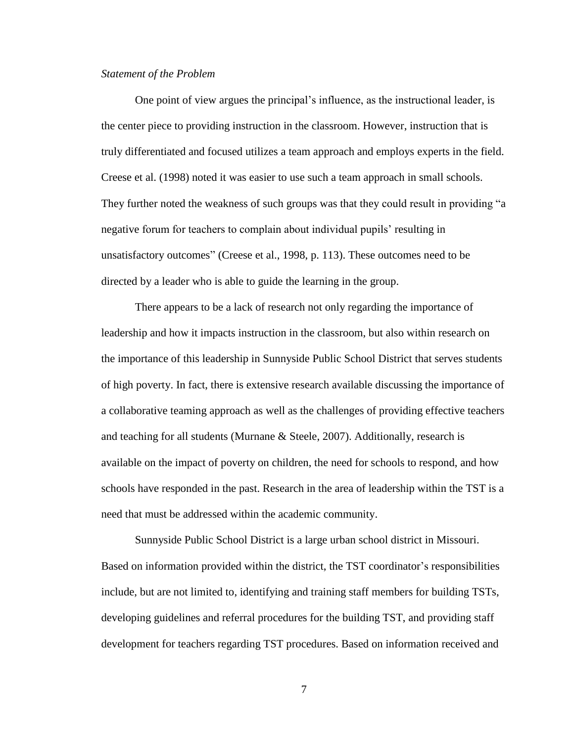#### *Statement of the Problem*

One point of view argues the principal"s influence, as the instructional leader, is the center piece to providing instruction in the classroom. However, instruction that is truly differentiated and focused utilizes a team approach and employs experts in the field. Creese et al. (1998) noted it was easier to use such a team approach in small schools. They further noted the weakness of such groups was that they could result in providing "a negative forum for teachers to complain about individual pupils' resulting in unsatisfactory outcomes" (Creese et al., 1998, p. 113). These outcomes need to be directed by a leader who is able to guide the learning in the group.

There appears to be a lack of research not only regarding the importance of leadership and how it impacts instruction in the classroom, but also within research on the importance of this leadership in Sunnyside Public School District that serves students of high poverty. In fact, there is extensive research available discussing the importance of a collaborative teaming approach as well as the challenges of providing effective teachers and teaching for all students (Murnane  $&$  Steele, 2007). Additionally, research is available on the impact of poverty on children, the need for schools to respond, and how schools have responded in the past. Research in the area of leadership within the TST is a need that must be addressed within the academic community.

Sunnyside Public School District is a large urban school district in Missouri. Based on information provided within the district, the TST coordinator"s responsibilities include, but are not limited to, identifying and training staff members for building TSTs, developing guidelines and referral procedures for the building TST, and providing staff development for teachers regarding TST procedures. Based on information received and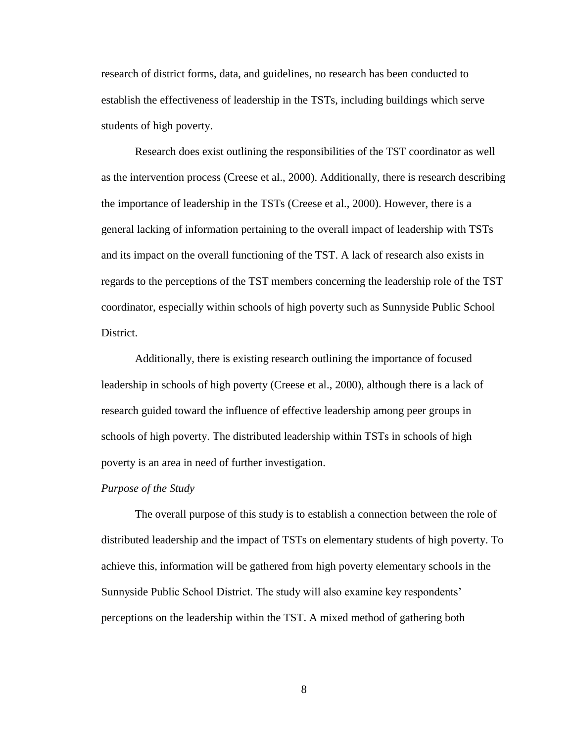research of district forms, data, and guidelines, no research has been conducted to establish the effectiveness of leadership in the TSTs, including buildings which serve students of high poverty.

Research does exist outlining the responsibilities of the TST coordinator as well as the intervention process (Creese et al., 2000). Additionally, there is research describing the importance of leadership in the TSTs (Creese et al., 2000). However, there is a general lacking of information pertaining to the overall impact of leadership with TSTs and its impact on the overall functioning of the TST. A lack of research also exists in regards to the perceptions of the TST members concerning the leadership role of the TST coordinator, especially within schools of high poverty such as Sunnyside Public School District.

Additionally, there is existing research outlining the importance of focused leadership in schools of high poverty (Creese et al., 2000), although there is a lack of research guided toward the influence of effective leadership among peer groups in schools of high poverty. The distributed leadership within TSTs in schools of high poverty is an area in need of further investigation.

#### *Purpose of the Study*

The overall purpose of this study is to establish a connection between the role of distributed leadership and the impact of TSTs on elementary students of high poverty. To achieve this, information will be gathered from high poverty elementary schools in the Sunnyside Public School District. The study will also examine key respondents" perceptions on the leadership within the TST. A mixed method of gathering both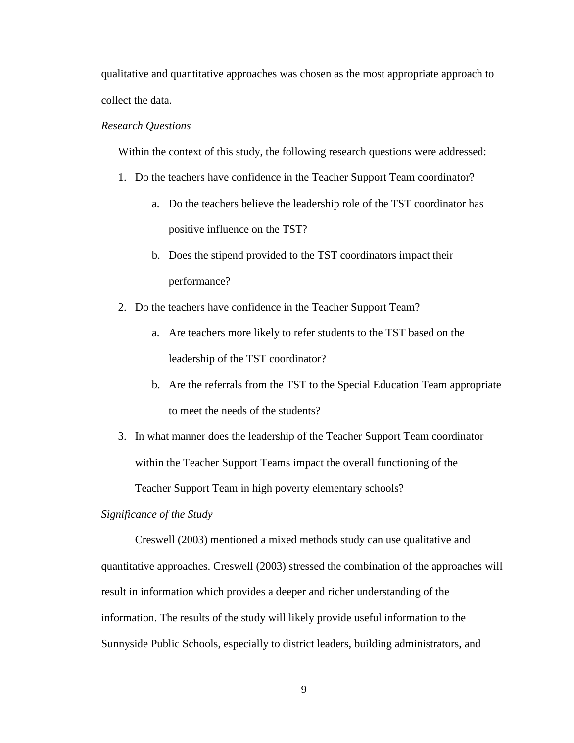qualitative and quantitative approaches was chosen as the most appropriate approach to collect the data.

#### *Research Questions*

Within the context of this study, the following research questions were addressed:

- 1. Do the teachers have confidence in the Teacher Support Team coordinator?
	- a. Do the teachers believe the leadership role of the TST coordinator has positive influence on the TST?
	- b. Does the stipend provided to the TST coordinators impact their performance?
- 2. Do the teachers have confidence in the Teacher Support Team?
	- a. Are teachers more likely to refer students to the TST based on the leadership of the TST coordinator?
	- b. Are the referrals from the TST to the Special Education Team appropriate to meet the needs of the students?
- 3. In what manner does the leadership of the Teacher Support Team coordinator within the Teacher Support Teams impact the overall functioning of the Teacher Support Team in high poverty elementary schools?

#### *Significance of the Study*

Creswell (2003) mentioned a mixed methods study can use qualitative and quantitative approaches. Creswell (2003) stressed the combination of the approaches will result in information which provides a deeper and richer understanding of the information. The results of the study will likely provide useful information to the Sunnyside Public Schools, especially to district leaders, building administrators, and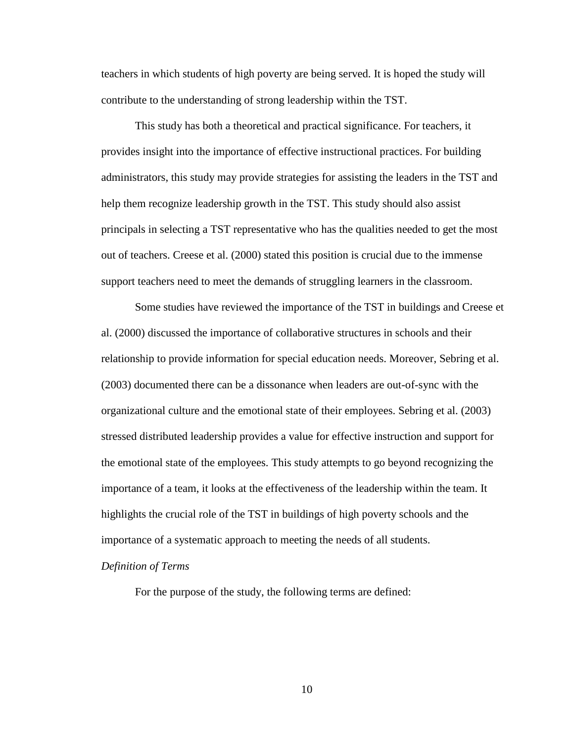teachers in which students of high poverty are being served. It is hoped the study will contribute to the understanding of strong leadership within the TST.

This study has both a theoretical and practical significance. For teachers, it provides insight into the importance of effective instructional practices. For building administrators, this study may provide strategies for assisting the leaders in the TST and help them recognize leadership growth in the TST. This study should also assist principals in selecting a TST representative who has the qualities needed to get the most out of teachers. Creese et al. (2000) stated this position is crucial due to the immense support teachers need to meet the demands of struggling learners in the classroom.

Some studies have reviewed the importance of the TST in buildings and Creese et al. (2000) discussed the importance of collaborative structures in schools and their relationship to provide information for special education needs. Moreover, Sebring et al. (2003) documented there can be a dissonance when leaders are out-of-sync with the organizational culture and the emotional state of their employees. Sebring et al. (2003) stressed distributed leadership provides a value for effective instruction and support for the emotional state of the employees. This study attempts to go beyond recognizing the importance of a team, it looks at the effectiveness of the leadership within the team. It highlights the crucial role of the TST in buildings of high poverty schools and the importance of a systematic approach to meeting the needs of all students.

### *Definition of Terms*

For the purpose of the study, the following terms are defined: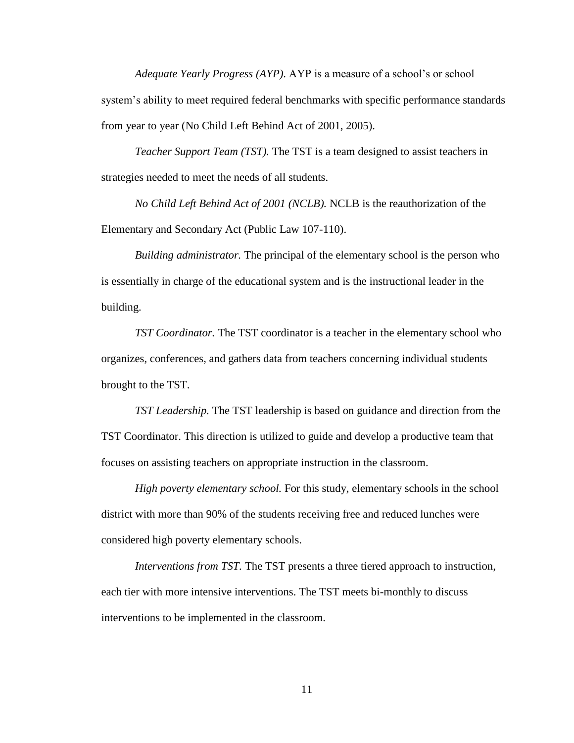*Adequate Yearly Progress (AYP)*. AYP is a measure of a school"s or school system's ability to meet required federal benchmarks with specific performance standards from year to year (No Child Left Behind Act of 2001, 2005).

*Teacher Support Team (TST).* The TST is a team designed to assist teachers in strategies needed to meet the needs of all students.

*No Child Left Behind Act of 2001 (NCLB).* NCLB is the reauthorization of the Elementary and Secondary Act (Public Law 107-110).

*Building administrator.* The principal of the elementary school is the person who is essentially in charge of the educational system and is the instructional leader in the building.

*TST Coordinator.* The TST coordinator is a teacher in the elementary school who organizes, conferences, and gathers data from teachers concerning individual students brought to the TST.

*TST Leadership.* The TST leadership is based on guidance and direction from the TST Coordinator. This direction is utilized to guide and develop a productive team that focuses on assisting teachers on appropriate instruction in the classroom.

*High poverty elementary school.* For this study, elementary schools in the school district with more than 90% of the students receiving free and reduced lunches were considered high poverty elementary schools.

*Interventions from TST.* The TST presents a three tiered approach to instruction, each tier with more intensive interventions. The TST meets bi-monthly to discuss interventions to be implemented in the classroom.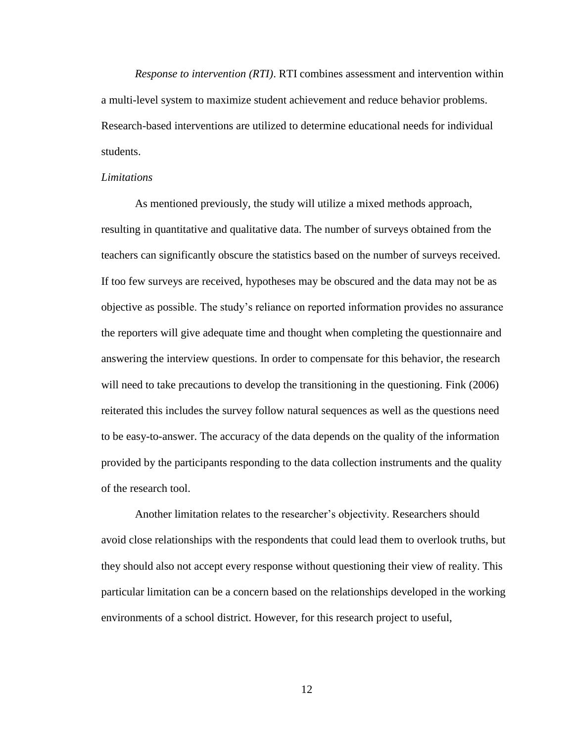*Response to intervention (RTI)*. RTI combines assessment and intervention within a multi-level system to maximize student achievement and reduce behavior problems. Research-based interventions are utilized to determine educational needs for individual students.

#### *Limitations*

As mentioned previously, the study will utilize a mixed methods approach, resulting in quantitative and qualitative data. The number of surveys obtained from the teachers can significantly obscure the statistics based on the number of surveys received. If too few surveys are received, hypotheses may be obscured and the data may not be as objective as possible. The study"s reliance on reported information provides no assurance the reporters will give adequate time and thought when completing the questionnaire and answering the interview questions. In order to compensate for this behavior, the research will need to take precautions to develop the transitioning in the questioning. Fink (2006) reiterated this includes the survey follow natural sequences as well as the questions need to be easy-to-answer. The accuracy of the data depends on the quality of the information provided by the participants responding to the data collection instruments and the quality of the research tool.

Another limitation relates to the researcher"s objectivity. Researchers should avoid close relationships with the respondents that could lead them to overlook truths, but they should also not accept every response without questioning their view of reality. This particular limitation can be a concern based on the relationships developed in the working environments of a school district. However, for this research project to useful,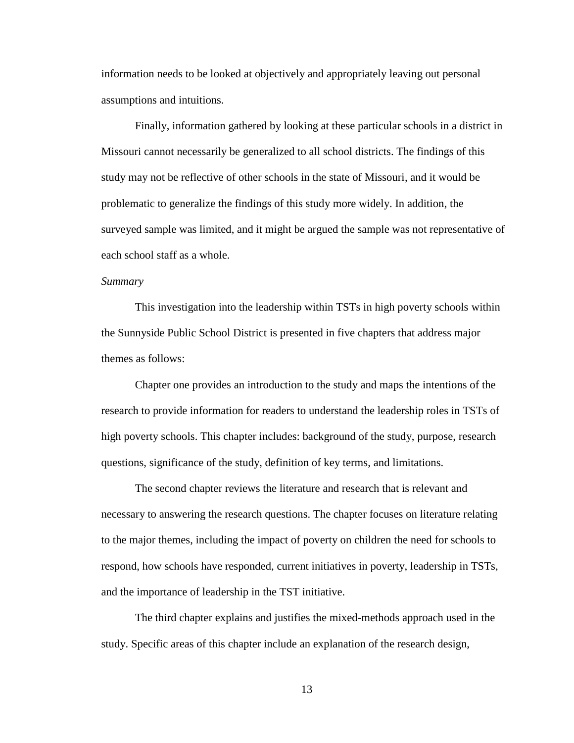information needs to be looked at objectively and appropriately leaving out personal assumptions and intuitions.

Finally, information gathered by looking at these particular schools in a district in Missouri cannot necessarily be generalized to all school districts. The findings of this study may not be reflective of other schools in the state of Missouri, and it would be problematic to generalize the findings of this study more widely. In addition, the surveyed sample was limited, and it might be argued the sample was not representative of each school staff as a whole.

### *Summary*

This investigation into the leadership within TSTs in high poverty schools within the Sunnyside Public School District is presented in five chapters that address major themes as follows:

Chapter one provides an introduction to the study and maps the intentions of the research to provide information for readers to understand the leadership roles in TSTs of high poverty schools. This chapter includes: background of the study, purpose, research questions, significance of the study, definition of key terms, and limitations.

The second chapter reviews the literature and research that is relevant and necessary to answering the research questions. The chapter focuses on literature relating to the major themes, including the impact of poverty on children the need for schools to respond, how schools have responded, current initiatives in poverty, leadership in TSTs, and the importance of leadership in the TST initiative.

The third chapter explains and justifies the mixed-methods approach used in the study. Specific areas of this chapter include an explanation of the research design,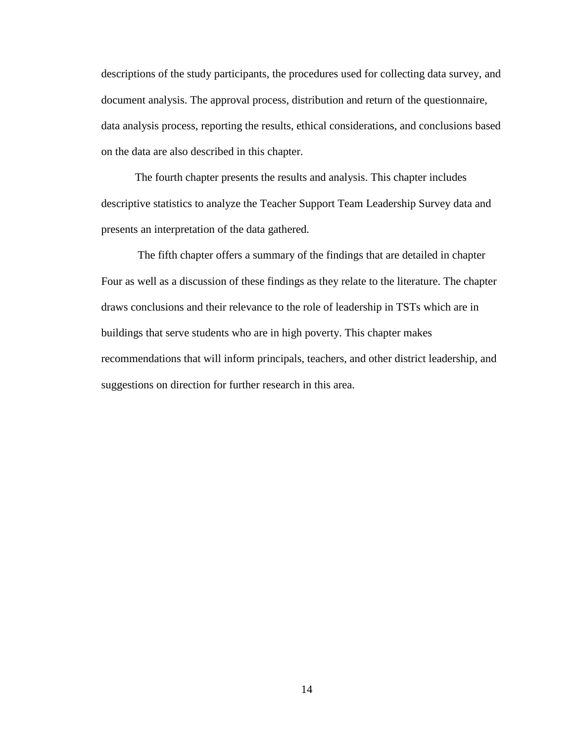descriptions of the study participants, the procedures used for collecting data survey, and document analysis. The approval process, distribution and return of the questionnaire, data analysis process, reporting the results, ethical considerations, and conclusions based on the data are also described in this chapter.

The fourth chapter presents the results and analysis. This chapter includes descriptive statistics to analyze the Teacher Support Team Leadership Survey data and presents an interpretation of the data gathered.

The fifth chapter offers a summary of the findings that are detailed in chapter Four as well as a discussion of these findings as they relate to the literature. The chapter draws conclusions and their relevance to the role of leadership in TSTs which are in buildings that serve students who are in high poverty. This chapter makes recommendations that will inform principals, teachers, and other district leadership, and suggestions on direction for further research in this area.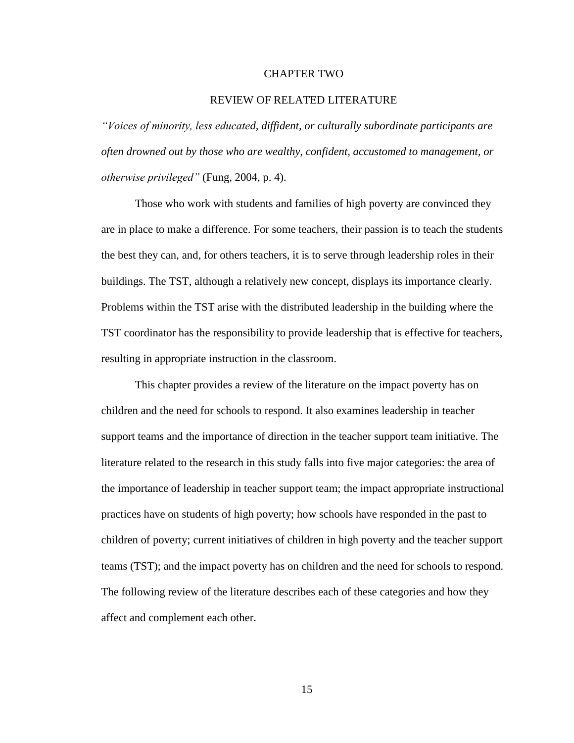#### CHAPTER TWO

#### REVIEW OF RELATED LITERATURE

*"Voices of minority, less educated, diffident, or culturally subordinate participants are often drowned out by those who are wealthy, confident, accustomed to management, or otherwise privileged"* (Fung, 2004, p. 4).

Those who work with students and families of high poverty are convinced they are in place to make a difference. For some teachers, their passion is to teach the students the best they can, and, for others teachers, it is to serve through leadership roles in their buildings. The TST, although a relatively new concept, displays its importance clearly. Problems within the TST arise with the distributed leadership in the building where the TST coordinator has the responsibility to provide leadership that is effective for teachers, resulting in appropriate instruction in the classroom.

This chapter provides a review of the literature on the impact poverty has on children and the need for schools to respond. It also examines leadership in teacher support teams and the importance of direction in the teacher support team initiative. The literature related to the research in this study falls into five major categories: the area of the importance of leadership in teacher support team; the impact appropriate instructional practices have on students of high poverty; how schools have responded in the past to children of poverty; current initiatives of children in high poverty and the teacher support teams (TST); and the impact poverty has on children and the need for schools to respond. The following review of the literature describes each of these categories and how they affect and complement each other.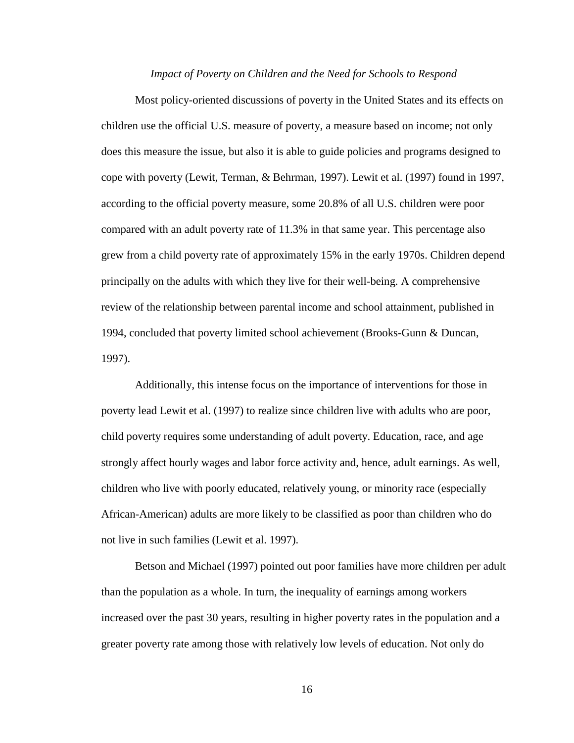#### *Impact of Poverty on Children and the Need for Schools to Respond*

Most policy-oriented discussions of poverty in the United States and its effects on children use the official U.S. measure of poverty, a measure based on income; not only does this measure the issue, but also it is able to guide policies and programs designed to cope with poverty (Lewit, Terman, & Behrman, 1997). Lewit et al. (1997) found in 1997, according to the official poverty measure, some 20.8% of all U.S. children were poor compared with an adult poverty rate of 11.3% in that same year. This percentage also grew from a child poverty rate of approximately 15% in the early 1970s. Children depend principally on the adults with which they live for their well-being. A comprehensive review of the relationship between parental income and school attainment, published in 1994, concluded that poverty limited school achievement (Brooks-Gunn & Duncan, 1997).

Additionally, this intense focus on the importance of interventions for those in poverty lead Lewit et al. (1997) to realize since children live with adults who are poor, child poverty requires some understanding of adult poverty. Education, race, and age strongly affect hourly wages and labor force activity and, hence, adult earnings. As well, children who live with poorly educated, relatively young, or minority race (especially African-American) adults are more likely to be classified as poor than children who do not live in such families (Lewit et al. 1997).

Betson and Michael (1997) pointed out poor families have more children per adult than the population as a whole. In turn, the inequality of earnings among workers increased over the past 30 years, resulting in higher poverty rates in the population and a greater poverty rate among those with relatively low levels of education. Not only do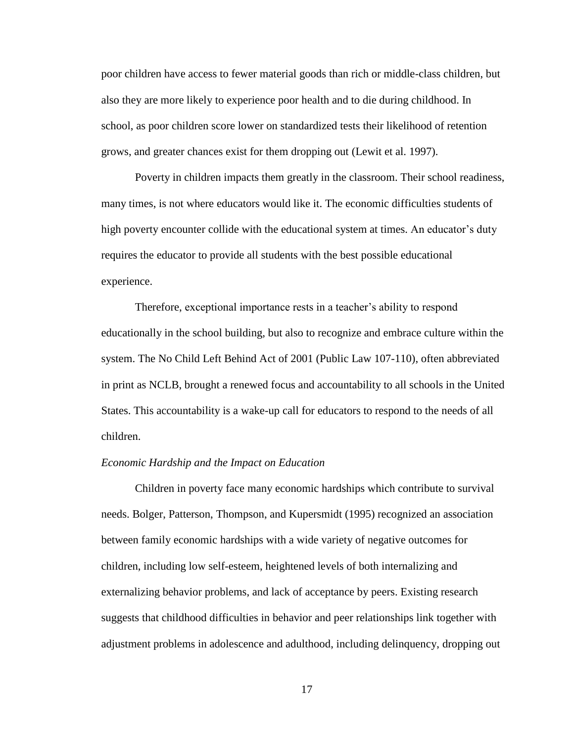poor children have access to fewer material goods than rich or middle-class children, but also they are more likely to experience poor health and to die during childhood. In school, as poor children score lower on standardized tests their likelihood of retention grows, and greater chances exist for them dropping out (Lewit et al. 1997).

Poverty in children impacts them greatly in the classroom. Their school readiness, many times, is not where educators would like it. The economic difficulties students of high poverty encounter collide with the educational system at times. An educator's duty requires the educator to provide all students with the best possible educational experience.

Therefore, exceptional importance rests in a teacher"s ability to respond educationally in the school building, but also to recognize and embrace culture within the system. The No Child Left Behind Act of 2001 (Public Law 107-110), often abbreviated in print as NCLB, brought a renewed focus and accountability to all schools in the United States. This accountability is a wake-up call for educators to respond to the needs of all children.

#### *Economic Hardship and the Impact on Education*

Children in poverty face many economic hardships which contribute to survival needs. Bolger, Patterson, Thompson, and Kupersmidt (1995) recognized an association between family economic hardships with a wide variety of negative outcomes for children, including low self-esteem, heightened levels of both internalizing and externalizing behavior problems, and lack of acceptance by peers. Existing research suggests that childhood difficulties in behavior and peer relationships link together with adjustment problems in adolescence and adulthood, including delinquency, dropping out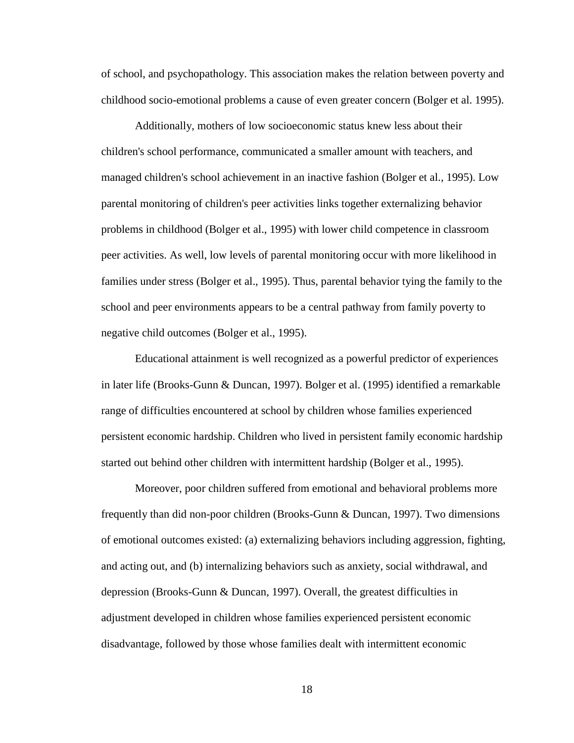of school, and psychopathology. This association makes the relation between poverty and childhood socio-emotional problems a cause of even greater concern (Bolger et al. 1995).

Additionally, mothers of low socioeconomic status knew less about their children's school performance, communicated a smaller amount with teachers, and managed children's school achievement in an inactive fashion (Bolger et al., 1995). Low parental monitoring of children's peer activities links together externalizing behavior problems in childhood (Bolger et al., 1995) with lower child competence in classroom peer activities. As well, low levels of parental monitoring occur with more likelihood in families under stress (Bolger et al., 1995). Thus, parental behavior tying the family to the school and peer environments appears to be a central pathway from family poverty to negative child outcomes (Bolger et al., 1995).

Educational attainment is well recognized as a powerful predictor of experiences in later life (Brooks-Gunn & Duncan, 1997). Bolger et al. (1995) identified a remarkable range of difficulties encountered at school by children whose families experienced persistent economic hardship. Children who lived in persistent family economic hardship started out behind other children with intermittent hardship (Bolger et al., 1995).

Moreover, poor children suffered from emotional and behavioral problems more frequently than did non-poor children (Brooks-Gunn & Duncan, 1997). Two dimensions of emotional outcomes existed: (a) externalizing behaviors including aggression, fighting, and acting out, and (b) internalizing behaviors such as anxiety, social withdrawal, and depression (Brooks-Gunn & Duncan, 1997). Overall, the greatest difficulties in adjustment developed in children whose families experienced persistent economic disadvantage, followed by those whose families dealt with intermittent economic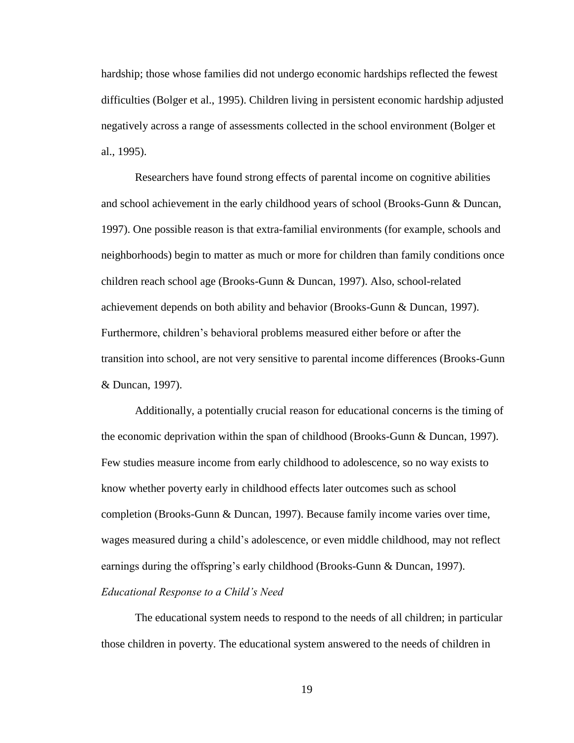hardship; those whose families did not undergo economic hardships reflected the fewest difficulties (Bolger et al., 1995). Children living in persistent economic hardship adjusted negatively across a range of assessments collected in the school environment (Bolger et al., 1995).

Researchers have found strong effects of parental income on cognitive abilities and school achievement in the early childhood years of school (Brooks-Gunn & Duncan, 1997). One possible reason is that extra-familial environments (for example, schools and neighborhoods) begin to matter as much or more for children than family conditions once children reach school age (Brooks-Gunn & Duncan, 1997). Also, school-related achievement depends on both ability and behavior (Brooks-Gunn & Duncan, 1997). Furthermore, children"s behavioral problems measured either before or after the transition into school, are not very sensitive to parental income differences (Brooks-Gunn & Duncan, 1997).

Additionally, a potentially crucial reason for educational concerns is the timing of the economic deprivation within the span of childhood (Brooks-Gunn & Duncan, 1997). Few studies measure income from early childhood to adolescence, so no way exists to know whether poverty early in childhood effects later outcomes such as school completion (Brooks-Gunn & Duncan, 1997). Because family income varies over time, wages measured during a child"s adolescence, or even middle childhood, may not reflect earnings during the offspring"s early childhood (Brooks-Gunn & Duncan, 1997). *Educational Response to a Child's Need*

The educational system needs to respond to the needs of all children; in particular those children in poverty. The educational system answered to the needs of children in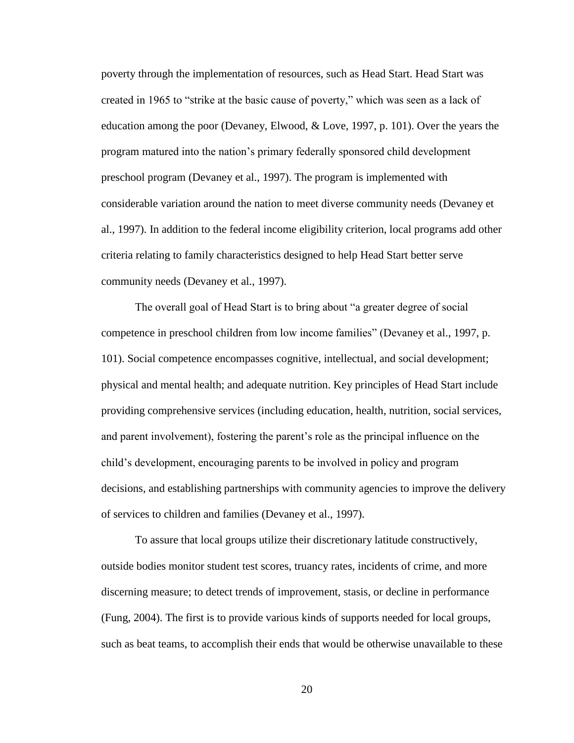poverty through the implementation of resources, such as Head Start. Head Start was created in 1965 to "strike at the basic cause of poverty," which was seen as a lack of education among the poor (Devaney, Elwood, & Love, 1997, p. 101). Over the years the program matured into the nation"s primary federally sponsored child development preschool program (Devaney et al., 1997). The program is implemented with considerable variation around the nation to meet diverse community needs (Devaney et al., 1997). In addition to the federal income eligibility criterion, local programs add other criteria relating to family characteristics designed to help Head Start better serve community needs (Devaney et al., 1997).

The overall goal of Head Start is to bring about "a greater degree of social competence in preschool children from low income families" (Devaney et al., 1997, p. 101). Social competence encompasses cognitive, intellectual, and social development; physical and mental health; and adequate nutrition. Key principles of Head Start include providing comprehensive services (including education, health, nutrition, social services, and parent involvement), fostering the parent"s role as the principal influence on the child"s development, encouraging parents to be involved in policy and program decisions, and establishing partnerships with community agencies to improve the delivery of services to children and families (Devaney et al., 1997).

To assure that local groups utilize their discretionary latitude constructively, outside bodies monitor student test scores, truancy rates, incidents of crime, and more discerning measure; to detect trends of improvement, stasis, or decline in performance (Fung, 2004). The first is to provide various kinds of supports needed for local groups, such as beat teams, to accomplish their ends that would be otherwise unavailable to these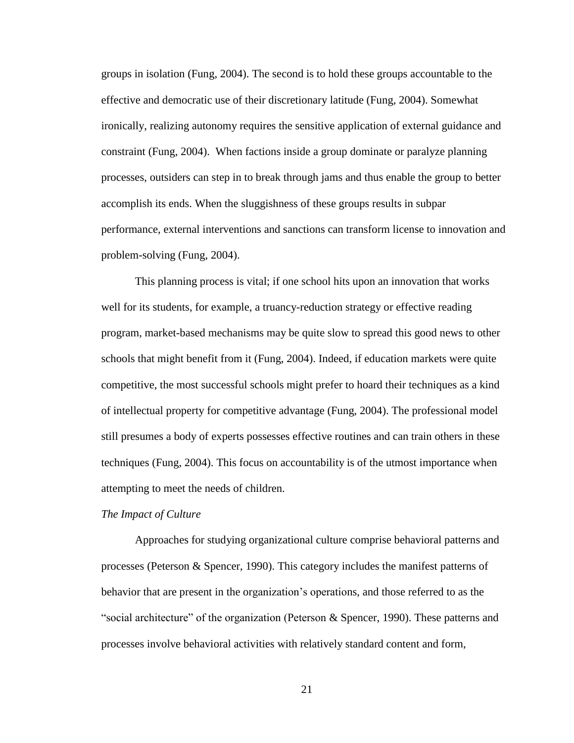groups in isolation (Fung, 2004). The second is to hold these groups accountable to the effective and democratic use of their discretionary latitude (Fung, 2004). Somewhat ironically, realizing autonomy requires the sensitive application of external guidance and constraint (Fung, 2004). When factions inside a group dominate or paralyze planning processes, outsiders can step in to break through jams and thus enable the group to better accomplish its ends. When the sluggishness of these groups results in subpar performance, external interventions and sanctions can transform license to innovation and problem-solving (Fung, 2004).

This planning process is vital; if one school hits upon an innovation that works well for its students, for example, a truancy-reduction strategy or effective reading program, market-based mechanisms may be quite slow to spread this good news to other schools that might benefit from it (Fung, 2004). Indeed, if education markets were quite competitive, the most successful schools might prefer to hoard their techniques as a kind of intellectual property for competitive advantage (Fung, 2004). The professional model still presumes a body of experts possesses effective routines and can train others in these techniques (Fung, 2004). This focus on accountability is of the utmost importance when attempting to meet the needs of children.

#### *The Impact of Culture*

Approaches for studying organizational culture comprise behavioral patterns and processes (Peterson & Spencer, 1990). This category includes the manifest patterns of behavior that are present in the organization"s operations, and those referred to as the "social architecture" of the organization (Peterson & Spencer, 1990). These patterns and processes involve behavioral activities with relatively standard content and form,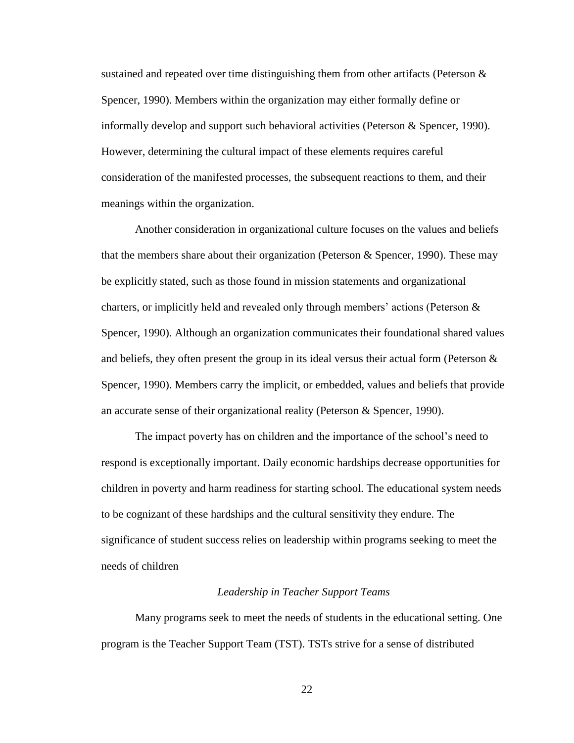sustained and repeated over time distinguishing them from other artifacts (Peterson  $\&$ Spencer, 1990). Members within the organization may either formally define or informally develop and support such behavioral activities (Peterson & Spencer, 1990). However, determining the cultural impact of these elements requires careful consideration of the manifested processes, the subsequent reactions to them, and their meanings within the organization.

Another consideration in organizational culture focuses on the values and beliefs that the members share about their organization (Peterson & Spencer, 1990). These may be explicitly stated, such as those found in mission statements and organizational charters, or implicitly held and revealed only through members' actions (Peterson  $\&$ Spencer, 1990). Although an organization communicates their foundational shared values and beliefs, they often present the group in its ideal versus their actual form (Peterson  $\&$ Spencer, 1990). Members carry the implicit, or embedded, values and beliefs that provide an accurate sense of their organizational reality (Peterson & Spencer, 1990).

The impact poverty has on children and the importance of the school"s need to respond is exceptionally important. Daily economic hardships decrease opportunities for children in poverty and harm readiness for starting school. The educational system needs to be cognizant of these hardships and the cultural sensitivity they endure. The significance of student success relies on leadership within programs seeking to meet the needs of children

#### *Leadership in Teacher Support Teams*

Many programs seek to meet the needs of students in the educational setting. One program is the Teacher Support Team (TST). TSTs strive for a sense of distributed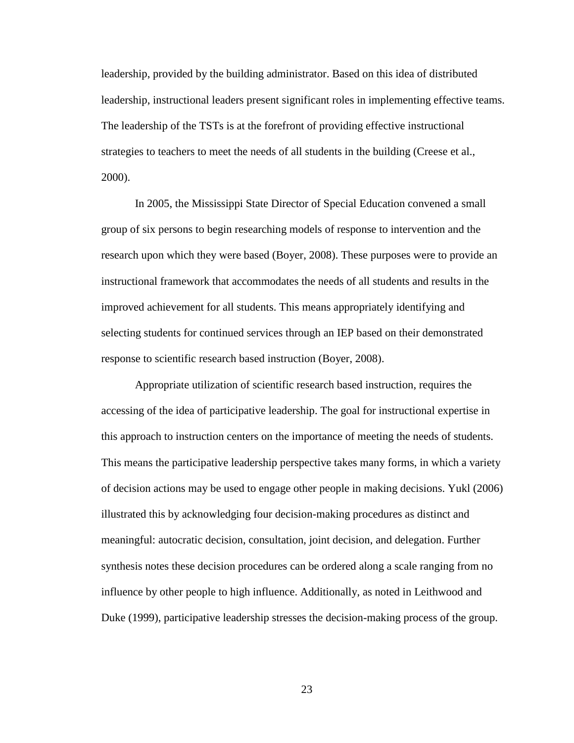leadership, provided by the building administrator. Based on this idea of distributed leadership, instructional leaders present significant roles in implementing effective teams. The leadership of the TSTs is at the forefront of providing effective instructional strategies to teachers to meet the needs of all students in the building (Creese et al., 2000).

In 2005, the Mississippi State Director of Special Education convened a small group of six persons to begin researching models of response to intervention and the research upon which they were based (Boyer, 2008). These purposes were to provide an instructional framework that accommodates the needs of all students and results in the improved achievement for all students. This means appropriately identifying and selecting students for continued services through an IEP based on their demonstrated response to scientific research based instruction (Boyer, 2008).

Appropriate utilization of scientific research based instruction, requires the accessing of the idea of participative leadership. The goal for instructional expertise in this approach to instruction centers on the importance of meeting the needs of students. This means the participative leadership perspective takes many forms, in which a variety of decision actions may be used to engage other people in making decisions. Yukl (2006) illustrated this by acknowledging four decision-making procedures as distinct and meaningful: autocratic decision, consultation, joint decision, and delegation. Further synthesis notes these decision procedures can be ordered along a scale ranging from no influence by other people to high influence. Additionally, as noted in Leithwood and Duke (1999), participative leadership stresses the decision-making process of the group.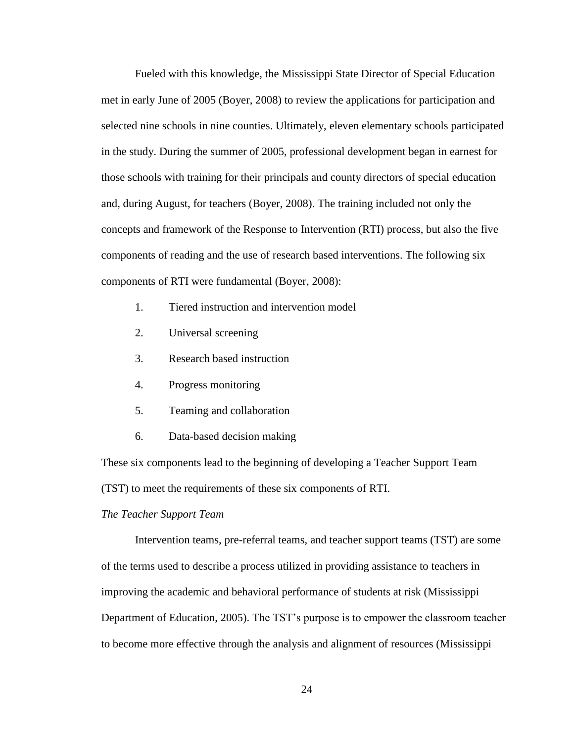Fueled with this knowledge, the Mississippi State Director of Special Education met in early June of 2005 (Boyer, 2008) to review the applications for participation and selected nine schools in nine counties. Ultimately, eleven elementary schools participated in the study. During the summer of 2005, professional development began in earnest for those schools with training for their principals and county directors of special education and, during August, for teachers (Boyer, 2008). The training included not only the concepts and framework of the Response to Intervention (RTI) process, but also the five components of reading and the use of research based interventions. The following six components of RTI were fundamental (Boyer, 2008):

- 1. Tiered instruction and intervention model
- 2. Universal screening
- 3. Research based instruction
- 4. Progress monitoring
- 5. Teaming and collaboration
- 6. Data-based decision making

These six components lead to the beginning of developing a Teacher Support Team (TST) to meet the requirements of these six components of RTI.

#### *The Teacher Support Team*

Intervention teams, pre-referral teams, and teacher support teams (TST) are some of the terms used to describe a process utilized in providing assistance to teachers in improving the academic and behavioral performance of students at risk (Mississippi Department of Education, 2005). The TST"s purpose is to empower the classroom teacher to become more effective through the analysis and alignment of resources (Mississippi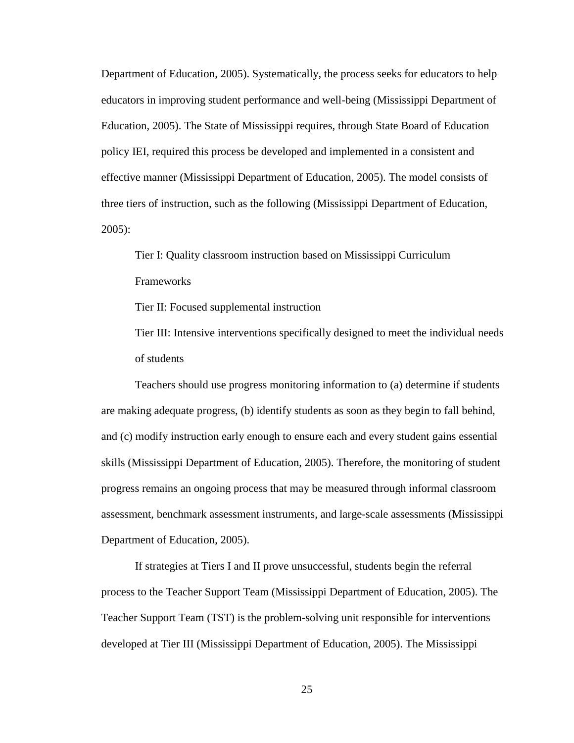Department of Education, 2005). Systematically, the process seeks for educators to help educators in improving student performance and well-being (Mississippi Department of Education, 2005). The State of Mississippi requires, through State Board of Education policy IEI, required this process be developed and implemented in a consistent and effective manner (Mississippi Department of Education, 2005). The model consists of three tiers of instruction, such as the following (Mississippi Department of Education, 2005):

Tier I: Quality classroom instruction based on Mississippi Curriculum Frameworks

Tier II: Focused supplemental instruction

Tier III: Intensive interventions specifically designed to meet the individual needs of students

Teachers should use progress monitoring information to (a) determine if students are making adequate progress, (b) identify students as soon as they begin to fall behind, and (c) modify instruction early enough to ensure each and every student gains essential skills (Mississippi Department of Education, 2005). Therefore, the monitoring of student progress remains an ongoing process that may be measured through informal classroom assessment, benchmark assessment instruments, and large-scale assessments (Mississippi Department of Education, 2005).

If strategies at Tiers I and II prove unsuccessful, students begin the referral process to the Teacher Support Team (Mississippi Department of Education, 2005). The Teacher Support Team (TST) is the problem-solving unit responsible for interventions developed at Tier III (Mississippi Department of Education, 2005). The Mississippi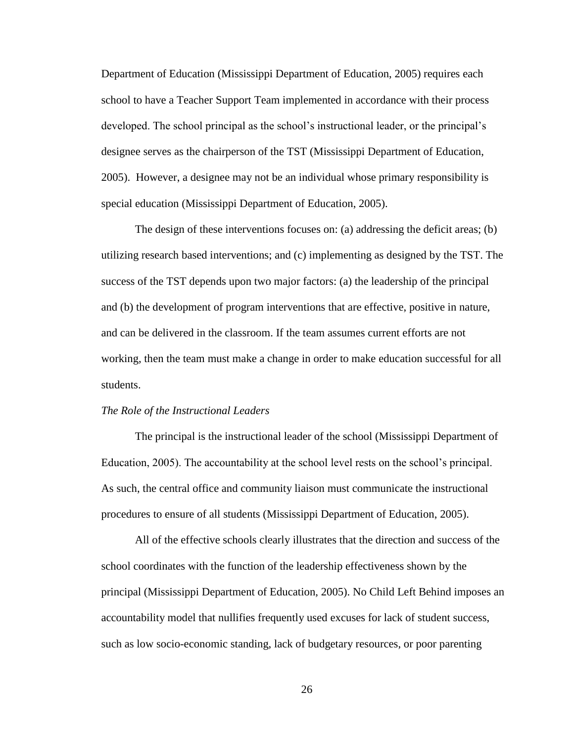Department of Education (Mississippi Department of Education, 2005) requires each school to have a Teacher Support Team implemented in accordance with their process developed. The school principal as the school"s instructional leader, or the principal"s designee serves as the chairperson of the TST (Mississippi Department of Education, 2005). However, a designee may not be an individual whose primary responsibility is special education (Mississippi Department of Education, 2005).

The design of these interventions focuses on: (a) addressing the deficit areas; (b) utilizing research based interventions; and (c) implementing as designed by the TST. The success of the TST depends upon two major factors: (a) the leadership of the principal and (b) the development of program interventions that are effective, positive in nature, and can be delivered in the classroom. If the team assumes current efforts are not working, then the team must make a change in order to make education successful for all students.

### *The Role of the Instructional Leaders*

The principal is the instructional leader of the school (Mississippi Department of Education, 2005). The accountability at the school level rests on the school"s principal. As such, the central office and community liaison must communicate the instructional procedures to ensure of all students (Mississippi Department of Education, 2005).

All of the effective schools clearly illustrates that the direction and success of the school coordinates with the function of the leadership effectiveness shown by the principal (Mississippi Department of Education, 2005). No Child Left Behind imposes an accountability model that nullifies frequently used excuses for lack of student success, such as low socio-economic standing, lack of budgetary resources, or poor parenting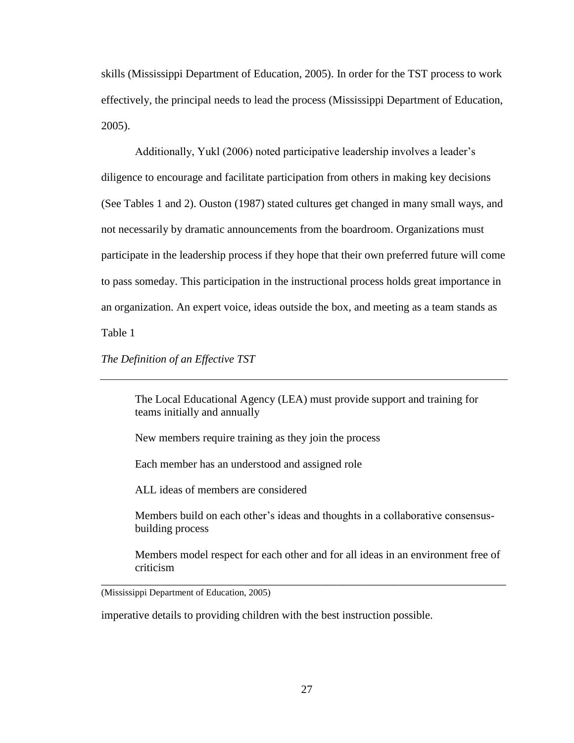skills (Mississippi Department of Education, 2005). In order for the TST process to work effectively, the principal needs to lead the process (Mississippi Department of Education, 2005).

Additionally, Yukl (2006) noted participative leadership involves a leader"s diligence to encourage and facilitate participation from others in making key decisions (See Tables 1 and 2). Ouston (1987) stated cultures get changed in many small ways, and not necessarily by dramatic announcements from the boardroom. Organizations must participate in the leadership process if they hope that their own preferred future will come to pass someday. This participation in the instructional process holds great importance in an organization. An expert voice, ideas outside the box, and meeting as a team stands as Table 1

*The Definition of an Effective TST*

The Local Educational Agency (LEA) must provide support and training for teams initially and annually

New members require training as they join the process

Each member has an understood and assigned role

ALL ideas of members are considered

Members build on each other"s ideas and thoughts in a collaborative consensusbuilding process

Members model respect for each other and for all ideas in an environment free of criticism

\_\_\_\_\_\_\_\_\_\_\_\_\_\_\_\_\_\_\_\_\_\_\_\_\_\_\_\_\_\_\_\_\_\_\_\_\_\_\_\_\_\_\_\_\_\_\_\_\_\_\_\_\_\_\_\_\_\_\_\_\_\_\_\_\_\_\_\_\_\_\_\_

(Mississippi Department of Education, 2005)

imperative details to providing children with the best instruction possible.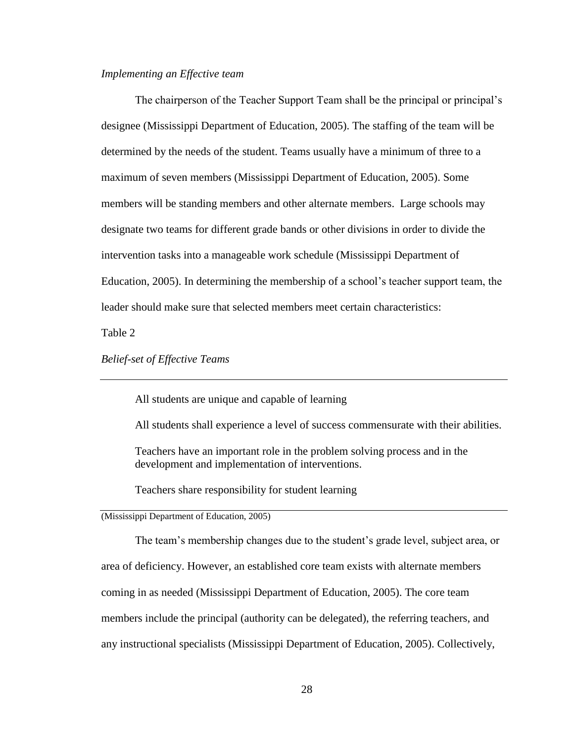### *Implementing an Effective team*

The chairperson of the Teacher Support Team shall be the principal or principal's designee (Mississippi Department of Education, 2005). The staffing of the team will be determined by the needs of the student. Teams usually have a minimum of three to a maximum of seven members (Mississippi Department of Education, 2005). Some members will be standing members and other alternate members. Large schools may designate two teams for different grade bands or other divisions in order to divide the intervention tasks into a manageable work schedule (Mississippi Department of Education, 2005). In determining the membership of a school"s teacher support team, the leader should make sure that selected members meet certain characteristics:

Table 2

*Belief-set of Effective Teams*

All students are unique and capable of learning

All students shall experience a level of success commensurate with their abilities.

Teachers have an important role in the problem solving process and in the development and implementation of interventions.

Teachers share responsibility for student learning

(Mississippi Department of Education, 2005)

The team"s membership changes due to the student"s grade level, subject area, or

area of deficiency. However, an established core team exists with alternate members

coming in as needed (Mississippi Department of Education, 2005). The core team

members include the principal (authority can be delegated), the referring teachers, and

any instructional specialists (Mississippi Department of Education, 2005). Collectively,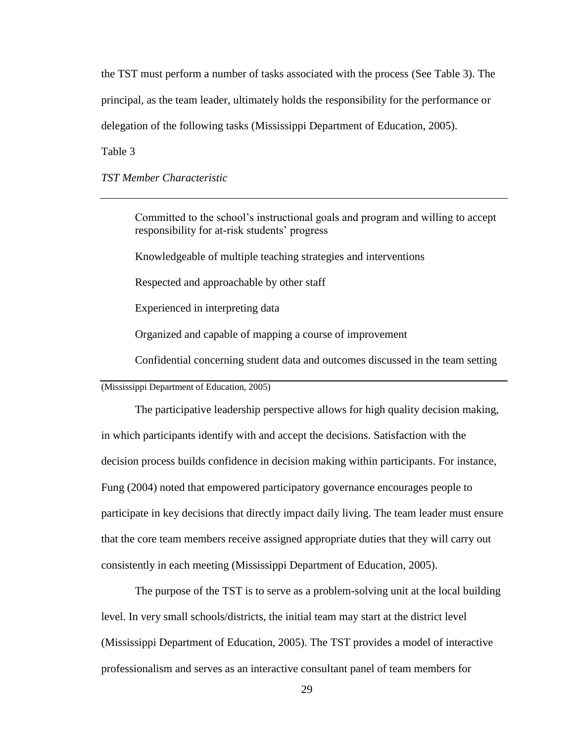the TST must perform a number of tasks associated with the process (See Table 3). The principal, as the team leader, ultimately holds the responsibility for the performance or delegation of the following tasks (Mississippi Department of Education, 2005).

Table 3

*TST Member Characteristic*

Committed to the school"s instructional goals and program and willing to accept responsibility for at-risk students' progress

Knowledgeable of multiple teaching strategies and interventions

Respected and approachable by other staff

Experienced in interpreting data

Organized and capable of mapping a course of improvement

Confidential concerning student data and outcomes discussed in the team setting

(Mississippi Department of Education, 2005)

The participative leadership perspective allows for high quality decision making, in which participants identify with and accept the decisions. Satisfaction with the decision process builds confidence in decision making within participants. For instance, Fung (2004) noted that empowered participatory governance encourages people to participate in key decisions that directly impact daily living. The team leader must ensure that the core team members receive assigned appropriate duties that they will carry out consistently in each meeting (Mississippi Department of Education, 2005).

The purpose of the TST is to serve as a problem-solving unit at the local building level. In very small schools/districts, the initial team may start at the district level (Mississippi Department of Education, 2005). The TST provides a model of interactive professionalism and serves as an interactive consultant panel of team members for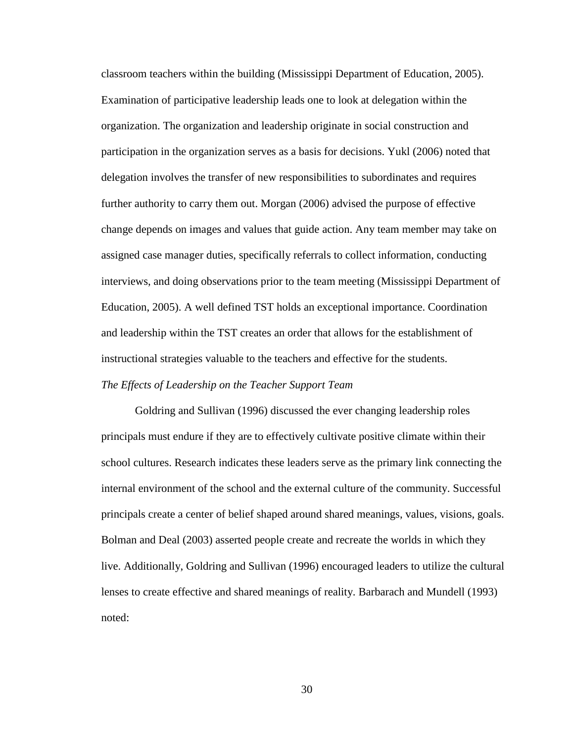classroom teachers within the building (Mississippi Department of Education, 2005). Examination of participative leadership leads one to look at delegation within the organization. The organization and leadership originate in social construction and participation in the organization serves as a basis for decisions. Yukl (2006) noted that delegation involves the transfer of new responsibilities to subordinates and requires further authority to carry them out. Morgan (2006) advised the purpose of effective change depends on images and values that guide action. Any team member may take on assigned case manager duties, specifically referrals to collect information, conducting interviews, and doing observations prior to the team meeting (Mississippi Department of Education, 2005). A well defined TST holds an exceptional importance. Coordination and leadership within the TST creates an order that allows for the establishment of instructional strategies valuable to the teachers and effective for the students. *The Effects of Leadership on the Teacher Support Team*

Goldring and Sullivan (1996) discussed the ever changing leadership roles principals must endure if they are to effectively cultivate positive climate within their school cultures. Research indicates these leaders serve as the primary link connecting the internal environment of the school and the external culture of the community. Successful principals create a center of belief shaped around shared meanings, values, visions, goals. Bolman and Deal (2003) asserted people create and recreate the worlds in which they live. Additionally, Goldring and Sullivan (1996) encouraged leaders to utilize the cultural lenses to create effective and shared meanings of reality. Barbarach and Mundell (1993) noted: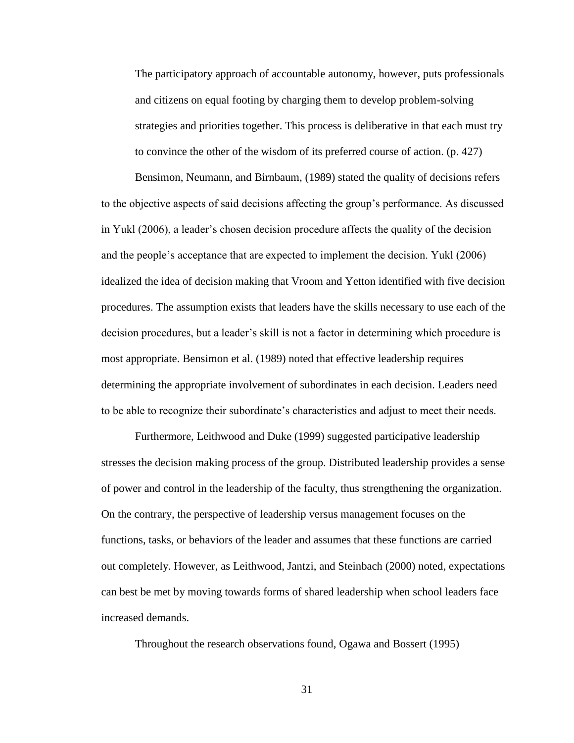The participatory approach of accountable autonomy, however, puts professionals and citizens on equal footing by charging them to develop problem-solving strategies and priorities together. This process is deliberative in that each must try to convince the other of the wisdom of its preferred course of action. (p. 427)

Bensimon, Neumann, and Birnbaum, (1989) stated the quality of decisions refers to the objective aspects of said decisions affecting the group"s performance. As discussed in Yukl (2006), a leader"s chosen decision procedure affects the quality of the decision and the people"s acceptance that are expected to implement the decision. Yukl (2006) idealized the idea of decision making that Vroom and Yetton identified with five decision procedures. The assumption exists that leaders have the skills necessary to use each of the decision procedures, but a leader"s skill is not a factor in determining which procedure is most appropriate. Bensimon et al. (1989) noted that effective leadership requires determining the appropriate involvement of subordinates in each decision. Leaders need to be able to recognize their subordinate"s characteristics and adjust to meet their needs.

Furthermore, Leithwood and Duke (1999) suggested participative leadership stresses the decision making process of the group. Distributed leadership provides a sense of power and control in the leadership of the faculty, thus strengthening the organization. On the contrary, the perspective of leadership versus management focuses on the functions, tasks, or behaviors of the leader and assumes that these functions are carried out completely. However, as Leithwood, Jantzi, and Steinbach (2000) noted, expectations can best be met by moving towards forms of shared leadership when school leaders face increased demands.

Throughout the research observations found, Ogawa and Bossert (1995)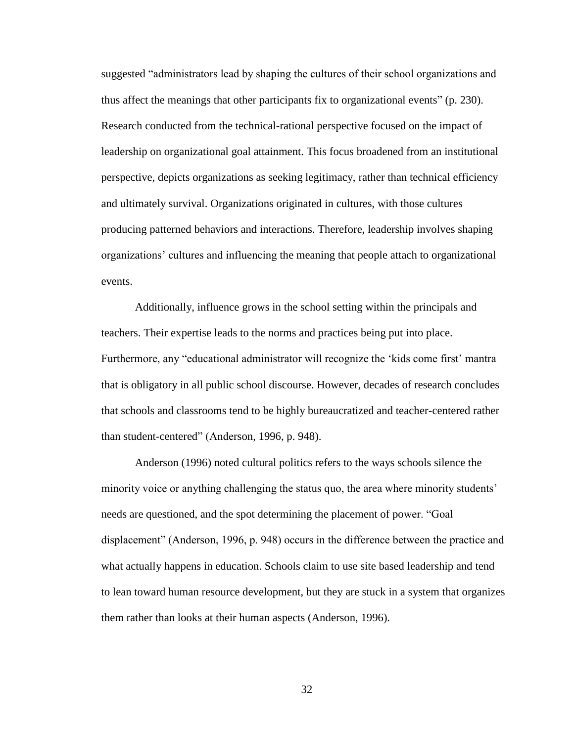suggested "administrators lead by shaping the cultures of their school organizations and thus affect the meanings that other participants fix to organizational events" (p. 230). Research conducted from the technical-rational perspective focused on the impact of leadership on organizational goal attainment. This focus broadened from an institutional perspective, depicts organizations as seeking legitimacy, rather than technical efficiency and ultimately survival. Organizations originated in cultures, with those cultures producing patterned behaviors and interactions. Therefore, leadership involves shaping organizations" cultures and influencing the meaning that people attach to organizational events.

Additionally, influence grows in the school setting within the principals and teachers. Their expertise leads to the norms and practices being put into place. Furthermore, any "educational administrator will recognize the "kids come first" mantra that is obligatory in all public school discourse. However, decades of research concludes that schools and classrooms tend to be highly bureaucratized and teacher-centered rather than student-centered" (Anderson, 1996, p. 948).

Anderson (1996) noted cultural politics refers to the ways schools silence the minority voice or anything challenging the status quo, the area where minority students' needs are questioned, and the spot determining the placement of power. "Goal displacement" (Anderson, 1996, p. 948) occurs in the difference between the practice and what actually happens in education. Schools claim to use site based leadership and tend to lean toward human resource development, but they are stuck in a system that organizes them rather than looks at their human aspects (Anderson, 1996).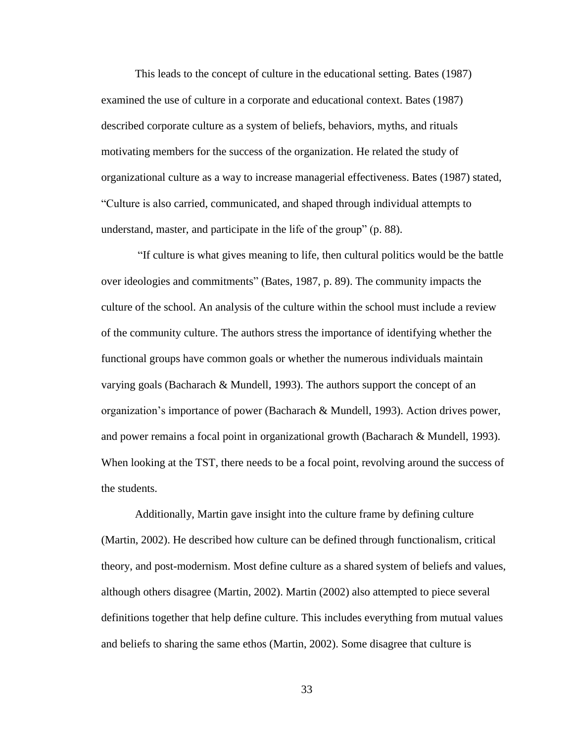This leads to the concept of culture in the educational setting. Bates (1987) examined the use of culture in a corporate and educational context. Bates (1987) described corporate culture as a system of beliefs, behaviors, myths, and rituals motivating members for the success of the organization. He related the study of organizational culture as a way to increase managerial effectiveness. Bates (1987) stated, "Culture is also carried, communicated, and shaped through individual attempts to understand, master, and participate in the life of the group" (p. 88).

"If culture is what gives meaning to life, then cultural politics would be the battle over ideologies and commitments" (Bates, 1987, p. 89). The community impacts the culture of the school. An analysis of the culture within the school must include a review of the community culture. The authors stress the importance of identifying whether the functional groups have common goals or whether the numerous individuals maintain varying goals (Bacharach & Mundell, 1993). The authors support the concept of an organization"s importance of power (Bacharach & Mundell, 1993). Action drives power, and power remains a focal point in organizational growth (Bacharach & Mundell, 1993). When looking at the TST, there needs to be a focal point, revolving around the success of the students.

Additionally, Martin gave insight into the culture frame by defining culture (Martin, 2002). He described how culture can be defined through functionalism, critical theory, and post-modernism. Most define culture as a shared system of beliefs and values, although others disagree (Martin, 2002). Martin (2002) also attempted to piece several definitions together that help define culture. This includes everything from mutual values and beliefs to sharing the same ethos (Martin, 2002). Some disagree that culture is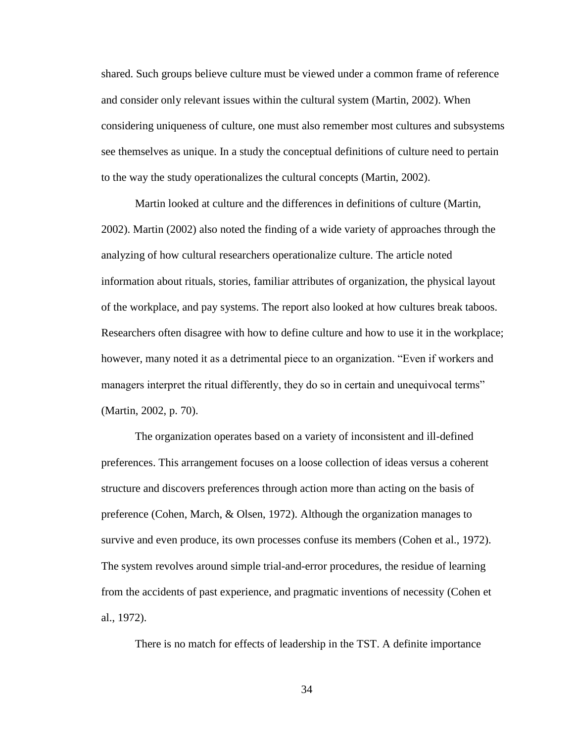shared. Such groups believe culture must be viewed under a common frame of reference and consider only relevant issues within the cultural system (Martin, 2002). When considering uniqueness of culture, one must also remember most cultures and subsystems see themselves as unique. In a study the conceptual definitions of culture need to pertain to the way the study operationalizes the cultural concepts (Martin, 2002).

Martin looked at culture and the differences in definitions of culture (Martin, 2002). Martin (2002) also noted the finding of a wide variety of approaches through the analyzing of how cultural researchers operationalize culture. The article noted information about rituals, stories, familiar attributes of organization, the physical layout of the workplace, and pay systems. The report also looked at how cultures break taboos. Researchers often disagree with how to define culture and how to use it in the workplace; however, many noted it as a detrimental piece to an organization. "Even if workers and managers interpret the ritual differently, they do so in certain and unequivocal terms" (Martin, 2002, p. 70).

The organization operates based on a variety of inconsistent and ill-defined preferences. This arrangement focuses on a loose collection of ideas versus a coherent structure and discovers preferences through action more than acting on the basis of preference (Cohen, March, & Olsen, 1972). Although the organization manages to survive and even produce, its own processes confuse its members (Cohen et al., 1972). The system revolves around simple trial-and-error procedures, the residue of learning from the accidents of past experience, and pragmatic inventions of necessity (Cohen et al., 1972).

There is no match for effects of leadership in the TST. A definite importance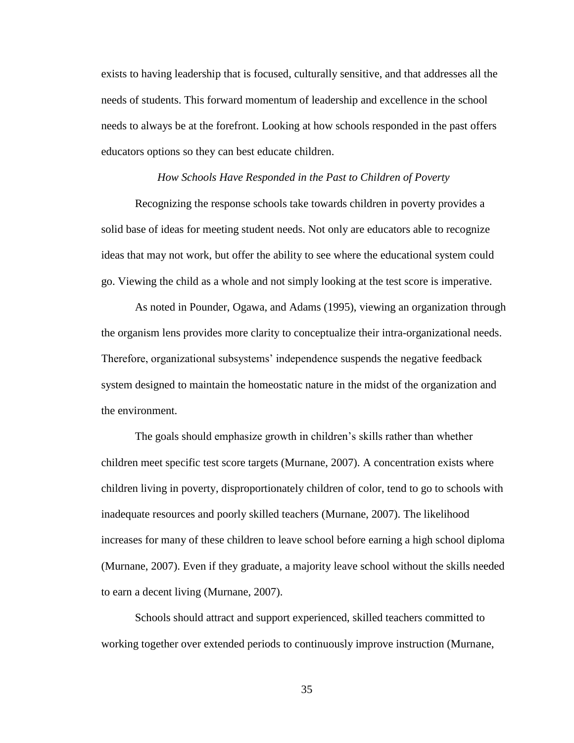exists to having leadership that is focused, culturally sensitive, and that addresses all the needs of students. This forward momentum of leadership and excellence in the school needs to always be at the forefront. Looking at how schools responded in the past offers educators options so they can best educate children.

#### *How Schools Have Responded in the Past to Children of Poverty*

Recognizing the response schools take towards children in poverty provides a solid base of ideas for meeting student needs. Not only are educators able to recognize ideas that may not work, but offer the ability to see where the educational system could go. Viewing the child as a whole and not simply looking at the test score is imperative.

As noted in Pounder, Ogawa, and Adams (1995), viewing an organization through the organism lens provides more clarity to conceptualize their intra-organizational needs. Therefore, organizational subsystems" independence suspends the negative feedback system designed to maintain the homeostatic nature in the midst of the organization and the environment.

The goals should emphasize growth in children's skills rather than whether children meet specific test score targets (Murnane, 2007). A concentration exists where children living in poverty, disproportionately children of color, tend to go to schools with inadequate resources and poorly skilled teachers (Murnane, 2007). The likelihood increases for many of these children to leave school before earning a high school diploma (Murnane, 2007). Even if they graduate, a majority leave school without the skills needed to earn a decent living (Murnane, 2007).

Schools should attract and support experienced, skilled teachers committed to working together over extended periods to continuously improve instruction (Murnane,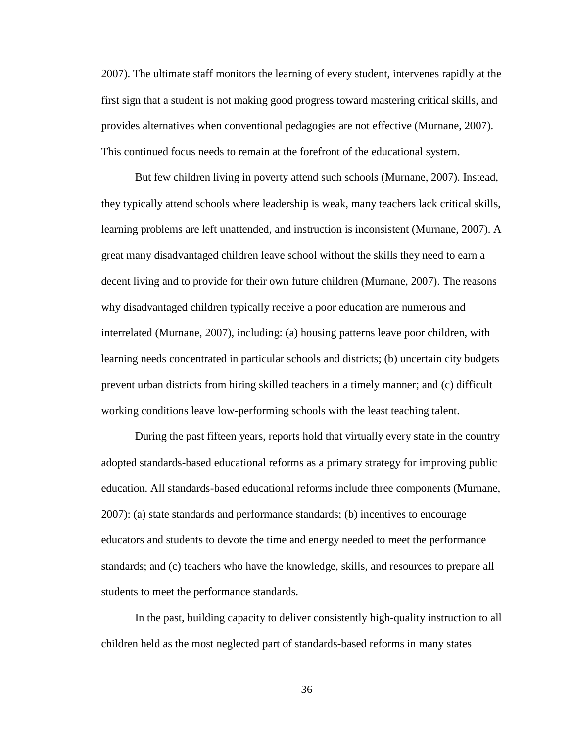2007). The ultimate staff monitors the learning of every student, intervenes rapidly at the first sign that a student is not making good progress toward mastering critical skills, and provides alternatives when conventional pedagogies are not effective (Murnane, 2007). This continued focus needs to remain at the forefront of the educational system.

But few children living in poverty attend such schools (Murnane, 2007). Instead, they typically attend schools where leadership is weak, many teachers lack critical skills, learning problems are left unattended, and instruction is inconsistent (Murnane, 2007). A great many disadvantaged children leave school without the skills they need to earn a decent living and to provide for their own future children (Murnane, 2007). The reasons why disadvantaged children typically receive a poor education are numerous and interrelated (Murnane, 2007), including: (a) housing patterns leave poor children, with learning needs concentrated in particular schools and districts; (b) uncertain city budgets prevent urban districts from hiring skilled teachers in a timely manner; and (c) difficult working conditions leave low-performing schools with the least teaching talent.

During the past fifteen years, reports hold that virtually every state in the country adopted standards-based educational reforms as a primary strategy for improving public education. All standards-based educational reforms include three components (Murnane, 2007): (a) state standards and performance standards; (b) incentives to encourage educators and students to devote the time and energy needed to meet the performance standards; and (c) teachers who have the knowledge, skills, and resources to prepare all students to meet the performance standards.

In the past, building capacity to deliver consistently high-quality instruction to all children held as the most neglected part of standards-based reforms in many states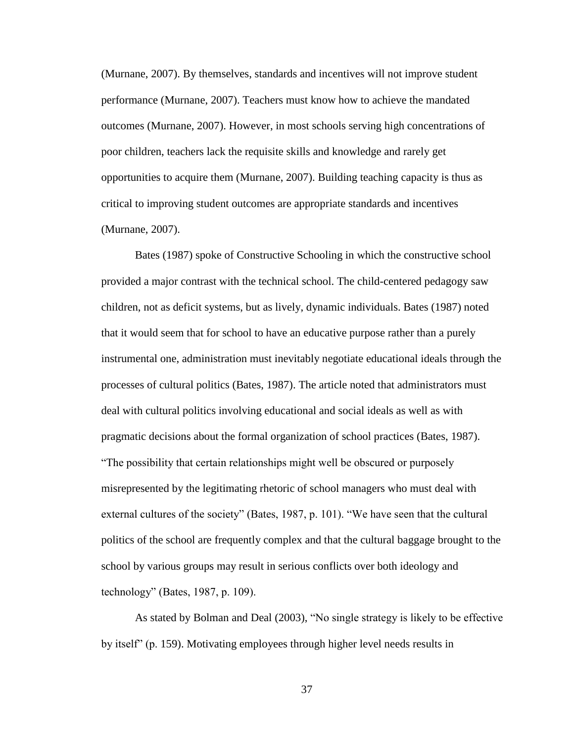(Murnane, 2007). By themselves, standards and incentives will not improve student performance (Murnane, 2007). Teachers must know how to achieve the mandated outcomes (Murnane, 2007). However, in most schools serving high concentrations of poor children, teachers lack the requisite skills and knowledge and rarely get opportunities to acquire them (Murnane, 2007). Building teaching capacity is thus as critical to improving student outcomes are appropriate standards and incentives (Murnane, 2007).

Bates (1987) spoke of Constructive Schooling in which the constructive school provided a major contrast with the technical school. The child-centered pedagogy saw children, not as deficit systems, but as lively, dynamic individuals. Bates (1987) noted that it would seem that for school to have an educative purpose rather than a purely instrumental one, administration must inevitably negotiate educational ideals through the processes of cultural politics (Bates, 1987). The article noted that administrators must deal with cultural politics involving educational and social ideals as well as with pragmatic decisions about the formal organization of school practices (Bates, 1987). "The possibility that certain relationships might well be obscured or purposely misrepresented by the legitimating rhetoric of school managers who must deal with external cultures of the society" (Bates, 1987, p. 101). "We have seen that the cultural politics of the school are frequently complex and that the cultural baggage brought to the school by various groups may result in serious conflicts over both ideology and technology" (Bates, 1987, p. 109).

As stated by Bolman and Deal (2003), "No single strategy is likely to be effective by itself" (p. 159). Motivating employees through higher level needs results in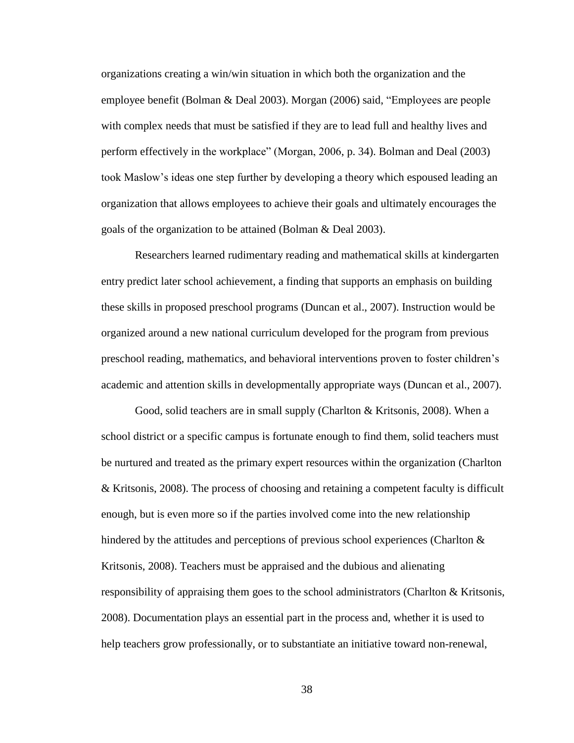organizations creating a win/win situation in which both the organization and the employee benefit (Bolman & Deal 2003). Morgan (2006) said, "Employees are people with complex needs that must be satisfied if they are to lead full and healthy lives and perform effectively in the workplace" (Morgan, 2006, p. 34). Bolman and Deal (2003) took Maslow"s ideas one step further by developing a theory which espoused leading an organization that allows employees to achieve their goals and ultimately encourages the goals of the organization to be attained (Bolman & Deal 2003).

Researchers learned rudimentary reading and mathematical skills at kindergarten entry predict later school achievement, a finding that supports an emphasis on building these skills in proposed preschool programs (Duncan et al., 2007). Instruction would be organized around a new national curriculum developed for the program from previous preschool reading, mathematics, and behavioral interventions proven to foster children"s academic and attention skills in developmentally appropriate ways (Duncan et al., 2007).

Good, solid teachers are in small supply (Charlton & Kritsonis, 2008). When a school district or a specific campus is fortunate enough to find them, solid teachers must be nurtured and treated as the primary expert resources within the organization (Charlton & Kritsonis, 2008). The process of choosing and retaining a competent faculty is difficult enough, but is even more so if the parties involved come into the new relationship hindered by the attitudes and perceptions of previous school experiences (Charlton  $\&$ Kritsonis, 2008). Teachers must be appraised and the dubious and alienating responsibility of appraising them goes to the school administrators (Charlton & Kritsonis, 2008). Documentation plays an essential part in the process and, whether it is used to help teachers grow professionally, or to substantiate an initiative toward non-renewal,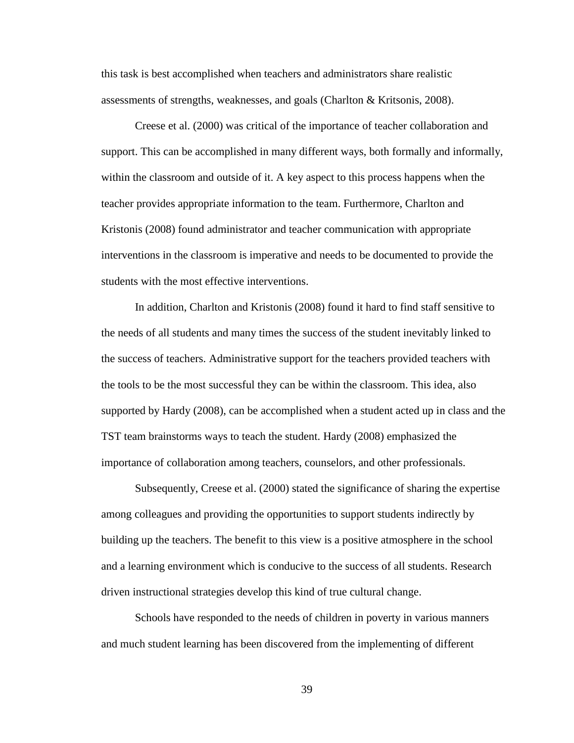this task is best accomplished when teachers and administrators share realistic assessments of strengths, weaknesses, and goals (Charlton & Kritsonis, 2008).

Creese et al. (2000) was critical of the importance of teacher collaboration and support. This can be accomplished in many different ways, both formally and informally, within the classroom and outside of it. A key aspect to this process happens when the teacher provides appropriate information to the team. Furthermore, Charlton and Kristonis (2008) found administrator and teacher communication with appropriate interventions in the classroom is imperative and needs to be documented to provide the students with the most effective interventions.

In addition, Charlton and Kristonis (2008) found it hard to find staff sensitive to the needs of all students and many times the success of the student inevitably linked to the success of teachers. Administrative support for the teachers provided teachers with the tools to be the most successful they can be within the classroom. This idea, also supported by Hardy (2008), can be accomplished when a student acted up in class and the TST team brainstorms ways to teach the student. Hardy (2008) emphasized the importance of collaboration among teachers, counselors, and other professionals.

Subsequently, Creese et al. (2000) stated the significance of sharing the expertise among colleagues and providing the opportunities to support students indirectly by building up the teachers. The benefit to this view is a positive atmosphere in the school and a learning environment which is conducive to the success of all students. Research driven instructional strategies develop this kind of true cultural change.

Schools have responded to the needs of children in poverty in various manners and much student learning has been discovered from the implementing of different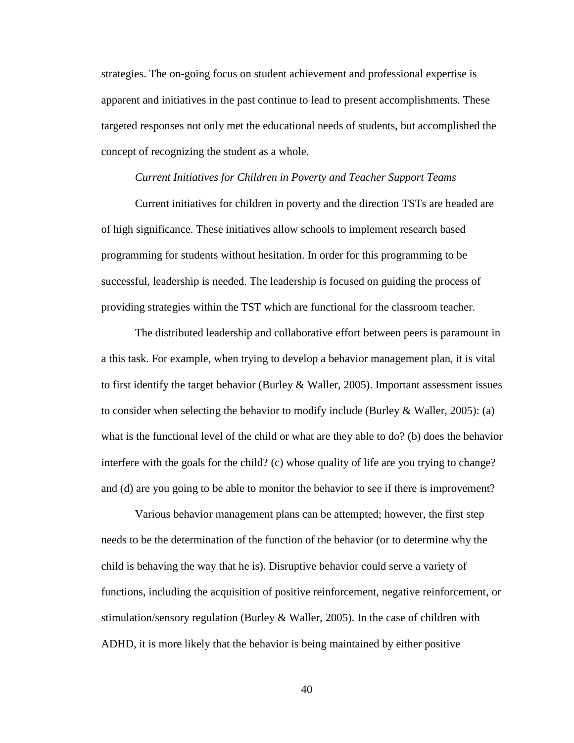strategies. The on-going focus on student achievement and professional expertise is apparent and initiatives in the past continue to lead to present accomplishments. These targeted responses not only met the educational needs of students, but accomplished the concept of recognizing the student as a whole.

### *Current Initiatives for Children in Poverty and Teacher Support Teams*

Current initiatives for children in poverty and the direction TSTs are headed are of high significance. These initiatives allow schools to implement research based programming for students without hesitation. In order for this programming to be successful, leadership is needed. The leadership is focused on guiding the process of providing strategies within the TST which are functional for the classroom teacher.

The distributed leadership and collaborative effort between peers is paramount in a this task. For example, when trying to develop a behavior management plan, it is vital to first identify the target behavior (Burley & Waller, 2005). Important assessment issues to consider when selecting the behavior to modify include (Burley & Waller, 2005): (a) what is the functional level of the child or what are they able to do? (b) does the behavior interfere with the goals for the child? (c) whose quality of life are you trying to change? and (d) are you going to be able to monitor the behavior to see if there is improvement?

Various behavior management plans can be attempted; however, the first step needs to be the determination of the function of the behavior (or to determine why the child is behaving the way that he is). Disruptive behavior could serve a variety of functions, including the acquisition of positive reinforcement, negative reinforcement, or stimulation/sensory regulation (Burley & Waller, 2005). In the case of children with ADHD, it is more likely that the behavior is being maintained by either positive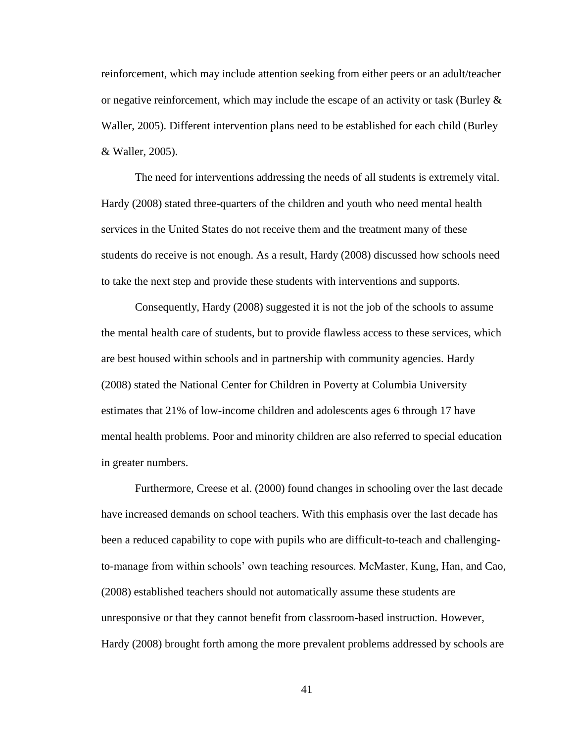reinforcement, which may include attention seeking from either peers or an adult/teacher or negative reinforcement, which may include the escape of an activity or task (Burley  $\&$ Waller, 2005). Different intervention plans need to be established for each child (Burley & Waller, 2005).

The need for interventions addressing the needs of all students is extremely vital. Hardy (2008) stated three-quarters of the children and youth who need mental health services in the United States do not receive them and the treatment many of these students do receive is not enough. As a result, Hardy (2008) discussed how schools need to take the next step and provide these students with interventions and supports.

Consequently, Hardy (2008) suggested it is not the job of the schools to assume the mental health care of students, but to provide flawless access to these services, which are best housed within schools and in partnership with community agencies. Hardy (2008) stated the National Center for Children in Poverty at Columbia University estimates that 21% of low-income children and adolescents ages 6 through 17 have mental health problems. Poor and minority children are also referred to special education in greater numbers.

Furthermore, Creese et al. (2000) found changes in schooling over the last decade have increased demands on school teachers. With this emphasis over the last decade has been a reduced capability to cope with pupils who are difficult-to-teach and challengingto-manage from within schools" own teaching resources. McMaster, Kung, Han, and Cao, (2008) established teachers should not automatically assume these students are unresponsive or that they cannot benefit from classroom-based instruction. However, Hardy (2008) brought forth among the more prevalent problems addressed by schools are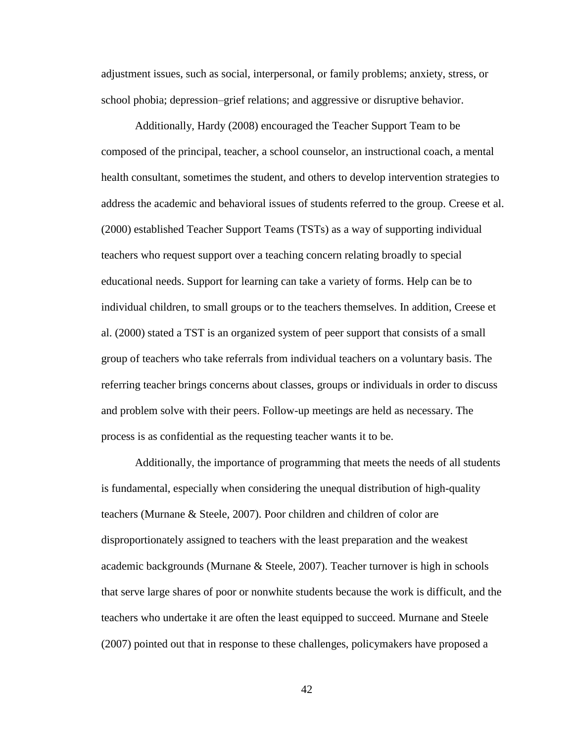adjustment issues, such as social, interpersonal, or family problems; anxiety, stress, or school phobia; depression–grief relations; and aggressive or disruptive behavior.

Additionally, Hardy (2008) encouraged the Teacher Support Team to be composed of the principal, teacher, a school counselor, an instructional coach, a mental health consultant, sometimes the student, and others to develop intervention strategies to address the academic and behavioral issues of students referred to the group. Creese et al. (2000) established Teacher Support Teams (TSTs) as a way of supporting individual teachers who request support over a teaching concern relating broadly to special educational needs. Support for learning can take a variety of forms. Help can be to individual children, to small groups or to the teachers themselves. In addition, Creese et al. (2000) stated a TST is an organized system of peer support that consists of a small group of teachers who take referrals from individual teachers on a voluntary basis. The referring teacher brings concerns about classes, groups or individuals in order to discuss and problem solve with their peers. Follow-up meetings are held as necessary. The process is as confidential as the requesting teacher wants it to be.

Additionally, the importance of programming that meets the needs of all students is fundamental, especially when considering the unequal distribution of high-quality teachers (Murnane & Steele, 2007). Poor children and children of color are disproportionately assigned to teachers with the least preparation and the weakest academic backgrounds (Murnane & Steele, 2007). Teacher turnover is high in schools that serve large shares of poor or nonwhite students because the work is difficult, and the teachers who undertake it are often the least equipped to succeed. Murnane and Steele (2007) pointed out that in response to these challenges, policymakers have proposed a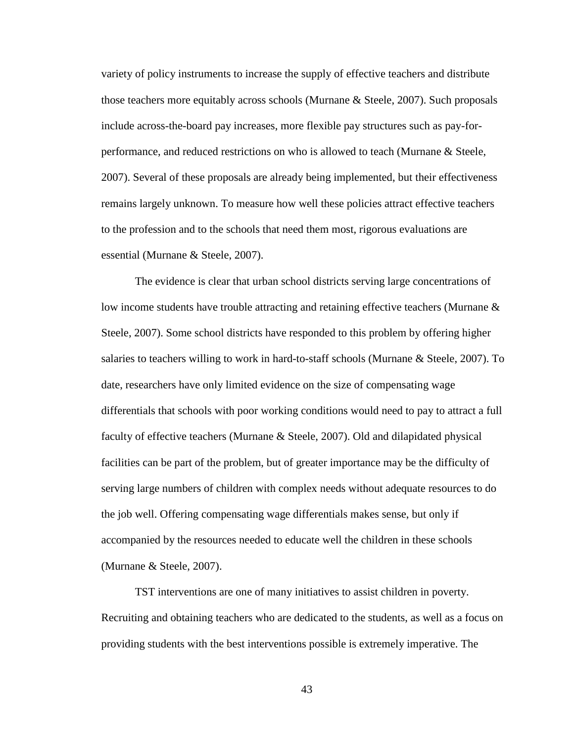variety of policy instruments to increase the supply of effective teachers and distribute those teachers more equitably across schools (Murnane & Steele, 2007). Such proposals include across-the-board pay increases, more flexible pay structures such as pay-forperformance, and reduced restrictions on who is allowed to teach (Murnane & Steele, 2007). Several of these proposals are already being implemented, but their effectiveness remains largely unknown. To measure how well these policies attract effective teachers to the profession and to the schools that need them most, rigorous evaluations are essential (Murnane & Steele, 2007).

The evidence is clear that urban school districts serving large concentrations of low income students have trouble attracting and retaining effective teachers (Murnane  $\&$ Steele, 2007). Some school districts have responded to this problem by offering higher salaries to teachers willing to work in hard-to-staff schools (Murnane & Steele, 2007). To date, researchers have only limited evidence on the size of compensating wage differentials that schools with poor working conditions would need to pay to attract a full faculty of effective teachers (Murnane & Steele, 2007). Old and dilapidated physical facilities can be part of the problem, but of greater importance may be the difficulty of serving large numbers of children with complex needs without adequate resources to do the job well. Offering compensating wage differentials makes sense, but only if accompanied by the resources needed to educate well the children in these schools (Murnane & Steele, 2007).

TST interventions are one of many initiatives to assist children in poverty. Recruiting and obtaining teachers who are dedicated to the students, as well as a focus on providing students with the best interventions possible is extremely imperative. The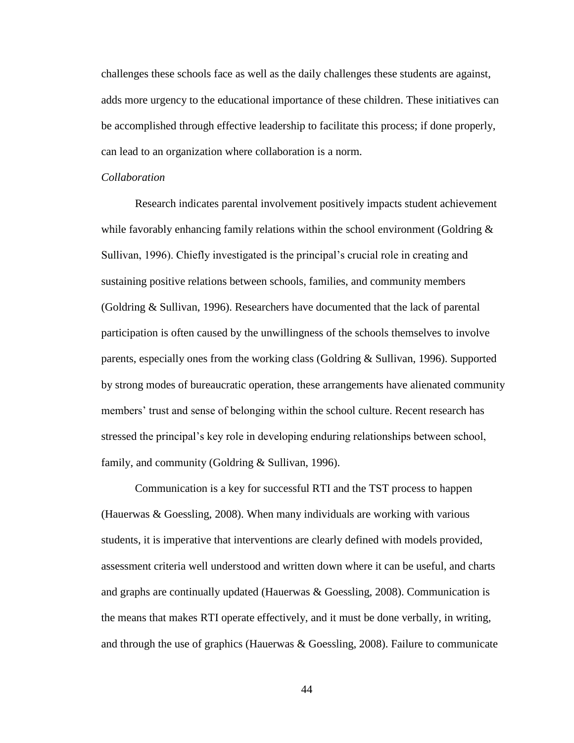challenges these schools face as well as the daily challenges these students are against, adds more urgency to the educational importance of these children. These initiatives can be accomplished through effective leadership to facilitate this process; if done properly, can lead to an organization where collaboration is a norm.

# *Collaboration*

Research indicates parental involvement positively impacts student achievement while favorably enhancing family relations within the school environment (Goldring & Sullivan, 1996). Chiefly investigated is the principal"s crucial role in creating and sustaining positive relations between schools, families, and community members (Goldring & Sullivan, 1996). Researchers have documented that the lack of parental participation is often caused by the unwillingness of the schools themselves to involve parents, especially ones from the working class (Goldring & Sullivan, 1996). Supported by strong modes of bureaucratic operation, these arrangements have alienated community members' trust and sense of belonging within the school culture. Recent research has stressed the principal's key role in developing enduring relationships between school, family, and community (Goldring & Sullivan, 1996).

Communication is a key for successful RTI and the TST process to happen (Hauerwas & Goessling, 2008). When many individuals are working with various students, it is imperative that interventions are clearly defined with models provided, assessment criteria well understood and written down where it can be useful, and charts and graphs are continually updated (Hauerwas & Goessling, 2008). Communication is the means that makes RTI operate effectively, and it must be done verbally, in writing, and through the use of graphics (Hauerwas & Goessling, 2008). Failure to communicate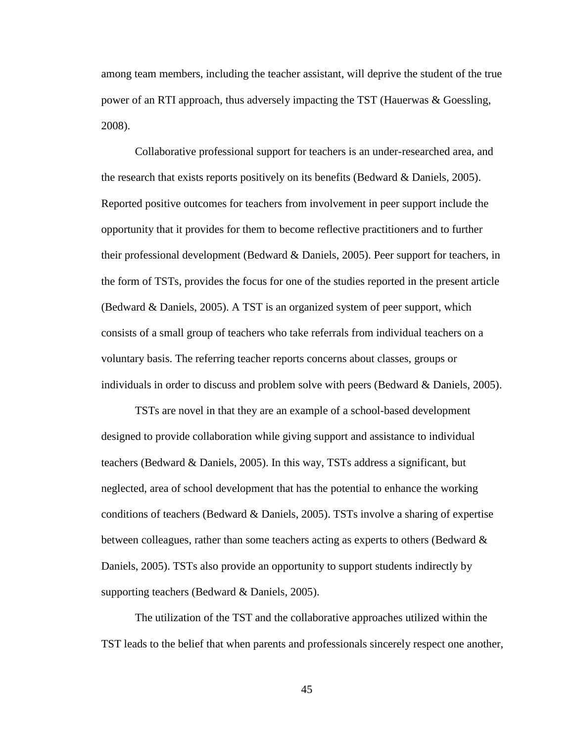among team members, including the teacher assistant, will deprive the student of the true power of an RTI approach, thus adversely impacting the TST (Hauerwas & Goessling, 2008).

Collaborative professional support for teachers is an under-researched area, and the research that exists reports positively on its benefits (Bedward & Daniels, 2005). Reported positive outcomes for teachers from involvement in peer support include the opportunity that it provides for them to become reflective practitioners and to further their professional development (Bedward & Daniels, 2005). Peer support for teachers, in the form of TSTs, provides the focus for one of the studies reported in the present article (Bedward & Daniels, 2005). A TST is an organized system of peer support, which consists of a small group of teachers who take referrals from individual teachers on a voluntary basis. The referring teacher reports concerns about classes, groups or individuals in order to discuss and problem solve with peers (Bedward  $\&$  Daniels, 2005).

TSTs are novel in that they are an example of a school-based development designed to provide collaboration while giving support and assistance to individual teachers (Bedward & Daniels, 2005). In this way, TSTs address a significant, but neglected, area of school development that has the potential to enhance the working conditions of teachers (Bedward & Daniels, 2005). TSTs involve a sharing of expertise between colleagues, rather than some teachers acting as experts to others (Bedward  $\&$ Daniels, 2005). TSTs also provide an opportunity to support students indirectly by supporting teachers (Bedward & Daniels, 2005).

The utilization of the TST and the collaborative approaches utilized within the TST leads to the belief that when parents and professionals sincerely respect one another,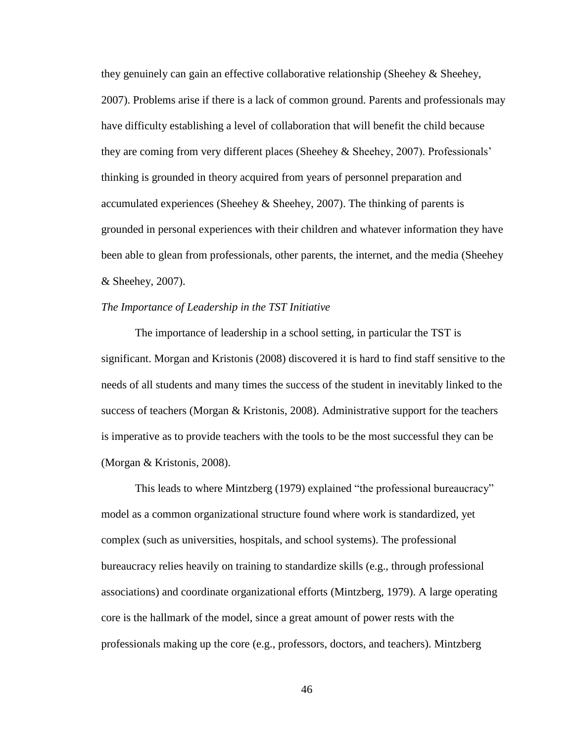they genuinely can gain an effective collaborative relationship (Sheehey & Sheehey, 2007). Problems arise if there is a lack of common ground. Parents and professionals may have difficulty establishing a level of collaboration that will benefit the child because they are coming from very different places (Sheehey & Sheehey, 2007). Professionals" thinking is grounded in theory acquired from years of personnel preparation and accumulated experiences (Sheehey  $\&$  Sheehey, 2007). The thinking of parents is grounded in personal experiences with their children and whatever information they have been able to glean from professionals, other parents, the internet, and the media (Sheehey & Sheehey, 2007).

# *The Importance of Leadership in the TST Initiative*

The importance of leadership in a school setting, in particular the TST is significant. Morgan and Kristonis (2008) discovered it is hard to find staff sensitive to the needs of all students and many times the success of the student in inevitably linked to the success of teachers (Morgan & Kristonis, 2008). Administrative support for the teachers is imperative as to provide teachers with the tools to be the most successful they can be (Morgan & Kristonis, 2008).

This leads to where Mintzberg (1979) explained "the professional bureaucracy" model as a common organizational structure found where work is standardized, yet complex (such as universities, hospitals, and school systems). The professional bureaucracy relies heavily on training to standardize skills (e.g., through professional associations) and coordinate organizational efforts (Mintzberg, 1979). A large operating core is the hallmark of the model, since a great amount of power rests with the professionals making up the core (e.g., professors, doctors, and teachers). Mintzberg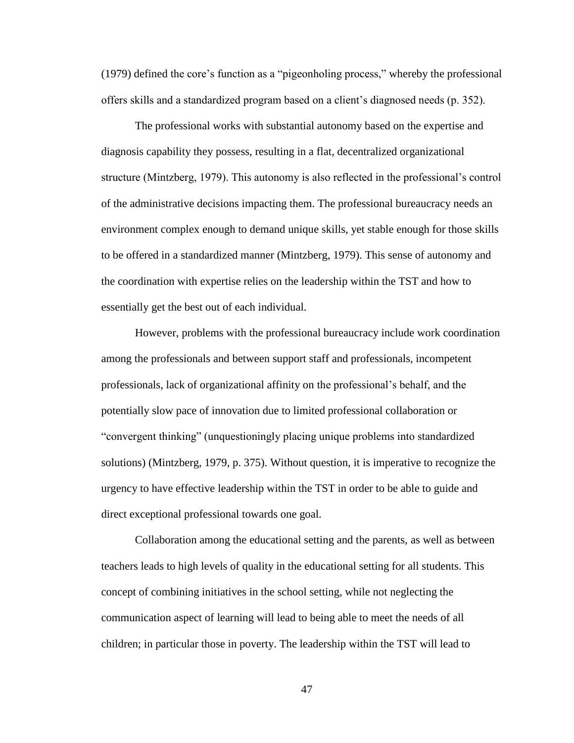(1979) defined the core"s function as a "pigeonholing process," whereby the professional offers skills and a standardized program based on a client"s diagnosed needs (p. 352).

The professional works with substantial autonomy based on the expertise and diagnosis capability they possess, resulting in a flat, decentralized organizational structure (Mintzberg, 1979). This autonomy is also reflected in the professional"s control of the administrative decisions impacting them. The professional bureaucracy needs an environment complex enough to demand unique skills, yet stable enough for those skills to be offered in a standardized manner (Mintzberg, 1979). This sense of autonomy and the coordination with expertise relies on the leadership within the TST and how to essentially get the best out of each individual.

However, problems with the professional bureaucracy include work coordination among the professionals and between support staff and professionals, incompetent professionals, lack of organizational affinity on the professional"s behalf, and the potentially slow pace of innovation due to limited professional collaboration or "convergent thinking" (unquestioningly placing unique problems into standardized solutions) (Mintzberg, 1979, p. 375). Without question, it is imperative to recognize the urgency to have effective leadership within the TST in order to be able to guide and direct exceptional professional towards one goal.

Collaboration among the educational setting and the parents, as well as between teachers leads to high levels of quality in the educational setting for all students. This concept of combining initiatives in the school setting, while not neglecting the communication aspect of learning will lead to being able to meet the needs of all children; in particular those in poverty. The leadership within the TST will lead to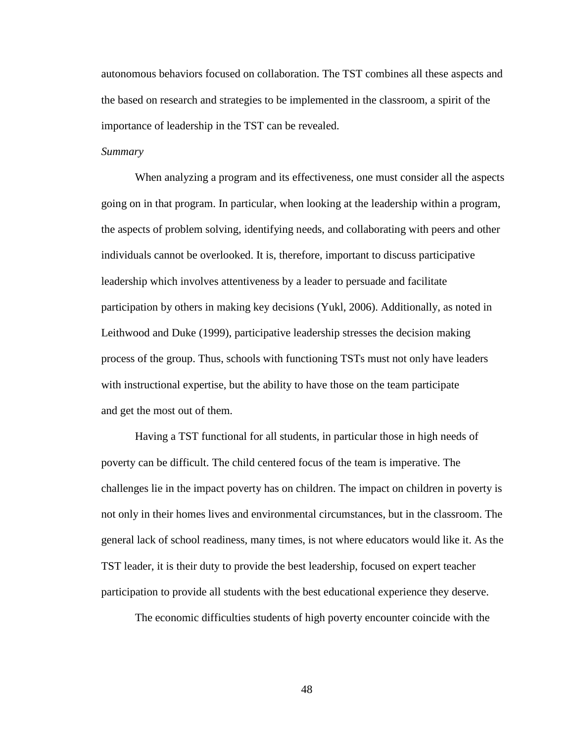autonomous behaviors focused on collaboration. The TST combines all these aspects and the based on research and strategies to be implemented in the classroom, a spirit of the importance of leadership in the TST can be revealed.

# *Summary*

When analyzing a program and its effectiveness, one must consider all the aspects going on in that program. In particular, when looking at the leadership within a program, the aspects of problem solving, identifying needs, and collaborating with peers and other individuals cannot be overlooked. It is, therefore, important to discuss participative leadership which involves attentiveness by a leader to persuade and facilitate participation by others in making key decisions (Yukl, 2006). Additionally, as noted in Leithwood and Duke (1999), participative leadership stresses the decision making process of the group. Thus, schools with functioning TSTs must not only have leaders with instructional expertise, but the ability to have those on the team participate and get the most out of them.

Having a TST functional for all students, in particular those in high needs of poverty can be difficult. The child centered focus of the team is imperative. The challenges lie in the impact poverty has on children. The impact on children in poverty is not only in their homes lives and environmental circumstances, but in the classroom. The general lack of school readiness, many times, is not where educators would like it. As the TST leader, it is their duty to provide the best leadership, focused on expert teacher participation to provide all students with the best educational experience they deserve.

The economic difficulties students of high poverty encounter coincide with the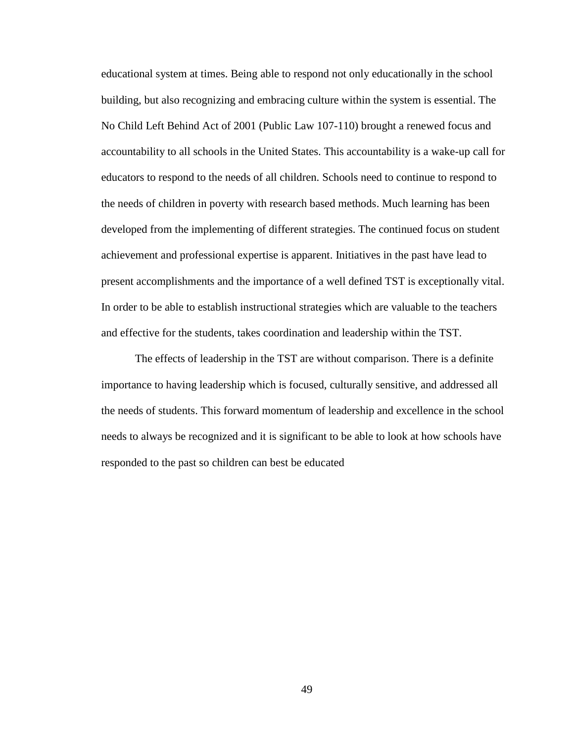educational system at times. Being able to respond not only educationally in the school building, but also recognizing and embracing culture within the system is essential. The No Child Left Behind Act of 2001 (Public Law 107-110) brought a renewed focus and accountability to all schools in the United States. This accountability is a wake-up call for educators to respond to the needs of all children. Schools need to continue to respond to the needs of children in poverty with research based methods. Much learning has been developed from the implementing of different strategies. The continued focus on student achievement and professional expertise is apparent. Initiatives in the past have lead to present accomplishments and the importance of a well defined TST is exceptionally vital. In order to be able to establish instructional strategies which are valuable to the teachers and effective for the students, takes coordination and leadership within the TST.

The effects of leadership in the TST are without comparison. There is a definite importance to having leadership which is focused, culturally sensitive, and addressed all the needs of students. This forward momentum of leadership and excellence in the school needs to always be recognized and it is significant to be able to look at how schools have responded to the past so children can best be educated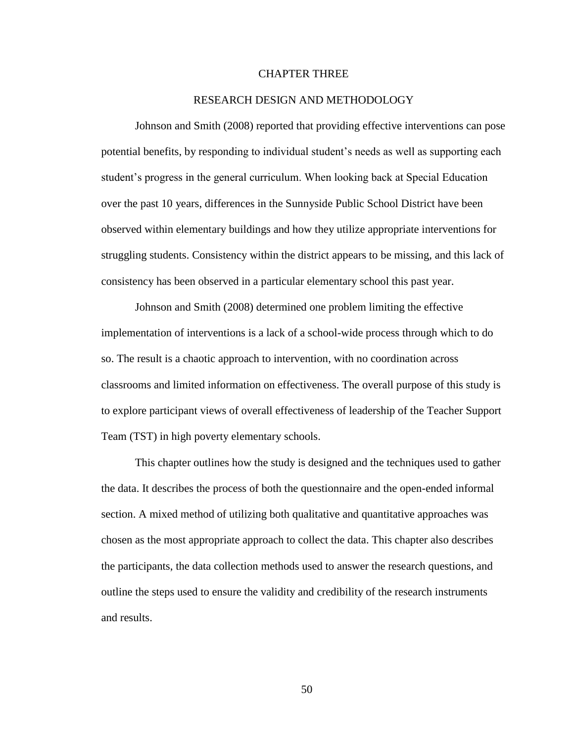# CHAPTER THREE

# RESEARCH DESIGN AND METHODOLOGY

Johnson and Smith (2008) reported that providing effective interventions can pose potential benefits, by responding to individual student"s needs as well as supporting each student"s progress in the general curriculum. When looking back at Special Education over the past 10 years, differences in the Sunnyside Public School District have been observed within elementary buildings and how they utilize appropriate interventions for struggling students. Consistency within the district appears to be missing, and this lack of consistency has been observed in a particular elementary school this past year.

Johnson and Smith (2008) determined one problem limiting the effective implementation of interventions is a lack of a school-wide process through which to do so. The result is a chaotic approach to intervention, with no coordination across classrooms and limited information on effectiveness. The overall purpose of this study is to explore participant views of overall effectiveness of leadership of the Teacher Support Team (TST) in high poverty elementary schools.

This chapter outlines how the study is designed and the techniques used to gather the data. It describes the process of both the questionnaire and the open-ended informal section. A mixed method of utilizing both qualitative and quantitative approaches was chosen as the most appropriate approach to collect the data. This chapter also describes the participants, the data collection methods used to answer the research questions, and outline the steps used to ensure the validity and credibility of the research instruments and results.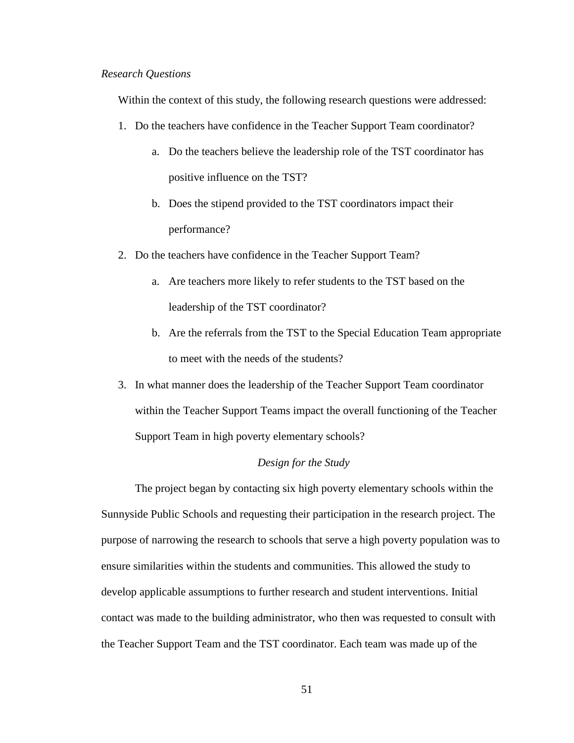#### *Research Questions*

Within the context of this study, the following research questions were addressed:

- 1. Do the teachers have confidence in the Teacher Support Team coordinator?
	- a. Do the teachers believe the leadership role of the TST coordinator has positive influence on the TST?
	- b. Does the stipend provided to the TST coordinators impact their performance?
- 2. Do the teachers have confidence in the Teacher Support Team?
	- a. Are teachers more likely to refer students to the TST based on the leadership of the TST coordinator?
	- b. Are the referrals from the TST to the Special Education Team appropriate to meet with the needs of the students?
- 3. In what manner does the leadership of the Teacher Support Team coordinator within the Teacher Support Teams impact the overall functioning of the Teacher Support Team in high poverty elementary schools?

# *Design for the Study*

The project began by contacting six high poverty elementary schools within the Sunnyside Public Schools and requesting their participation in the research project. The purpose of narrowing the research to schools that serve a high poverty population was to ensure similarities within the students and communities. This allowed the study to develop applicable assumptions to further research and student interventions. Initial contact was made to the building administrator, who then was requested to consult with the Teacher Support Team and the TST coordinator. Each team was made up of the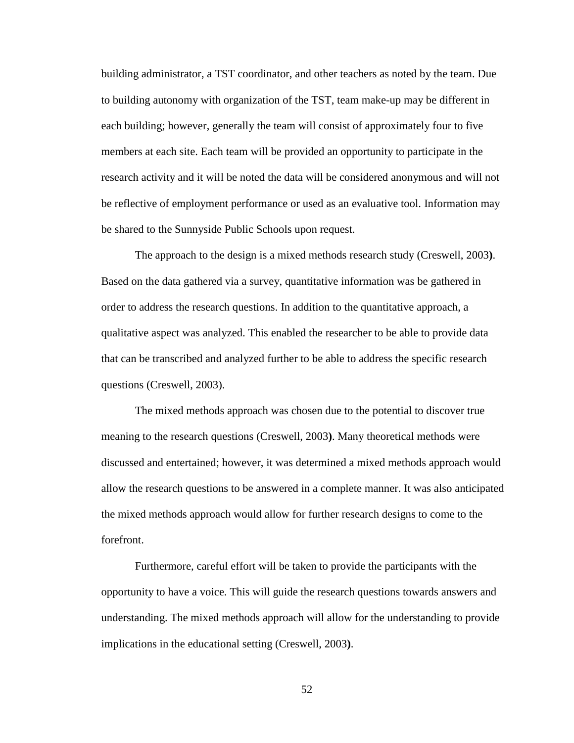building administrator, a TST coordinator, and other teachers as noted by the team. Due to building autonomy with organization of the TST, team make-up may be different in each building; however, generally the team will consist of approximately four to five members at each site. Each team will be provided an opportunity to participate in the research activity and it will be noted the data will be considered anonymous and will not be reflective of employment performance or used as an evaluative tool. Information may be shared to the Sunnyside Public Schools upon request.

The approach to the design is a mixed methods research study (Creswell, 2003**)**. Based on the data gathered via a survey, quantitative information was be gathered in order to address the research questions. In addition to the quantitative approach, a qualitative aspect was analyzed. This enabled the researcher to be able to provide data that can be transcribed and analyzed further to be able to address the specific research questions (Creswell, 2003).

The mixed methods approach was chosen due to the potential to discover true meaning to the research questions (Creswell, 2003**)**. Many theoretical methods were discussed and entertained; however, it was determined a mixed methods approach would allow the research questions to be answered in a complete manner. It was also anticipated the mixed methods approach would allow for further research designs to come to the forefront.

Furthermore, careful effort will be taken to provide the participants with the opportunity to have a voice. This will guide the research questions towards answers and understanding. The mixed methods approach will allow for the understanding to provide implications in the educational setting (Creswell, 2003**)**.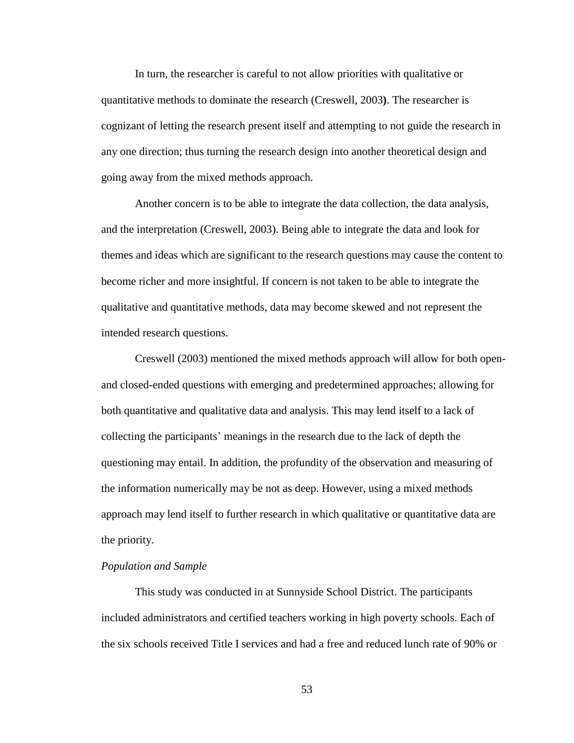In turn, the researcher is careful to not allow priorities with qualitative or quantitative methods to dominate the research (Creswell, 2003**)**. The researcher is cognizant of letting the research present itself and attempting to not guide the research in any one direction; thus turning the research design into another theoretical design and going away from the mixed methods approach.

Another concern is to be able to integrate the data collection, the data analysis, and the interpretation (Creswell, 2003). Being able to integrate the data and look for themes and ideas which are significant to the research questions may cause the content to become richer and more insightful. If concern is not taken to be able to integrate the qualitative and quantitative methods, data may become skewed and not represent the intended research questions.

Creswell (2003) mentioned the mixed methods approach will allow for both openand closed-ended questions with emerging and predetermined approaches; allowing for both quantitative and qualitative data and analysis. This may lend itself to a lack of collecting the participants" meanings in the research due to the lack of depth the questioning may entail. In addition, the profundity of the observation and measuring of the information numerically may be not as deep. However, using a mixed methods approach may lend itself to further research in which qualitative or quantitative data are the priority.

# *Population and Sample*

This study was conducted in at Sunnyside School District. The participants included administrators and certified teachers working in high poverty schools. Each of the six schools received Title I services and had a free and reduced lunch rate of 90% or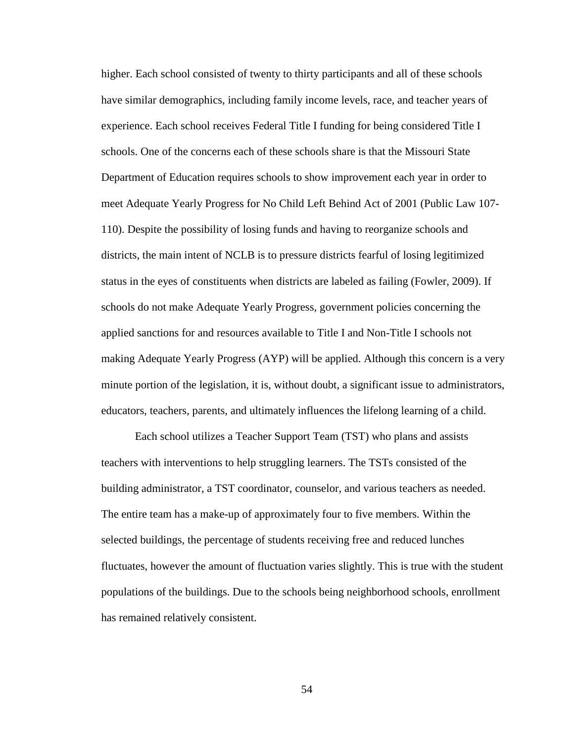higher. Each school consisted of twenty to thirty participants and all of these schools have similar demographics, including family income levels, race, and teacher years of experience. Each school receives Federal Title I funding for being considered Title I schools. One of the concerns each of these schools share is that the Missouri State Department of Education requires schools to show improvement each year in order to meet Adequate Yearly Progress for No Child Left Behind Act of 2001 (Public Law 107- 110). Despite the possibility of losing funds and having to reorganize schools and districts, the main intent of NCLB is to pressure districts fearful of losing legitimized status in the eyes of constituents when districts are labeled as failing (Fowler, 2009). If schools do not make Adequate Yearly Progress, government policies concerning the applied sanctions for and resources available to Title I and Non-Title I schools not making Adequate Yearly Progress (AYP) will be applied. Although this concern is a very minute portion of the legislation, it is, without doubt, a significant issue to administrators, educators, teachers, parents, and ultimately influences the lifelong learning of a child.

Each school utilizes a Teacher Support Team (TST) who plans and assists teachers with interventions to help struggling learners. The TSTs consisted of the building administrator, a TST coordinator, counselor, and various teachers as needed. The entire team has a make-up of approximately four to five members. Within the selected buildings, the percentage of students receiving free and reduced lunches fluctuates, however the amount of fluctuation varies slightly. This is true with the student populations of the buildings. Due to the schools being neighborhood schools, enrollment has remained relatively consistent.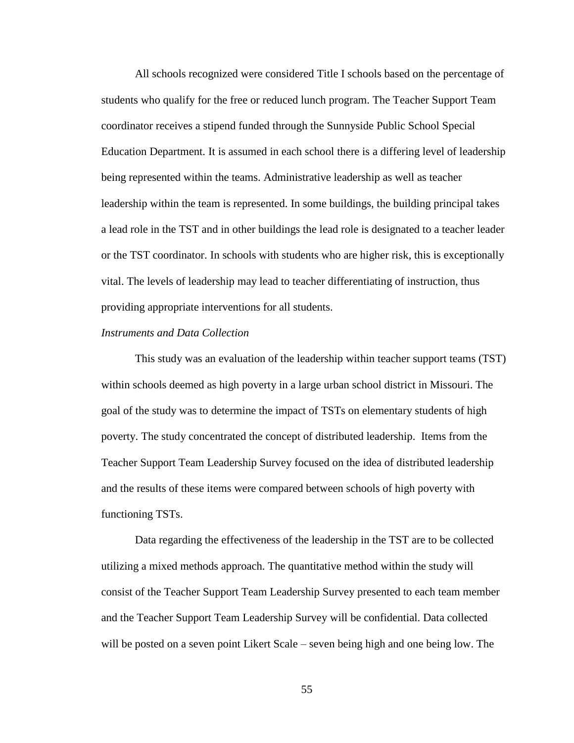All schools recognized were considered Title I schools based on the percentage of students who qualify for the free or reduced lunch program. The Teacher Support Team coordinator receives a stipend funded through the Sunnyside Public School Special Education Department. It is assumed in each school there is a differing level of leadership being represented within the teams. Administrative leadership as well as teacher leadership within the team is represented. In some buildings, the building principal takes a lead role in the TST and in other buildings the lead role is designated to a teacher leader or the TST coordinator. In schools with students who are higher risk, this is exceptionally vital. The levels of leadership may lead to teacher differentiating of instruction, thus providing appropriate interventions for all students.

### *Instruments and Data Collection*

This study was an evaluation of the leadership within teacher support teams (TST) within schools deemed as high poverty in a large urban school district in Missouri. The goal of the study was to determine the impact of TSTs on elementary students of high poverty. The study concentrated the concept of distributed leadership. Items from the Teacher Support Team Leadership Survey focused on the idea of distributed leadership and the results of these items were compared between schools of high poverty with functioning TSTs.

Data regarding the effectiveness of the leadership in the TST are to be collected utilizing a mixed methods approach. The quantitative method within the study will consist of the Teacher Support Team Leadership Survey presented to each team member and the Teacher Support Team Leadership Survey will be confidential. Data collected will be posted on a seven point Likert Scale – seven being high and one being low. The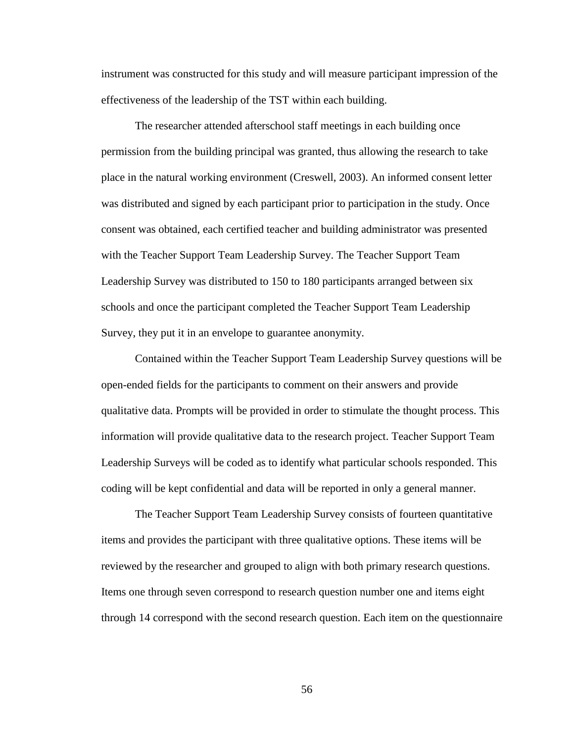instrument was constructed for this study and will measure participant impression of the effectiveness of the leadership of the TST within each building.

The researcher attended afterschool staff meetings in each building once permission from the building principal was granted, thus allowing the research to take place in the natural working environment (Creswell, 2003). An informed consent letter was distributed and signed by each participant prior to participation in the study. Once consent was obtained, each certified teacher and building administrator was presented with the Teacher Support Team Leadership Survey. The Teacher Support Team Leadership Survey was distributed to 150 to 180 participants arranged between six schools and once the participant completed the Teacher Support Team Leadership Survey, they put it in an envelope to guarantee anonymity.

Contained within the Teacher Support Team Leadership Survey questions will be open-ended fields for the participants to comment on their answers and provide qualitative data. Prompts will be provided in order to stimulate the thought process. This information will provide qualitative data to the research project. Teacher Support Team Leadership Surveys will be coded as to identify what particular schools responded. This coding will be kept confidential and data will be reported in only a general manner.

The Teacher Support Team Leadership Survey consists of fourteen quantitative items and provides the participant with three qualitative options. These items will be reviewed by the researcher and grouped to align with both primary research questions. Items one through seven correspond to research question number one and items eight through 14 correspond with the second research question. Each item on the questionnaire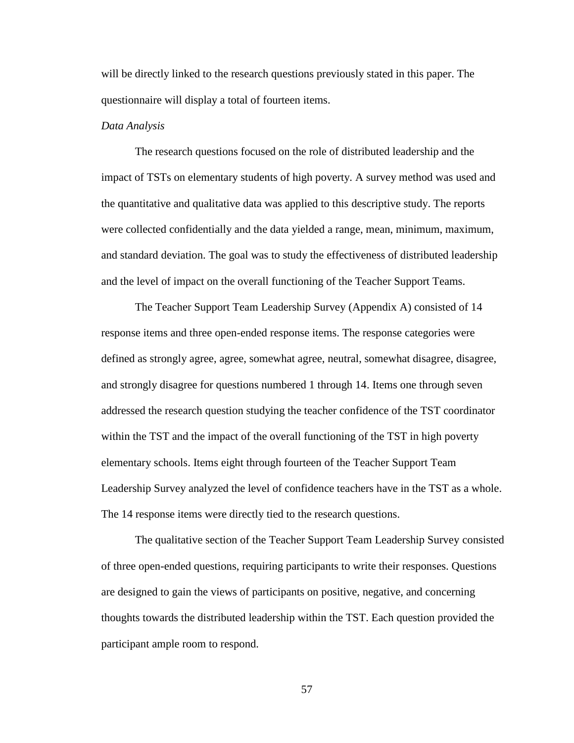will be directly linked to the research questions previously stated in this paper. The questionnaire will display a total of fourteen items.

### *Data Analysis*

The research questions focused on the role of distributed leadership and the impact of TSTs on elementary students of high poverty. A survey method was used and the quantitative and qualitative data was applied to this descriptive study. The reports were collected confidentially and the data yielded a range, mean, minimum, maximum, and standard deviation. The goal was to study the effectiveness of distributed leadership and the level of impact on the overall functioning of the Teacher Support Teams.

The Teacher Support Team Leadership Survey (Appendix A) consisted of 14 response items and three open-ended response items. The response categories were defined as strongly agree, agree, somewhat agree, neutral, somewhat disagree, disagree, and strongly disagree for questions numbered 1 through 14. Items one through seven addressed the research question studying the teacher confidence of the TST coordinator within the TST and the impact of the overall functioning of the TST in high poverty elementary schools. Items eight through fourteen of the Teacher Support Team Leadership Survey analyzed the level of confidence teachers have in the TST as a whole. The 14 response items were directly tied to the research questions.

The qualitative section of the Teacher Support Team Leadership Survey consisted of three open-ended questions, requiring participants to write their responses. Questions are designed to gain the views of participants on positive, negative, and concerning thoughts towards the distributed leadership within the TST. Each question provided the participant ample room to respond.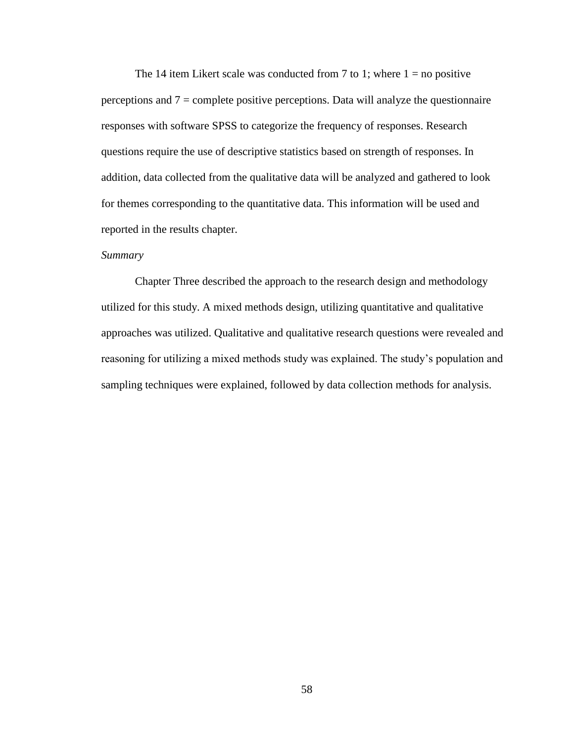The 14 item Likert scale was conducted from 7 to 1; where  $1 =$  no positive perceptions and  $7 =$  complete positive perceptions. Data will analyze the questionnaire responses with software SPSS to categorize the frequency of responses. Research questions require the use of descriptive statistics based on strength of responses. In addition, data collected from the qualitative data will be analyzed and gathered to look for themes corresponding to the quantitative data. This information will be used and reported in the results chapter.

# *Summary*

Chapter Three described the approach to the research design and methodology utilized for this study. A mixed methods design, utilizing quantitative and qualitative approaches was utilized. Qualitative and qualitative research questions were revealed and reasoning for utilizing a mixed methods study was explained. The study"s population and sampling techniques were explained, followed by data collection methods for analysis.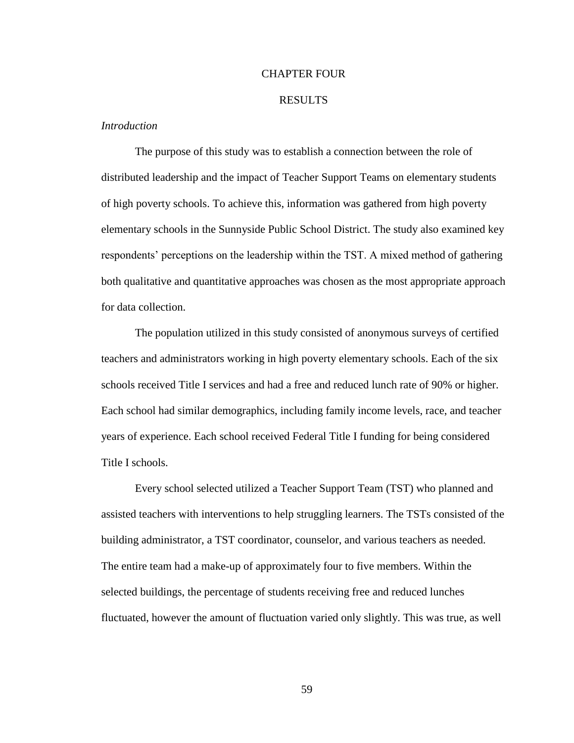### CHAPTER FOUR

### RESULTS

# *Introduction*

The purpose of this study was to establish a connection between the role of distributed leadership and the impact of Teacher Support Teams on elementary students of high poverty schools. To achieve this, information was gathered from high poverty elementary schools in the Sunnyside Public School District. The study also examined key respondents" perceptions on the leadership within the TST. A mixed method of gathering both qualitative and quantitative approaches was chosen as the most appropriate approach for data collection.

The population utilized in this study consisted of anonymous surveys of certified teachers and administrators working in high poverty elementary schools. Each of the six schools received Title I services and had a free and reduced lunch rate of 90% or higher. Each school had similar demographics, including family income levels, race, and teacher years of experience. Each school received Federal Title I funding for being considered Title I schools.

Every school selected utilized a Teacher Support Team (TST) who planned and assisted teachers with interventions to help struggling learners. The TSTs consisted of the building administrator, a TST coordinator, counselor, and various teachers as needed. The entire team had a make-up of approximately four to five members. Within the selected buildings, the percentage of students receiving free and reduced lunches fluctuated, however the amount of fluctuation varied only slightly. This was true, as well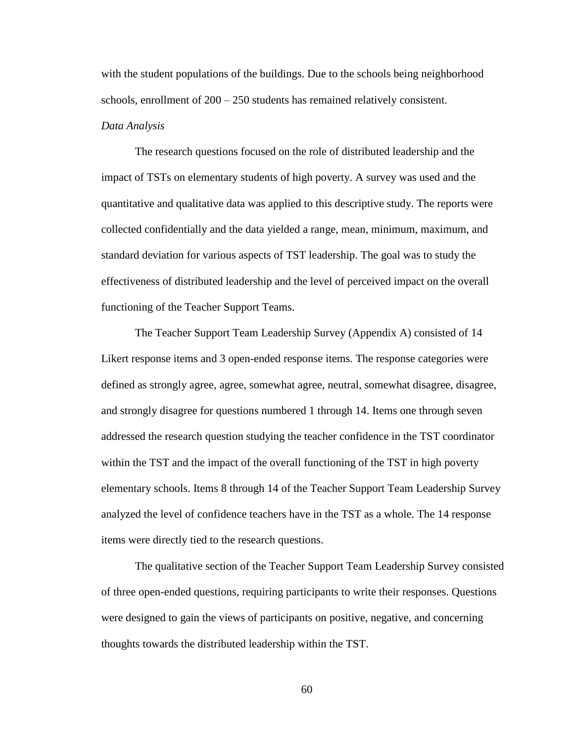with the student populations of the buildings. Due to the schools being neighborhood schools, enrollment of 200 – 250 students has remained relatively consistent. *Data Analysis*

The research questions focused on the role of distributed leadership and the impact of TSTs on elementary students of high poverty. A survey was used and the quantitative and qualitative data was applied to this descriptive study. The reports were collected confidentially and the data yielded a range, mean, minimum, maximum, and standard deviation for various aspects of TST leadership. The goal was to study the effectiveness of distributed leadership and the level of perceived impact on the overall functioning of the Teacher Support Teams.

The Teacher Support Team Leadership Survey (Appendix A) consisted of 14 Likert response items and 3 open-ended response items. The response categories were defined as strongly agree, agree, somewhat agree, neutral, somewhat disagree, disagree, and strongly disagree for questions numbered 1 through 14. Items one through seven addressed the research question studying the teacher confidence in the TST coordinator within the TST and the impact of the overall functioning of the TST in high poverty elementary schools. Items 8 through 14 of the Teacher Support Team Leadership Survey analyzed the level of confidence teachers have in the TST as a whole. The 14 response items were directly tied to the research questions.

The qualitative section of the Teacher Support Team Leadership Survey consisted of three open-ended questions, requiring participants to write their responses. Questions were designed to gain the views of participants on positive, negative, and concerning thoughts towards the distributed leadership within the TST.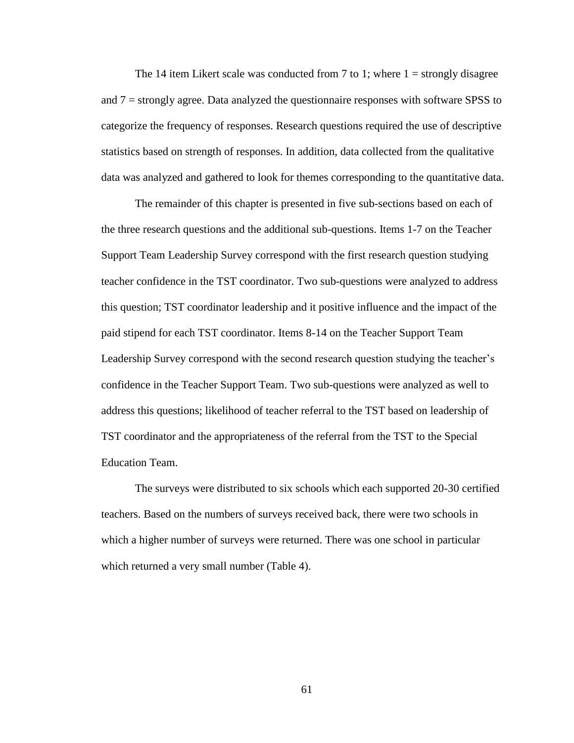The 14 item Likert scale was conducted from 7 to 1; where  $1 =$  strongly disagree and 7 = strongly agree. Data analyzed the questionnaire responses with software SPSS to categorize the frequency of responses. Research questions required the use of descriptive statistics based on strength of responses. In addition, data collected from the qualitative data was analyzed and gathered to look for themes corresponding to the quantitative data.

The remainder of this chapter is presented in five sub-sections based on each of the three research questions and the additional sub-questions. Items 1-7 on the Teacher Support Team Leadership Survey correspond with the first research question studying teacher confidence in the TST coordinator. Two sub-questions were analyzed to address this question; TST coordinator leadership and it positive influence and the impact of the paid stipend for each TST coordinator. Items 8-14 on the Teacher Support Team Leadership Survey correspond with the second research question studying the teacher"s confidence in the Teacher Support Team. Two sub-questions were analyzed as well to address this questions; likelihood of teacher referral to the TST based on leadership of TST coordinator and the appropriateness of the referral from the TST to the Special Education Team.

The surveys were distributed to six schools which each supported 20-30 certified teachers. Based on the numbers of surveys received back, there were two schools in which a higher number of surveys were returned. There was one school in particular which returned a very small number (Table 4).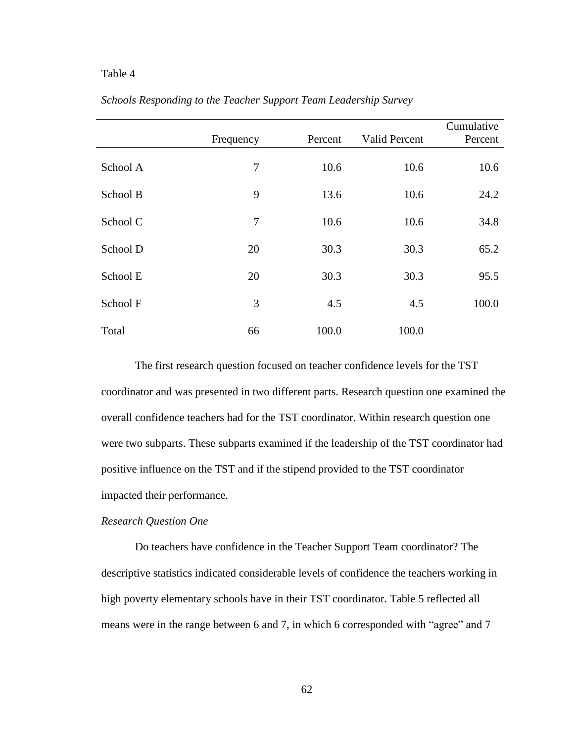## Table 4

|          |           |         |                      | Cumulative |
|----------|-----------|---------|----------------------|------------|
|          | Frequency | Percent | <b>Valid Percent</b> | Percent    |
| School A | 7         | 10.6    | 10.6                 | 10.6       |
| School B | 9         | 13.6    | 10.6                 | 24.2       |
| School C | $\tau$    | 10.6    | 10.6                 | 34.8       |
| School D | 20        | 30.3    | 30.3                 | 65.2       |
| School E | 20        | 30.3    | 30.3                 | 95.5       |
| School F | 3         | 4.5     | 4.5                  | 100.0      |
| Total    | 66        | 100.0   | 100.0                |            |

*Schools Responding to the Teacher Support Team Leadership Survey*

The first research question focused on teacher confidence levels for the TST coordinator and was presented in two different parts. Research question one examined the overall confidence teachers had for the TST coordinator. Within research question one were two subparts. These subparts examined if the leadership of the TST coordinator had positive influence on the TST and if the stipend provided to the TST coordinator impacted their performance.

## *Research Question One*

Do teachers have confidence in the Teacher Support Team coordinator? The descriptive statistics indicated considerable levels of confidence the teachers working in high poverty elementary schools have in their TST coordinator. Table 5 reflected all means were in the range between 6 and 7, in which 6 corresponded with "agree" and 7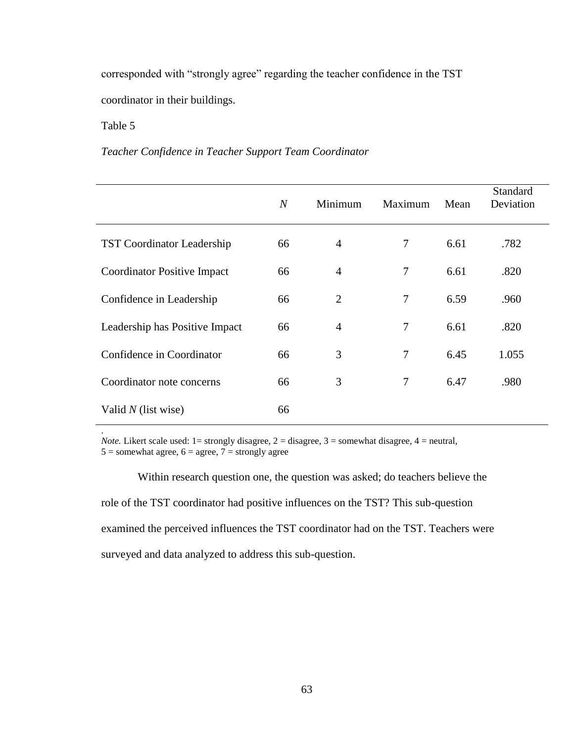corresponded with "strongly agree" regarding the teacher confidence in the TST coordinator in their buildings.

# Table 5

.

## *Teacher Confidence in Teacher Support Team Coordinator*

|                                    | $\overline{N}$ | Minimum        | Maximum        | Mean | <b>Standard</b><br>Deviation |
|------------------------------------|----------------|----------------|----------------|------|------------------------------|
| <b>TST Coordinator Leadership</b>  | 66             | $\overline{4}$ | 7              | 6.61 | .782                         |
| <b>Coordinator Positive Impact</b> | 66             | $\overline{4}$ | $\overline{7}$ | 6.61 | .820                         |
| Confidence in Leadership           | 66             | 2              | $\overline{7}$ | 6.59 | .960                         |
| Leadership has Positive Impact     | 66             | $\overline{4}$ | 7              | 6.61 | .820                         |
| Confidence in Coordinator          | 66             | 3              | 7              | 6.45 | 1.055                        |
| Coordinator note concerns          | 66             | 3              | $\overline{7}$ | 6.47 | .980                         |
| Valid $N$ (list wise)              | 66             |                |                |      |                              |

*Note.* Likert scale used:  $1 =$  strongly disagree,  $2 =$  disagree,  $3 =$  somewhat disagree,  $4 =$  neutral,  $5 =$ somewhat agree,  $6 =$ agree,  $7 =$ strongly agree

Within research question one, the question was asked; do teachers believe the role of the TST coordinator had positive influences on the TST? This sub-question examined the perceived influences the TST coordinator had on the TST. Teachers were surveyed and data analyzed to address this sub-question.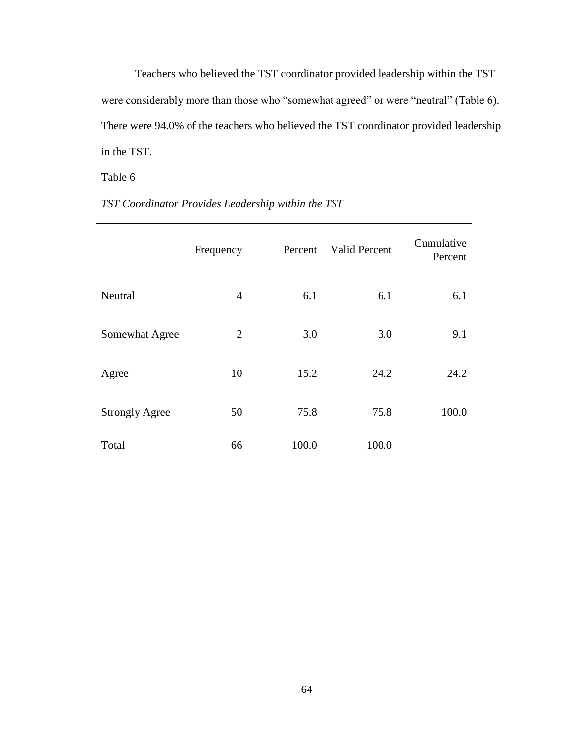Teachers who believed the TST coordinator provided leadership within the TST were considerably more than those who "somewhat agreed" or were "neutral" (Table 6). There were 94.0% of the teachers who believed the TST coordinator provided leadership in the TST.

# Table 6

|                       | Frequency      | Percent | <b>Valid Percent</b> | Cumulative<br>Percent |
|-----------------------|----------------|---------|----------------------|-----------------------|
| <b>Neutral</b>        | $\overline{4}$ | 6.1     | 6.1                  | 6.1                   |
| Somewhat Agree        | $\overline{2}$ | 3.0     | 3.0                  | 9.1                   |
| Agree                 | 10             | 15.2    | 24.2                 | 24.2                  |
| <b>Strongly Agree</b> | 50             | 75.8    | 75.8                 | 100.0                 |
| Total                 | 66             | 100.0   | 100.0                |                       |

*TST Coordinator Provides Leadership within the TST*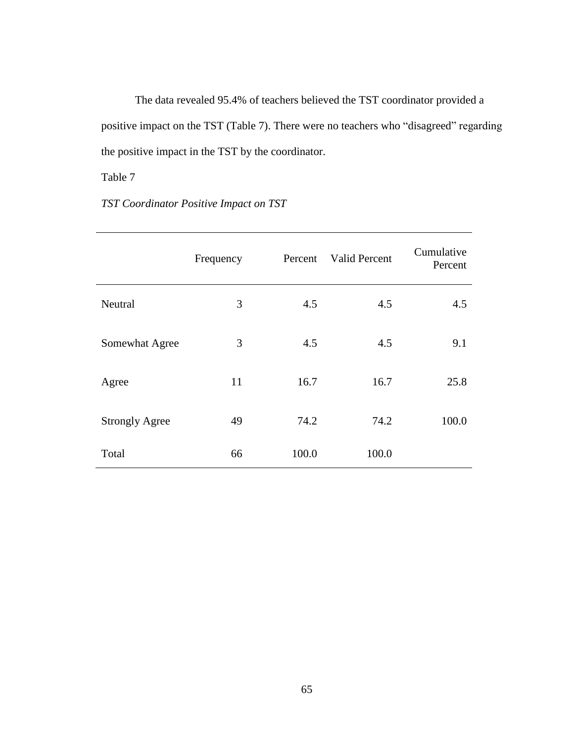The data revealed 95.4% of teachers believed the TST coordinator provided a positive impact on the TST (Table 7). There were no teachers who "disagreed" regarding the positive impact in the TST by the coordinator.

Table 7

*TST Coordinator Positive Impact on TST*

|                       | Frequency | Percent | <b>Valid Percent</b> | Cumulative<br>Percent |
|-----------------------|-----------|---------|----------------------|-----------------------|
| Neutral               | 3         | 4.5     | 4.5                  | 4.5                   |
| Somewhat Agree        | 3         | 4.5     | 4.5                  | 9.1                   |
| Agree                 | 11        | 16.7    | 16.7                 | 25.8                  |
| <b>Strongly Agree</b> | 49        | 74.2    | 74.2                 | 100.0                 |
| Total                 | 66        | 100.0   | 100.0                |                       |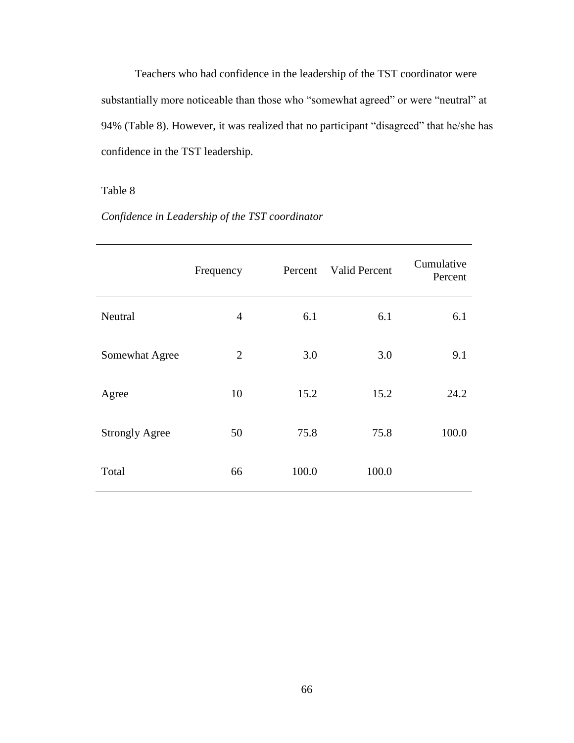Teachers who had confidence in the leadership of the TST coordinator were substantially more noticeable than those who "somewhat agreed" or were "neutral" at 94% (Table 8). However, it was realized that no participant "disagreed" that he/she has confidence in the TST leadership.

# Table 8

# *Confidence in Leadership of the TST coordinator*

|                       | Frequency      | Percent | <b>Valid Percent</b> | Cumulative<br>Percent |
|-----------------------|----------------|---------|----------------------|-----------------------|
| Neutral               | $\overline{4}$ | 6.1     | 6.1                  | 6.1                   |
| Somewhat Agree        | $\overline{2}$ | 3.0     | 3.0                  | 9.1                   |
| Agree                 | 10             | 15.2    | 15.2                 | 24.2                  |
| <b>Strongly Agree</b> | 50             | 75.8    | 75.8                 | 100.0                 |
| Total                 | 66             | 100.0   | 100.0                |                       |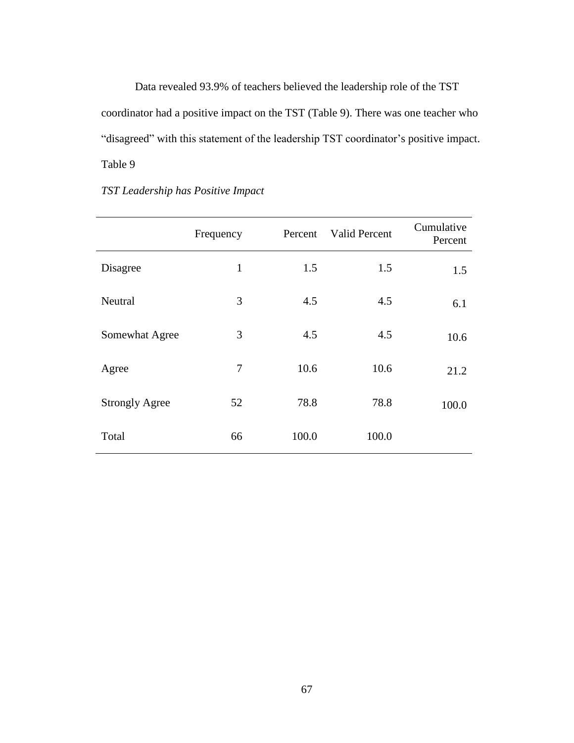Data revealed 93.9% of teachers believed the leadership role of the TST coordinator had a positive impact on the TST (Table 9). There was one teacher who "disagreed" with this statement of the leadership TST coordinator's positive impact. Table 9

|                       | Frequency    | Percent | Valid Percent | Cumulative<br>Percent |
|-----------------------|--------------|---------|---------------|-----------------------|
| Disagree              | $\mathbf{1}$ | 1.5     | 1.5           | 1.5                   |
| <b>Neutral</b>        | 3            | 4.5     | 4.5           | 6.1                   |
| Somewhat Agree        | 3            | 4.5     | 4.5           | 10.6                  |
| Agree                 | 7            | 10.6    | 10.6          | 21.2                  |
| <b>Strongly Agree</b> | 52           | 78.8    | 78.8          | 100.0                 |
| Total                 | 66           | 100.0   | 100.0         |                       |

# *TST Leadership has Positive Impact*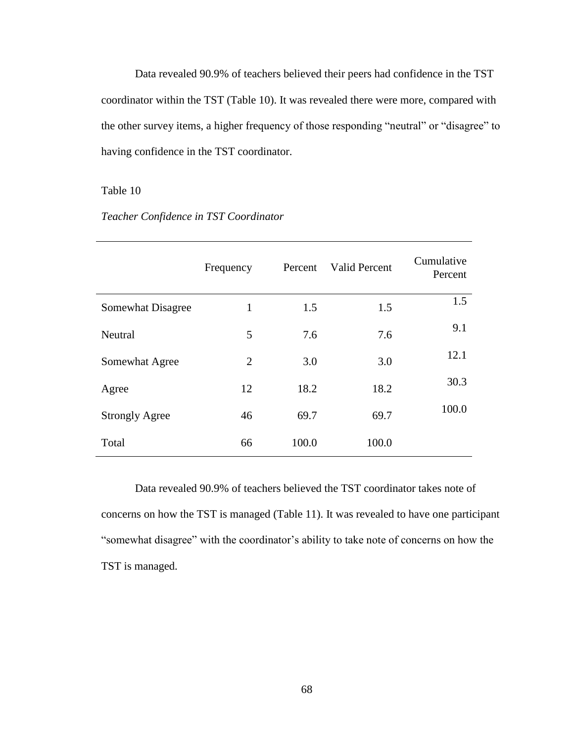Data revealed 90.9% of teachers believed their peers had confidence in the TST coordinator within the TST (Table 10). It was revealed there were more, compared with the other survey items, a higher frequency of those responding "neutral" or "disagree" to having confidence in the TST coordinator.

## Table 10

|                       | Frequency      | Percent | Valid Percent | Cumulative<br>Percent |
|-----------------------|----------------|---------|---------------|-----------------------|
| Somewhat Disagree     | 1              | 1.5     | 1.5           | 1.5                   |
| Neutral               | 5              | 7.6     | 7.6           | 9.1                   |
| Somewhat Agree        | $\overline{2}$ | 3.0     | 3.0           | 12.1                  |
| Agree                 | 12             | 18.2    | 18.2          | 30.3                  |
| <b>Strongly Agree</b> | 46             | 69.7    | 69.7          | 100.0                 |
| Total                 | 66             | 100.0   | 100.0         |                       |

# *Teacher Confidence in TST Coordinator*

Data revealed 90.9% of teachers believed the TST coordinator takes note of concerns on how the TST is managed (Table 11). It was revealed to have one participant "somewhat disagree" with the coordinator's ability to take note of concerns on how the TST is managed.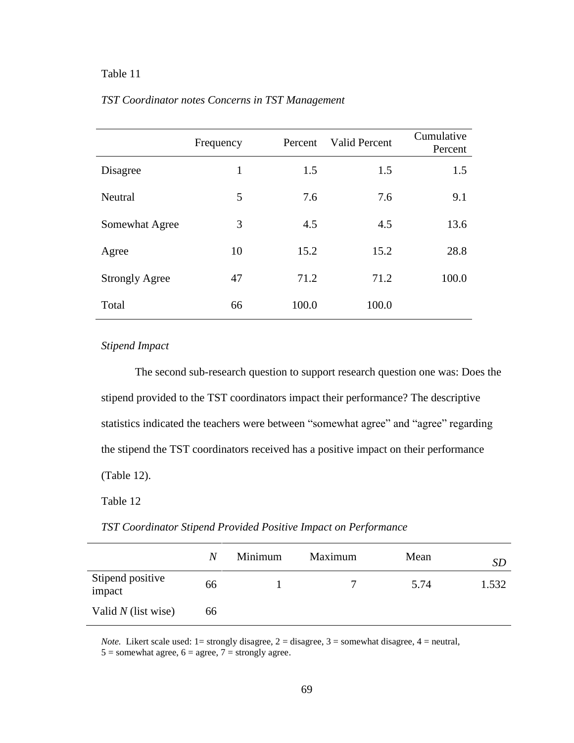# Table 11

|                       | Frequency | Percent | <b>Valid Percent</b> | Cumulative<br>Percent |
|-----------------------|-----------|---------|----------------------|-----------------------|
| Disagree              | 1         | 1.5     | 1.5                  | 1.5                   |
| Neutral               | 5         | 7.6     | 7.6                  | 9.1                   |
| Somewhat Agree        | 3         | 4.5     | 4.5                  | 13.6                  |
| Agree                 | 10        | 15.2    | 15.2                 | 28.8                  |
| <b>Strongly Agree</b> | 47        | 71.2    | 71.2                 | 100.0                 |
| Total                 | 66        | 100.0   | 100.0                |                       |

## *TST Coordinator notes Concerns in TST Management*

# *Stipend Impact*

The second sub-research question to support research question one was: Does the stipend provided to the TST coordinators impact their performance? The descriptive statistics indicated the teachers were between "somewhat agree" and "agree" regarding the stipend the TST coordinators received has a positive impact on their performance (Table 12).

Table 12

|  |  |  | TST Coordinator Stipend Provided Positive Impact on Performance |
|--|--|--|-----------------------------------------------------------------|
|  |  |  |                                                                 |

|                            | N  | Minimum | Maximum | Mean | <i>SD</i> |
|----------------------------|----|---------|---------|------|-----------|
| Stipend positive<br>impact | 66 |         |         | 5.74 | 1.532     |
| Valid $N$ (list wise)      | 66 |         |         |      |           |

*Note.* Likert scale used:  $1 =$  strongly disagree,  $2 =$  disagree,  $3 =$  somewhat disagree,  $4 =$  neutral,  $5 =$ somewhat agree,  $6 =$ agree,  $7 =$ strongly agree.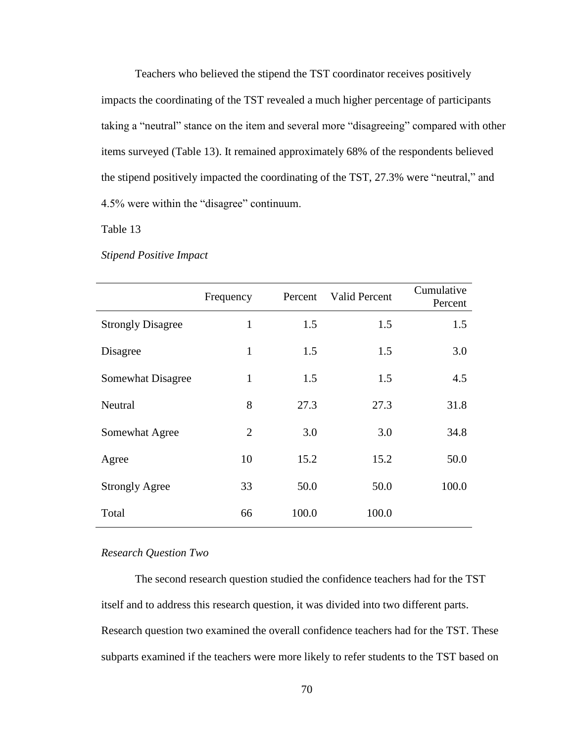Teachers who believed the stipend the TST coordinator receives positively impacts the coordinating of the TST revealed a much higher percentage of participants taking a "neutral" stance on the item and several more "disagreeing" compared with other items surveyed (Table 13). It remained approximately 68% of the respondents believed the stipend positively impacted the coordinating of the TST, 27.3% were "neutral," and 4.5% were within the "disagree" continuum.

Table 13

|                          | Frequency | Percen |
|--------------------------|-----------|--------|
| <b>Strongly Disagree</b> |           |        |

*Stipend Positive Impact*

|                          | Frequency      | Percent | Valid Percent | Cumulative<br>Percent |
|--------------------------|----------------|---------|---------------|-----------------------|
| <b>Strongly Disagree</b> | 1              | 1.5     | 1.5           | 1.5                   |
| Disagree                 | $\mathbf{1}$   | 1.5     | 1.5           | 3.0                   |
| Somewhat Disagree        | 1              | 1.5     | 1.5           | 4.5                   |
| Neutral                  | 8              | 27.3    | 27.3          | 31.8                  |
| Somewhat Agree           | $\overline{2}$ | 3.0     | 3.0           | 34.8                  |
| Agree                    | 10             | 15.2    | 15.2          | 50.0                  |
| <b>Strongly Agree</b>    | 33             | 50.0    | 50.0          | 100.0                 |
| Total                    | 66             | 100.0   | 100.0         |                       |

### *Research Question Two*

The second research question studied the confidence teachers had for the TST itself and to address this research question, it was divided into two different parts. Research question two examined the overall confidence teachers had for the TST. These subparts examined if the teachers were more likely to refer students to the TST based on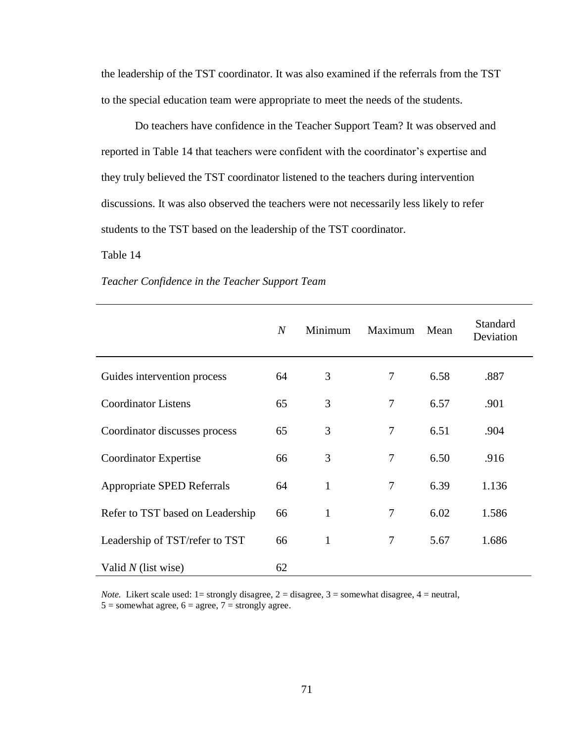the leadership of the TST coordinator. It was also examined if the referrals from the TST to the special education team were appropriate to meet the needs of the students.

Do teachers have confidence in the Teacher Support Team? It was observed and reported in Table 14 that teachers were confident with the coordinator's expertise and they truly believed the TST coordinator listened to the teachers during intervention discussions. It was also observed the teachers were not necessarily less likely to refer students to the TST based on the leadership of the TST coordinator.

### Table 14

|                                  | $\boldsymbol{N}$ | Minimum      | Maximum        | Mean | Standard<br>Deviation |
|----------------------------------|------------------|--------------|----------------|------|-----------------------|
| Guides intervention process      | 64               | 3            | 7              | 6.58 | .887                  |
| <b>Coordinator Listens</b>       | 65               | 3            | 7              | 6.57 | .901                  |
| Coordinator discusses process    | 65               | 3            | 7              | 6.51 | .904                  |
| Coordinator Expertise            | 66               | 3            | $\overline{7}$ | 6.50 | .916                  |
| Appropriate SPED Referrals       | 64               | $\mathbf{1}$ | 7              | 6.39 | 1.136                 |
| Refer to TST based on Leadership | 66               | 1            | 7              | 6.02 | 1.586                 |
| Leadership of TST/refer to TST   | 66               | $\mathbf{1}$ | 7              | 5.67 | 1.686                 |
| Valid $N$ (list wise)            | 62               |              |                |      |                       |

## *Teacher Confidence in the Teacher Support Team*

*Note.* Likert scale used:  $1 =$  strongly disagree,  $2 =$  disagree,  $3 =$  somewhat disagree,  $4 =$  neutral,  $5 =$ somewhat agree,  $6 =$ agree,  $7 =$ strongly agree.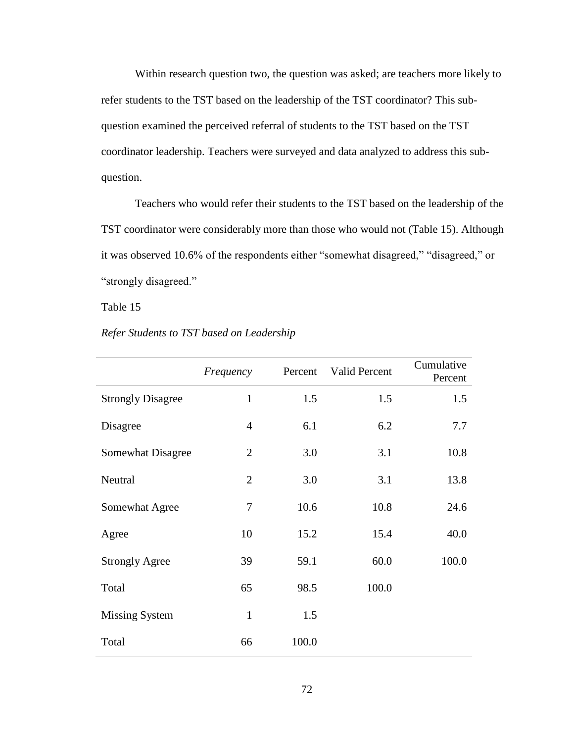Within research question two, the question was asked; are teachers more likely to refer students to the TST based on the leadership of the TST coordinator? This subquestion examined the perceived referral of students to the TST based on the TST coordinator leadership. Teachers were surveyed and data analyzed to address this subquestion.

Teachers who would refer their students to the TST based on the leadership of the TST coordinator were considerably more than those who would not (Table 15). Although it was observed 10.6% of the respondents either "somewhat disagreed," "disagreed," or "strongly disagreed."

## Table 15

## *Refer Students to TST based on Leadership*

|                          | Frequency      | Percent | Valid Percent | Cumulative<br>Percent |
|--------------------------|----------------|---------|---------------|-----------------------|
| <b>Strongly Disagree</b> | $\mathbf{1}$   | 1.5     | 1.5           | 1.5                   |
| Disagree                 | $\overline{4}$ | 6.1     | 6.2           | 7.7                   |
| Somewhat Disagree        | $\overline{2}$ | 3.0     | 3.1           | 10.8                  |
| Neutral                  | $\overline{2}$ | 3.0     | 3.1           | 13.8                  |
| Somewhat Agree           | 7              | 10.6    | 10.8          | 24.6                  |
| Agree                    | 10             | 15.2    | 15.4          | 40.0                  |
| <b>Strongly Agree</b>    | 39             | 59.1    | 60.0          | 100.0                 |
| Total                    | 65             | 98.5    | 100.0         |                       |
| <b>Missing System</b>    | $\mathbf{1}$   | 1.5     |               |                       |
| Total                    | 66             | 100.0   |               |                       |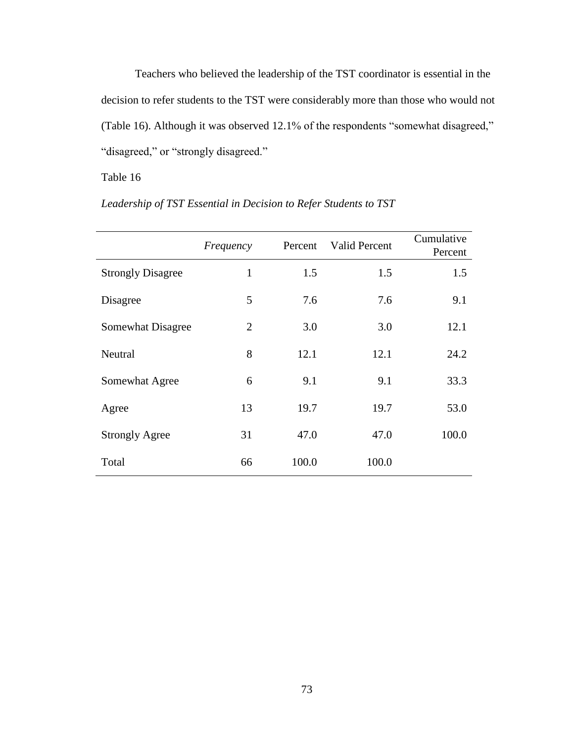Teachers who believed the leadership of the TST coordinator is essential in the decision to refer students to the TST were considerably more than those who would not (Table 16). Although it was observed 12.1% of the respondents "somewhat disagreed," "disagreed," or "strongly disagreed."

Table 16

|                          | Frequency      | Percent | <b>Valid Percent</b> | Cumulative<br>Percent |
|--------------------------|----------------|---------|----------------------|-----------------------|
| <b>Strongly Disagree</b> | $\mathbf{1}$   | 1.5     | 1.5                  | 1.5                   |
| Disagree                 | 5              | 7.6     | 7.6                  | 9.1                   |
| Somewhat Disagree        | $\overline{2}$ | 3.0     | 3.0                  | 12.1                  |
| Neutral                  | 8              | 12.1    | 12.1                 | 24.2                  |
| Somewhat Agree           | 6              | 9.1     | 9.1                  | 33.3                  |
| Agree                    | 13             | 19.7    | 19.7                 | 53.0                  |
| <b>Strongly Agree</b>    | 31             | 47.0    | 47.0                 | 100.0                 |
| Total                    | 66             | 100.0   | 100.0                |                       |

*Leadership of TST Essential in Decision to Refer Students to TST*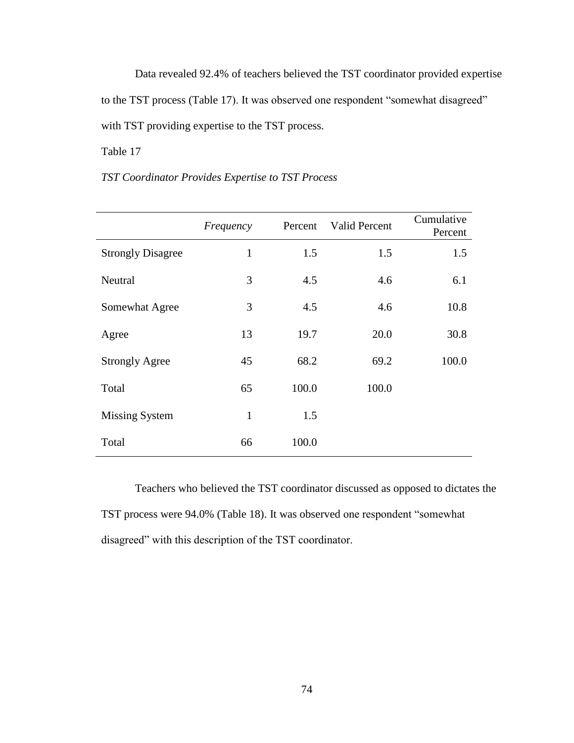Data revealed 92.4% of teachers believed the TST coordinator provided expertise to the TST process (Table 17). It was observed one respondent "somewhat disagreed" with TST providing expertise to the TST process.

# Table 17

# *TST Coordinator Provides Expertise to TST Process*

|                          | Frequency    | Percent | Valid Percent | Cumulative<br>Percent |
|--------------------------|--------------|---------|---------------|-----------------------|
| <b>Strongly Disagree</b> | $\mathbf{1}$ | 1.5     | 1.5           | 1.5                   |
| Neutral                  | 3            | 4.5     | 4.6           | 6.1                   |
| Somewhat Agree           | 3            | 4.5     | 4.6           | 10.8                  |
| Agree                    | 13           | 19.7    | 20.0          | 30.8                  |
| <b>Strongly Agree</b>    | 45           | 68.2    | 69.2          | 100.0                 |
| Total                    | 65           | 100.0   | 100.0         |                       |
| <b>Missing System</b>    | $\mathbf{1}$ | 1.5     |               |                       |
| Total                    | 66           | 100.0   |               |                       |

Teachers who believed the TST coordinator discussed as opposed to dictates the TST process were 94.0% (Table 18). It was observed one respondent "somewhat disagreed" with this description of the TST coordinator.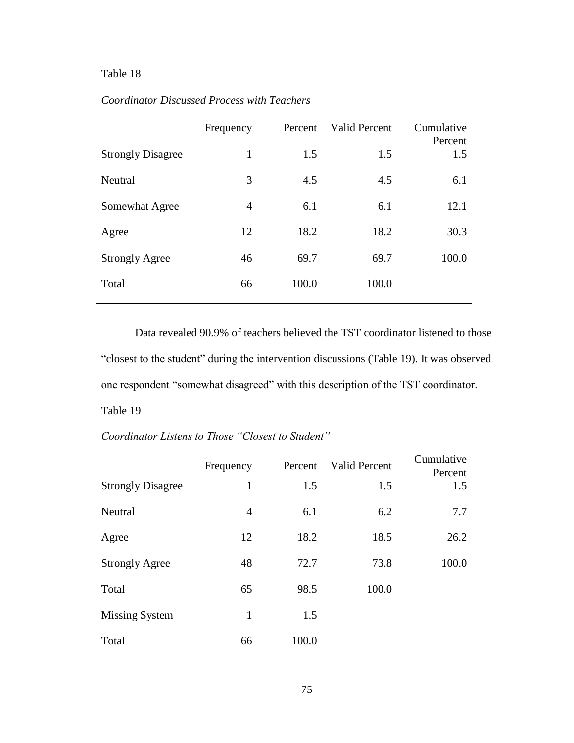# Table 18

|                          | Frequency      | Percent | Valid Percent | Cumulative<br>Percent |
|--------------------------|----------------|---------|---------------|-----------------------|
| <b>Strongly Disagree</b> |                | 1.5     | 1.5           | 1.5                   |
| Neutral                  | 3              | 4.5     | 4.5           | 6.1                   |
| Somewhat Agree           | $\overline{4}$ | 6.1     | 6.1           | 12.1                  |
| Agree                    | 12             | 18.2    | 18.2          | 30.3                  |
| <b>Strongly Agree</b>    | 46             | 69.7    | 69.7          | 100.0                 |
| Total                    | 66             | 100.0   | 100.0         |                       |

# *Coordinator Discussed Process with Teachers*

Data revealed 90.9% of teachers believed the TST coordinator listened to those "closest to the student" during the intervention discussions (Table 19). It was observed one respondent "somewhat disagreed" with this description of the TST coordinator. Table 19

*Coordinator Listens to Those "Closest to Student"*

|                          | Frequency    | Percent | <b>Valid Percent</b> | Cumulative |
|--------------------------|--------------|---------|----------------------|------------|
|                          |              |         |                      | Percent    |
| <b>Strongly Disagree</b> | $\mathbf{1}$ | 1.5     | 1.5                  | 1.5        |
| Neutral                  | 4            | 6.1     | 6.2                  | 7.7        |
| Agree                    | 12           | 18.2    | 18.5                 | 26.2       |
| <b>Strongly Agree</b>    | 48           | 72.7    | 73.8                 | 100.0      |
| Total                    | 65           | 98.5    | 100.0                |            |
| <b>Missing System</b>    | 1            | 1.5     |                      |            |
| Total                    | 66           | 100.0   |                      |            |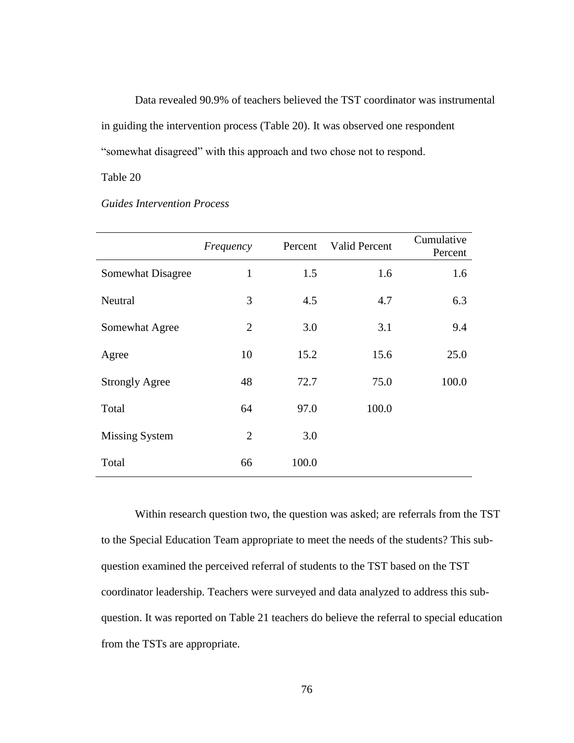Data revealed 90.9% of teachers believed the TST coordinator was instrumental in guiding the intervention process (Table 20). It was observed one respondent "somewhat disagreed" with this approach and two chose not to respond.

## Table 20

# *Guides Intervention Process*

|                          | Frequency      | Percent | <b>Valid Percent</b> | Cumulative<br>Percent |
|--------------------------|----------------|---------|----------------------|-----------------------|
| <b>Somewhat Disagree</b> | 1              | 1.5     | 1.6                  | 1.6                   |
| Neutral                  | 3              | 4.5     | 4.7                  | 6.3                   |
| Somewhat Agree           | 2              | 3.0     | 3.1                  | 9.4                   |
| Agree                    | 10             | 15.2    | 15.6                 | 25.0                  |
| <b>Strongly Agree</b>    | 48             | 72.7    | 75.0                 | 100.0                 |
| Total                    | 64             | 97.0    | 100.0                |                       |
| <b>Missing System</b>    | $\overline{2}$ | 3.0     |                      |                       |
| Total                    | 66             | 100.0   |                      |                       |

Within research question two, the question was asked; are referrals from the TST to the Special Education Team appropriate to meet the needs of the students? This subquestion examined the perceived referral of students to the TST based on the TST coordinator leadership. Teachers were surveyed and data analyzed to address this subquestion. It was reported on Table 21 teachers do believe the referral to special education from the TSTs are appropriate.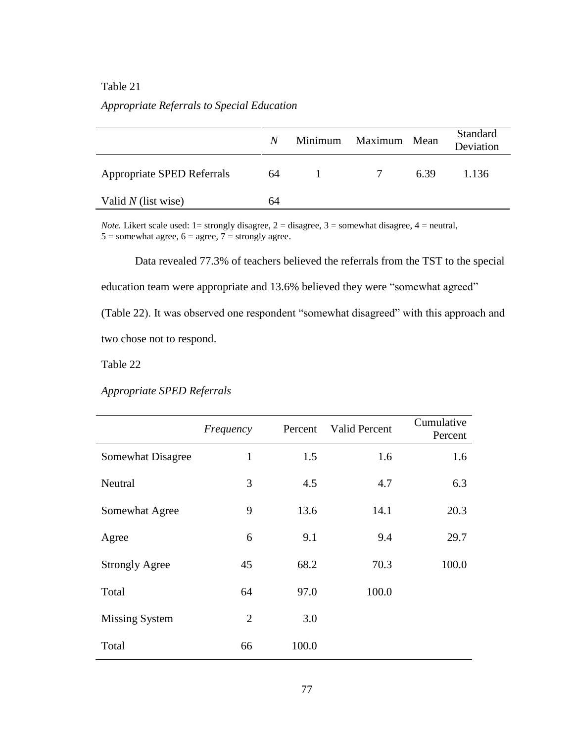## Table 21

# *Appropriate Referrals to Special Education*

|                            | N  | Minimum | Maximum Mean |      | Standard<br>Deviation |
|----------------------------|----|---------|--------------|------|-----------------------|
| Appropriate SPED Referrals | 64 | 1       | 7            | 6.39 | 1.136                 |
| Valid $N$ (list wise)      | 64 |         |              |      |                       |

*Note.* Likert scale used: 1= strongly disagree, 2 = disagree, 3 = somewhat disagree, 4 = neutral,  $5 =$  somewhat agree,  $6 =$  agree,  $7 =$  strongly agree.

Data revealed 77.3% of teachers believed the referrals from the TST to the special education team were appropriate and 13.6% believed they were "somewhat agreed" (Table 22). It was observed one respondent "somewhat disagreed" with this approach and two chose not to respond.

Table 22

*Appropriate SPED Referrals*

|                       | Frequency      | Percent | Valid Percent | Cumulative<br>Percent |
|-----------------------|----------------|---------|---------------|-----------------------|
| Somewhat Disagree     | 1              | 1.5     | 1.6           | 1.6                   |
| Neutral               | 3              | 4.5     | 4.7           | 6.3                   |
| Somewhat Agree        | 9              | 13.6    | 14.1          | 20.3                  |
| Agree                 | 6              | 9.1     | 9.4           | 29.7                  |
| <b>Strongly Agree</b> | 45             | 68.2    | 70.3          | 100.0                 |
| Total                 | 64             | 97.0    | 100.0         |                       |
| <b>Missing System</b> | $\overline{2}$ | 3.0     |               |                       |
| Total                 | 66             | 100.0   |               |                       |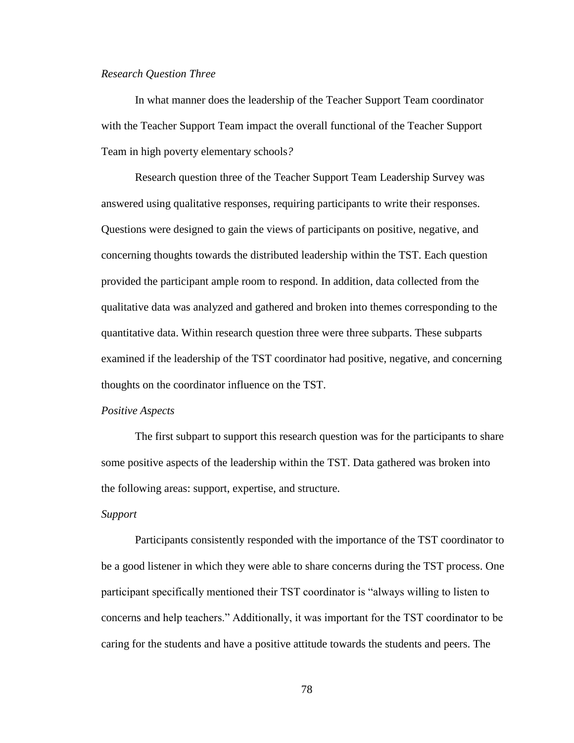### *Research Question Three*

In what manner does the leadership of the Teacher Support Team coordinator with the Teacher Support Team impact the overall functional of the Teacher Support Team in high poverty elementary schools*?*

Research question three of the Teacher Support Team Leadership Survey was answered using qualitative responses, requiring participants to write their responses. Questions were designed to gain the views of participants on positive, negative, and concerning thoughts towards the distributed leadership within the TST. Each question provided the participant ample room to respond. In addition, data collected from the qualitative data was analyzed and gathered and broken into themes corresponding to the quantitative data. Within research question three were three subparts. These subparts examined if the leadership of the TST coordinator had positive, negative, and concerning thoughts on the coordinator influence on the TST.

#### *Positive Aspects*

The first subpart to support this research question was for the participants to share some positive aspects of the leadership within the TST. Data gathered was broken into the following areas: support, expertise, and structure.

### *Support*

Participants consistently responded with the importance of the TST coordinator to be a good listener in which they were able to share concerns during the TST process. One participant specifically mentioned their TST coordinator is "always willing to listen to concerns and help teachers." Additionally, it was important for the TST coordinator to be caring for the students and have a positive attitude towards the students and peers. The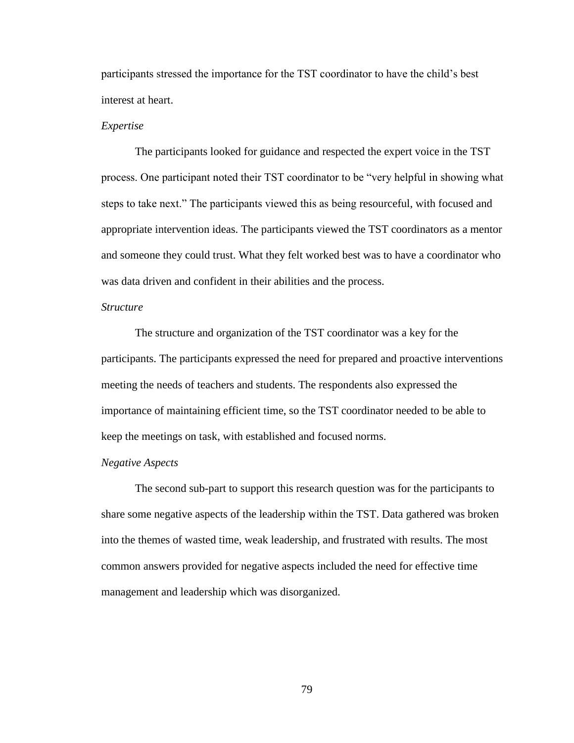participants stressed the importance for the TST coordinator to have the child"s best interest at heart.

### *Expertise*

The participants looked for guidance and respected the expert voice in the TST process. One participant noted their TST coordinator to be "very helpful in showing what steps to take next." The participants viewed this as being resourceful, with focused and appropriate intervention ideas. The participants viewed the TST coordinators as a mentor and someone they could trust. What they felt worked best was to have a coordinator who was data driven and confident in their abilities and the process.

## *Structure*

The structure and organization of the TST coordinator was a key for the participants. The participants expressed the need for prepared and proactive interventions meeting the needs of teachers and students. The respondents also expressed the importance of maintaining efficient time, so the TST coordinator needed to be able to keep the meetings on task, with established and focused norms.

### *Negative Aspects*

The second sub-part to support this research question was for the participants to share some negative aspects of the leadership within the TST. Data gathered was broken into the themes of wasted time, weak leadership, and frustrated with results. The most common answers provided for negative aspects included the need for effective time management and leadership which was disorganized.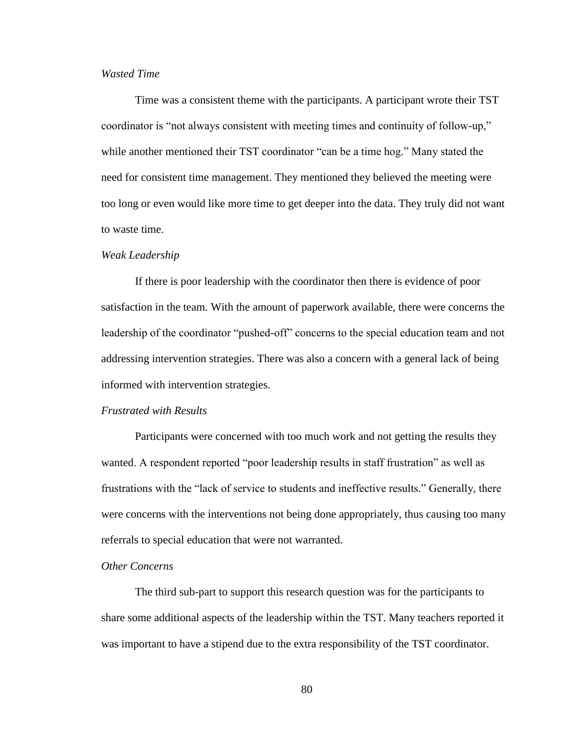## *Wasted Time*

Time was a consistent theme with the participants. A participant wrote their TST coordinator is "not always consistent with meeting times and continuity of follow-up," while another mentioned their TST coordinator "can be a time hog." Many stated the need for consistent time management. They mentioned they believed the meeting were too long or even would like more time to get deeper into the data. They truly did not want to waste time.

#### *Weak Leadership*

If there is poor leadership with the coordinator then there is evidence of poor satisfaction in the team. With the amount of paperwork available, there were concerns the leadership of the coordinator "pushed-off" concerns to the special education team and not addressing intervention strategies. There was also a concern with a general lack of being informed with intervention strategies.

## *Frustrated with Results*

Participants were concerned with too much work and not getting the results they wanted. A respondent reported "poor leadership results in staff frustration" as well as frustrations with the "lack of service to students and ineffective results." Generally, there were concerns with the interventions not being done appropriately, thus causing too many referrals to special education that were not warranted.

## *Other Concerns*

The third sub-part to support this research question was for the participants to share some additional aspects of the leadership within the TST. Many teachers reported it was important to have a stipend due to the extra responsibility of the TST coordinator.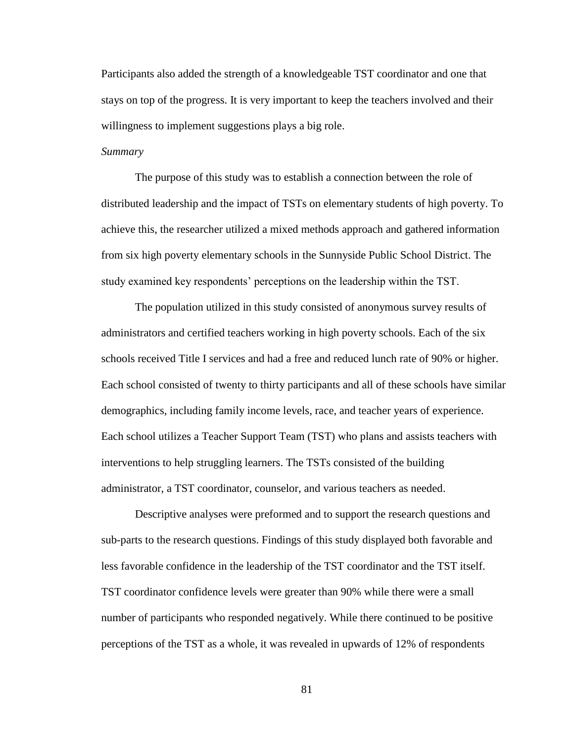Participants also added the strength of a knowledgeable TST coordinator and one that stays on top of the progress. It is very important to keep the teachers involved and their willingness to implement suggestions plays a big role.

## *Summary*

The purpose of this study was to establish a connection between the role of distributed leadership and the impact of TSTs on elementary students of high poverty. To achieve this, the researcher utilized a mixed methods approach and gathered information from six high poverty elementary schools in the Sunnyside Public School District. The study examined key respondents" perceptions on the leadership within the TST.

The population utilized in this study consisted of anonymous survey results of administrators and certified teachers working in high poverty schools. Each of the six schools received Title I services and had a free and reduced lunch rate of 90% or higher. Each school consisted of twenty to thirty participants and all of these schools have similar demographics, including family income levels, race, and teacher years of experience. Each school utilizes a Teacher Support Team (TST) who plans and assists teachers with interventions to help struggling learners. The TSTs consisted of the building administrator, a TST coordinator, counselor, and various teachers as needed.

Descriptive analyses were preformed and to support the research questions and sub-parts to the research questions. Findings of this study displayed both favorable and less favorable confidence in the leadership of the TST coordinator and the TST itself. TST coordinator confidence levels were greater than 90% while there were a small number of participants who responded negatively. While there continued to be positive perceptions of the TST as a whole, it was revealed in upwards of 12% of respondents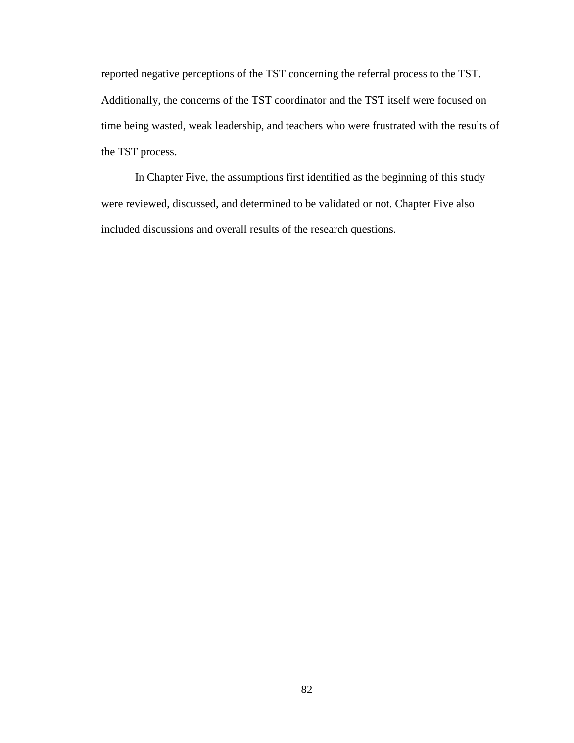reported negative perceptions of the TST concerning the referral process to the TST. Additionally, the concerns of the TST coordinator and the TST itself were focused on time being wasted, weak leadership, and teachers who were frustrated with the results of the TST process.

In Chapter Five, the assumptions first identified as the beginning of this study were reviewed, discussed, and determined to be validated or not. Chapter Five also included discussions and overall results of the research questions.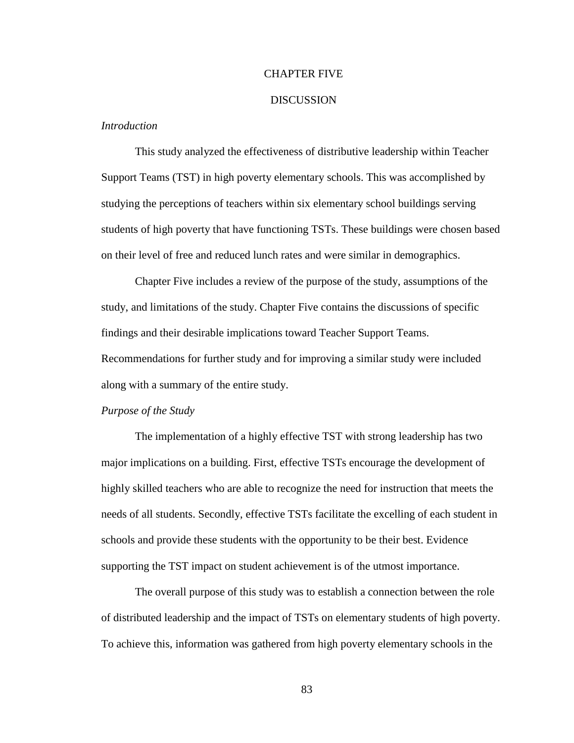### CHAPTER FIVE

### **DISCUSSION**

## *Introduction*

This study analyzed the effectiveness of distributive leadership within Teacher Support Teams (TST) in high poverty elementary schools. This was accomplished by studying the perceptions of teachers within six elementary school buildings serving students of high poverty that have functioning TSTs. These buildings were chosen based on their level of free and reduced lunch rates and were similar in demographics.

Chapter Five includes a review of the purpose of the study, assumptions of the study, and limitations of the study. Chapter Five contains the discussions of specific findings and their desirable implications toward Teacher Support Teams. Recommendations for further study and for improving a similar study were included along with a summary of the entire study.

### *Purpose of the Study*

The implementation of a highly effective TST with strong leadership has two major implications on a building. First, effective TSTs encourage the development of highly skilled teachers who are able to recognize the need for instruction that meets the needs of all students. Secondly, effective TSTs facilitate the excelling of each student in schools and provide these students with the opportunity to be their best. Evidence supporting the TST impact on student achievement is of the utmost importance.

The overall purpose of this study was to establish a connection between the role of distributed leadership and the impact of TSTs on elementary students of high poverty. To achieve this, information was gathered from high poverty elementary schools in the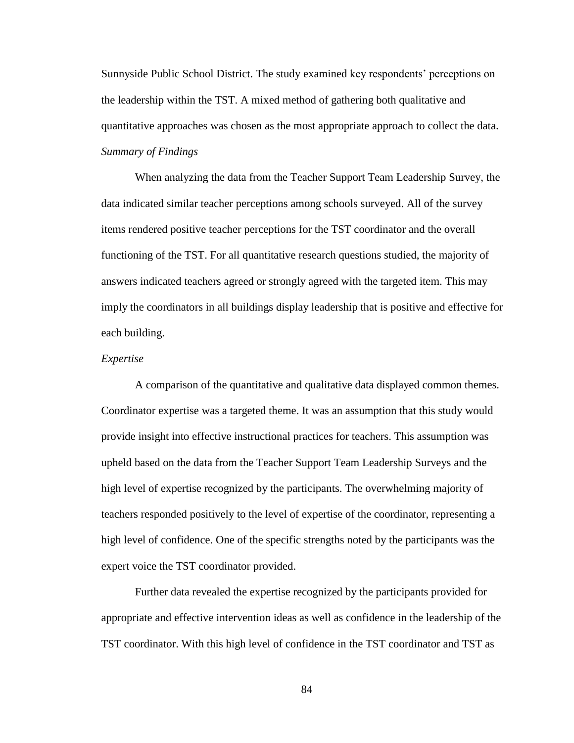Sunnyside Public School District. The study examined key respondents" perceptions on the leadership within the TST. A mixed method of gathering both qualitative and quantitative approaches was chosen as the most appropriate approach to collect the data. *Summary of Findings*

When analyzing the data from the Teacher Support Team Leadership Survey, the data indicated similar teacher perceptions among schools surveyed. All of the survey items rendered positive teacher perceptions for the TST coordinator and the overall functioning of the TST. For all quantitative research questions studied, the majority of answers indicated teachers agreed or strongly agreed with the targeted item. This may imply the coordinators in all buildings display leadership that is positive and effective for each building.

### *Expertise*

A comparison of the quantitative and qualitative data displayed common themes. Coordinator expertise was a targeted theme. It was an assumption that this study would provide insight into effective instructional practices for teachers. This assumption was upheld based on the data from the Teacher Support Team Leadership Surveys and the high level of expertise recognized by the participants. The overwhelming majority of teachers responded positively to the level of expertise of the coordinator, representing a high level of confidence. One of the specific strengths noted by the participants was the expert voice the TST coordinator provided.

Further data revealed the expertise recognized by the participants provided for appropriate and effective intervention ideas as well as confidence in the leadership of the TST coordinator. With this high level of confidence in the TST coordinator and TST as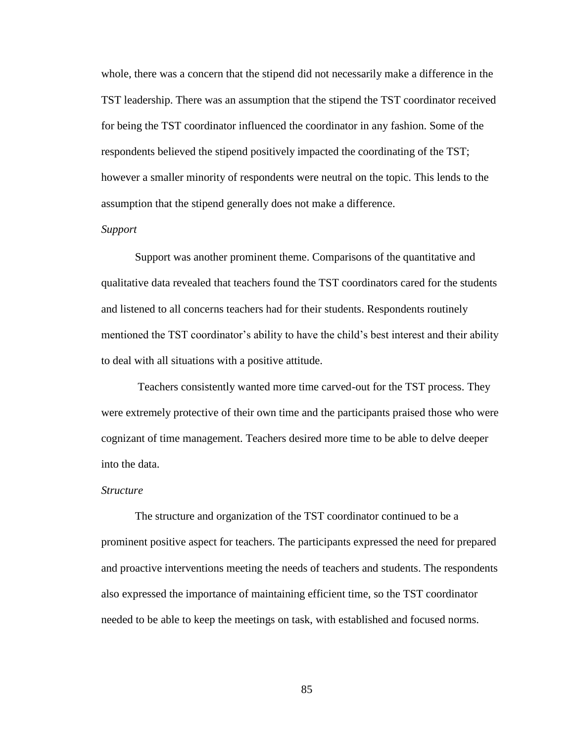whole, there was a concern that the stipend did not necessarily make a difference in the TST leadership. There was an assumption that the stipend the TST coordinator received for being the TST coordinator influenced the coordinator in any fashion. Some of the respondents believed the stipend positively impacted the coordinating of the TST; however a smaller minority of respondents were neutral on the topic. This lends to the assumption that the stipend generally does not make a difference.

## *Support*

Support was another prominent theme. Comparisons of the quantitative and qualitative data revealed that teachers found the TST coordinators cared for the students and listened to all concerns teachers had for their students. Respondents routinely mentioned the TST coordinator's ability to have the child's best interest and their ability to deal with all situations with a positive attitude.

Teachers consistently wanted more time carved-out for the TST process. They were extremely protective of their own time and the participants praised those who were cognizant of time management. Teachers desired more time to be able to delve deeper into the data.

### *Structure*

The structure and organization of the TST coordinator continued to be a prominent positive aspect for teachers. The participants expressed the need for prepared and proactive interventions meeting the needs of teachers and students. The respondents also expressed the importance of maintaining efficient time, so the TST coordinator needed to be able to keep the meetings on task, with established and focused norms.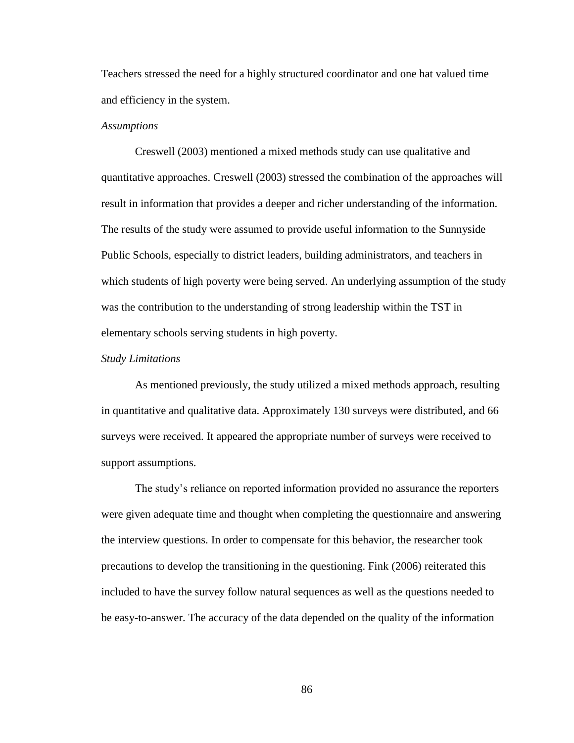Teachers stressed the need for a highly structured coordinator and one hat valued time and efficiency in the system.

### *Assumptions*

Creswell (2003) mentioned a mixed methods study can use qualitative and quantitative approaches. Creswell (2003) stressed the combination of the approaches will result in information that provides a deeper and richer understanding of the information. The results of the study were assumed to provide useful information to the Sunnyside Public Schools, especially to district leaders, building administrators, and teachers in which students of high poverty were being served. An underlying assumption of the study was the contribution to the understanding of strong leadership within the TST in elementary schools serving students in high poverty.

### *Study Limitations*

As mentioned previously, the study utilized a mixed methods approach, resulting in quantitative and qualitative data. Approximately 130 surveys were distributed, and 66 surveys were received. It appeared the appropriate number of surveys were received to support assumptions.

The study"s reliance on reported information provided no assurance the reporters were given adequate time and thought when completing the questionnaire and answering the interview questions. In order to compensate for this behavior, the researcher took precautions to develop the transitioning in the questioning. Fink (2006) reiterated this included to have the survey follow natural sequences as well as the questions needed to be easy-to-answer. The accuracy of the data depended on the quality of the information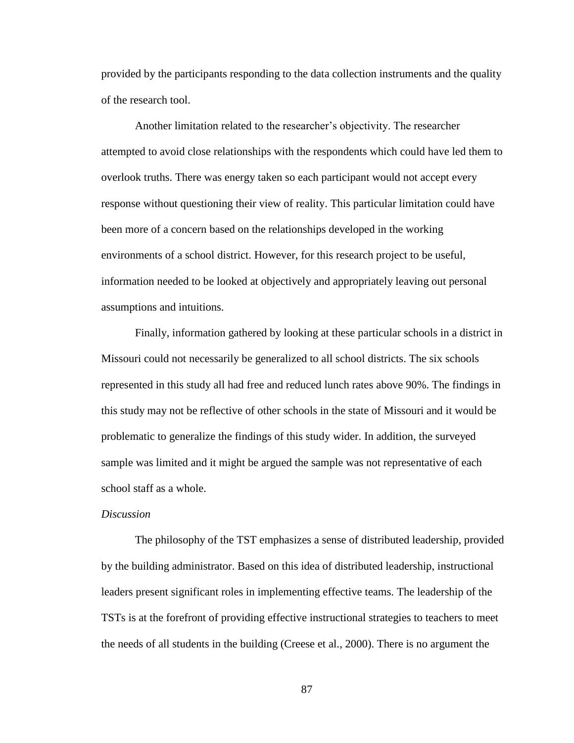provided by the participants responding to the data collection instruments and the quality of the research tool.

Another limitation related to the researcher's objectivity. The researcher attempted to avoid close relationships with the respondents which could have led them to overlook truths. There was energy taken so each participant would not accept every response without questioning their view of reality. This particular limitation could have been more of a concern based on the relationships developed in the working environments of a school district. However, for this research project to be useful, information needed to be looked at objectively and appropriately leaving out personal assumptions and intuitions.

Finally, information gathered by looking at these particular schools in a district in Missouri could not necessarily be generalized to all school districts. The six schools represented in this study all had free and reduced lunch rates above 90%. The findings in this study may not be reflective of other schools in the state of Missouri and it would be problematic to generalize the findings of this study wider. In addition, the surveyed sample was limited and it might be argued the sample was not representative of each school staff as a whole.

### *Discussion*

The philosophy of the TST emphasizes a sense of distributed leadership, provided by the building administrator. Based on this idea of distributed leadership, instructional leaders present significant roles in implementing effective teams. The leadership of the TSTs is at the forefront of providing effective instructional strategies to teachers to meet the needs of all students in the building (Creese et al., 2000). There is no argument the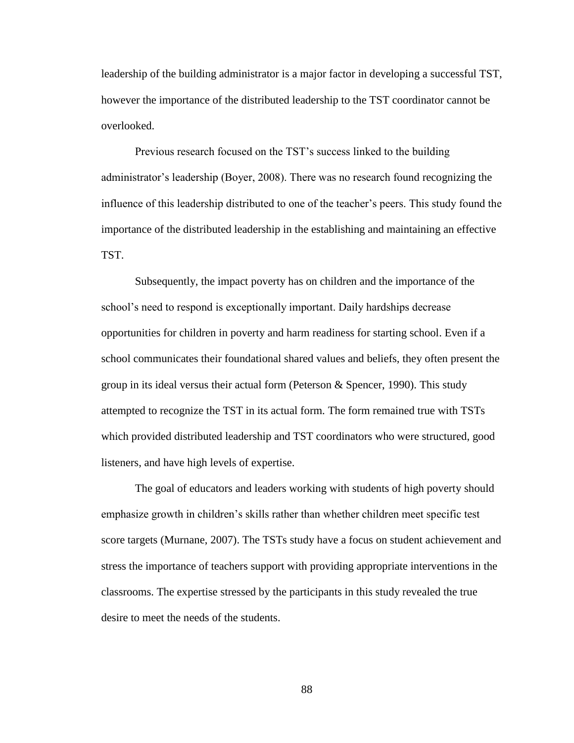leadership of the building administrator is a major factor in developing a successful TST, however the importance of the distributed leadership to the TST coordinator cannot be overlooked.

Previous research focused on the TST"s success linked to the building administrator"s leadership (Boyer, 2008). There was no research found recognizing the influence of this leadership distributed to one of the teacher"s peers. This study found the importance of the distributed leadership in the establishing and maintaining an effective TST.

Subsequently, the impact poverty has on children and the importance of the school"s need to respond is exceptionally important. Daily hardships decrease opportunities for children in poverty and harm readiness for starting school. Even if a school communicates their foundational shared values and beliefs, they often present the group in its ideal versus their actual form (Peterson & Spencer, 1990). This study attempted to recognize the TST in its actual form. The form remained true with TSTs which provided distributed leadership and TST coordinators who were structured, good listeners, and have high levels of expertise.

The goal of educators and leaders working with students of high poverty should emphasize growth in children"s skills rather than whether children meet specific test score targets (Murnane, 2007). The TSTs study have a focus on student achievement and stress the importance of teachers support with providing appropriate interventions in the classrooms. The expertise stressed by the participants in this study revealed the true desire to meet the needs of the students.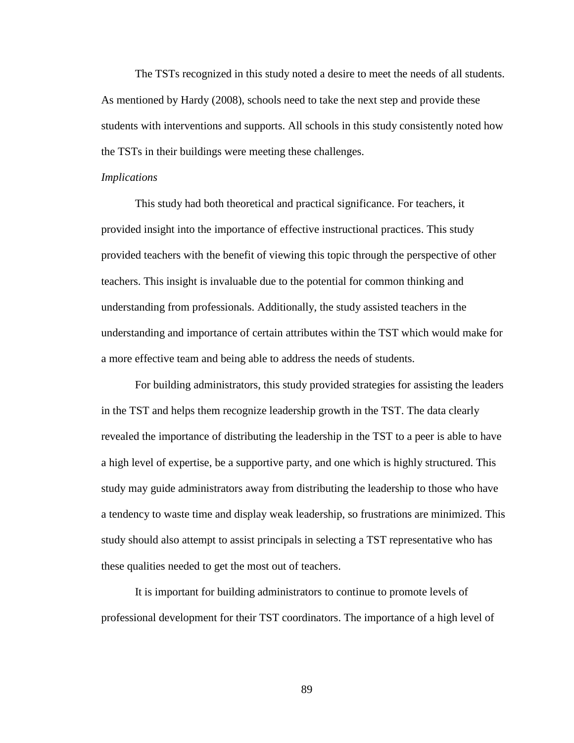The TSTs recognized in this study noted a desire to meet the needs of all students. As mentioned by Hardy (2008), schools need to take the next step and provide these students with interventions and supports. All schools in this study consistently noted how the TSTs in their buildings were meeting these challenges.

#### *Implications*

This study had both theoretical and practical significance. For teachers, it provided insight into the importance of effective instructional practices. This study provided teachers with the benefit of viewing this topic through the perspective of other teachers. This insight is invaluable due to the potential for common thinking and understanding from professionals. Additionally, the study assisted teachers in the understanding and importance of certain attributes within the TST which would make for a more effective team and being able to address the needs of students.

For building administrators, this study provided strategies for assisting the leaders in the TST and helps them recognize leadership growth in the TST. The data clearly revealed the importance of distributing the leadership in the TST to a peer is able to have a high level of expertise, be a supportive party, and one which is highly structured. This study may guide administrators away from distributing the leadership to those who have a tendency to waste time and display weak leadership, so frustrations are minimized. This study should also attempt to assist principals in selecting a TST representative who has these qualities needed to get the most out of teachers.

It is important for building administrators to continue to promote levels of professional development for their TST coordinators. The importance of a high level of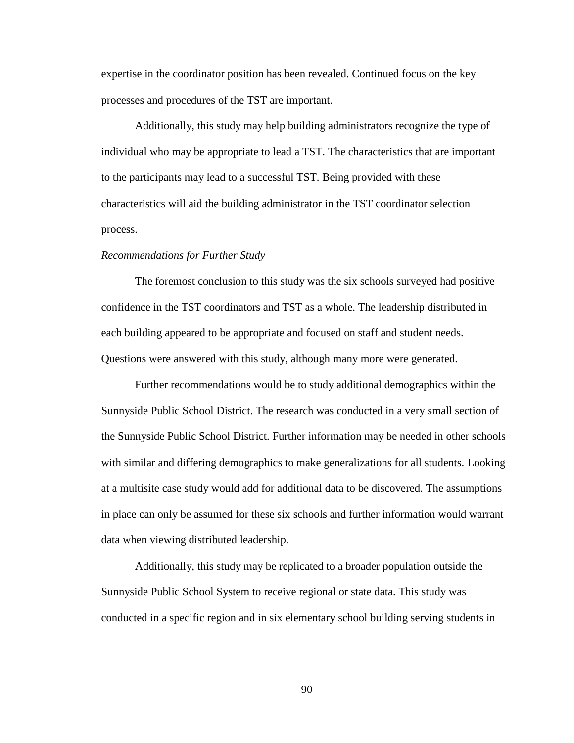expertise in the coordinator position has been revealed. Continued focus on the key processes and procedures of the TST are important.

Additionally, this study may help building administrators recognize the type of individual who may be appropriate to lead a TST. The characteristics that are important to the participants may lead to a successful TST. Being provided with these characteristics will aid the building administrator in the TST coordinator selection process.

#### *Recommendations for Further Study*

The foremost conclusion to this study was the six schools surveyed had positive confidence in the TST coordinators and TST as a whole. The leadership distributed in each building appeared to be appropriate and focused on staff and student needs. Questions were answered with this study, although many more were generated.

Further recommendations would be to study additional demographics within the Sunnyside Public School District. The research was conducted in a very small section of the Sunnyside Public School District. Further information may be needed in other schools with similar and differing demographics to make generalizations for all students. Looking at a multisite case study would add for additional data to be discovered. The assumptions in place can only be assumed for these six schools and further information would warrant data when viewing distributed leadership.

Additionally, this study may be replicated to a broader population outside the Sunnyside Public School System to receive regional or state data. This study was conducted in a specific region and in six elementary school building serving students in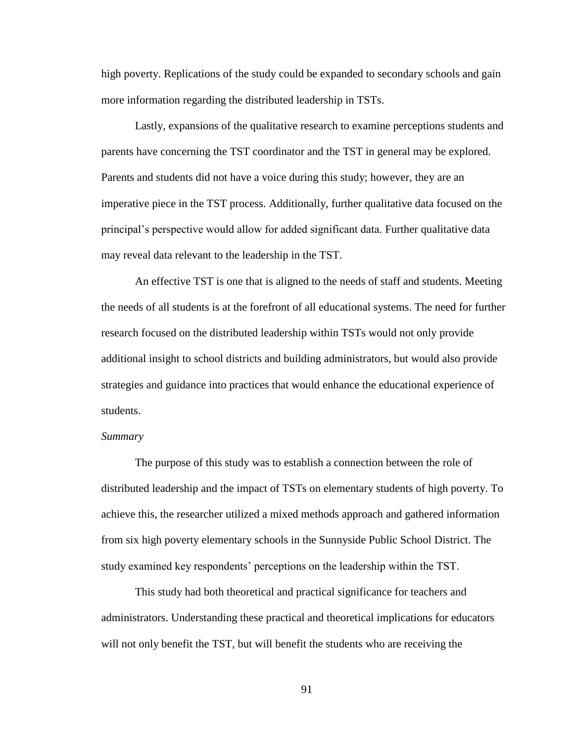high poverty. Replications of the study could be expanded to secondary schools and gain more information regarding the distributed leadership in TSTs.

Lastly, expansions of the qualitative research to examine perceptions students and parents have concerning the TST coordinator and the TST in general may be explored. Parents and students did not have a voice during this study; however, they are an imperative piece in the TST process. Additionally, further qualitative data focused on the principal"s perspective would allow for added significant data. Further qualitative data may reveal data relevant to the leadership in the TST.

An effective TST is one that is aligned to the needs of staff and students. Meeting the needs of all students is at the forefront of all educational systems. The need for further research focused on the distributed leadership within TSTs would not only provide additional insight to school districts and building administrators, but would also provide strategies and guidance into practices that would enhance the educational experience of students.

### *Summary*

The purpose of this study was to establish a connection between the role of distributed leadership and the impact of TSTs on elementary students of high poverty. To achieve this, the researcher utilized a mixed methods approach and gathered information from six high poverty elementary schools in the Sunnyside Public School District. The study examined key respondents" perceptions on the leadership within the TST.

This study had both theoretical and practical significance for teachers and administrators. Understanding these practical and theoretical implications for educators will not only benefit the TST, but will benefit the students who are receiving the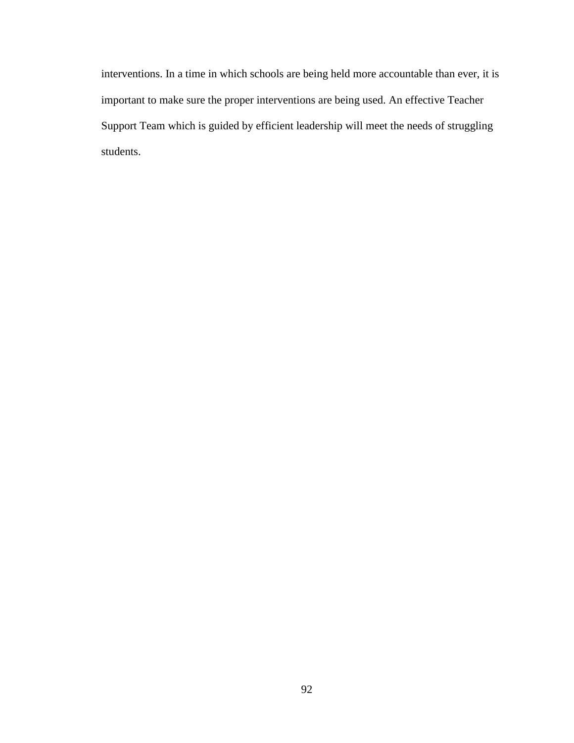interventions. In a time in which schools are being held more accountable than ever, it is important to make sure the proper interventions are being used. An effective Teacher Support Team which is guided by efficient leadership will meet the needs of struggling students.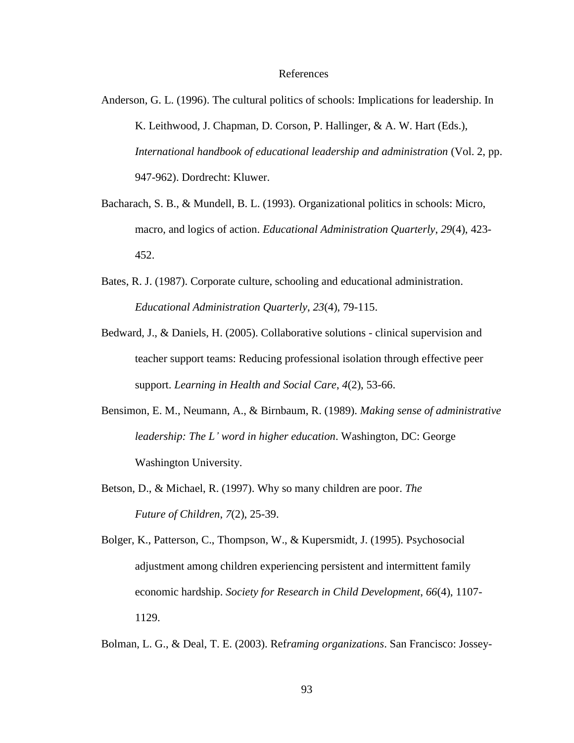#### References

- Anderson, G. L. (1996). The cultural politics of schools: Implications for leadership. In K. Leithwood, J. Chapman, D. Corson, P. Hallinger, & A. W. Hart (Eds.), *International handbook of educational leadership and administration* (Vol. 2, pp. 947-962). Dordrecht: Kluwer.
- Bacharach, S. B., & Mundell, B. L. (1993). Organizational politics in schools: Micro, macro, and logics of action. *Educational Administration Quarterly*, *29*(4), 423- 452.
- Bates, R. J. (1987). Corporate culture, schooling and educational administration. *Educational Administration Quarterly*, *23*(4), 79-115.
- Bedward, J., & Daniels, H. (2005). Collaborative solutions clinical supervision and teacher support teams: Reducing professional isolation through effective peer support. *Learning in Health and Social Care*, *4*(2), 53-66.
- Bensimon, E. M., Neumann, A., & Birnbaum, R. (1989). *Making sense of administrative leadership: The L' word in higher education*. Washington, DC: George Washington University.
- Betson, D., & Michael, R. (1997). Why so many children are poor. *The Future of Children*, *7*(2), 25-39.

Bolger, K., Patterson, C., Thompson, W., & Kupersmidt, J. (1995). Psychosocial adjustment among children experiencing persistent and intermittent family economic hardship. *Society for Research in Child Development*, *66*(4), 1107- 1129.

Bolman, L. G., & Deal, T. E. (2003). Ref*raming organizations*. San Francisco: Jossey-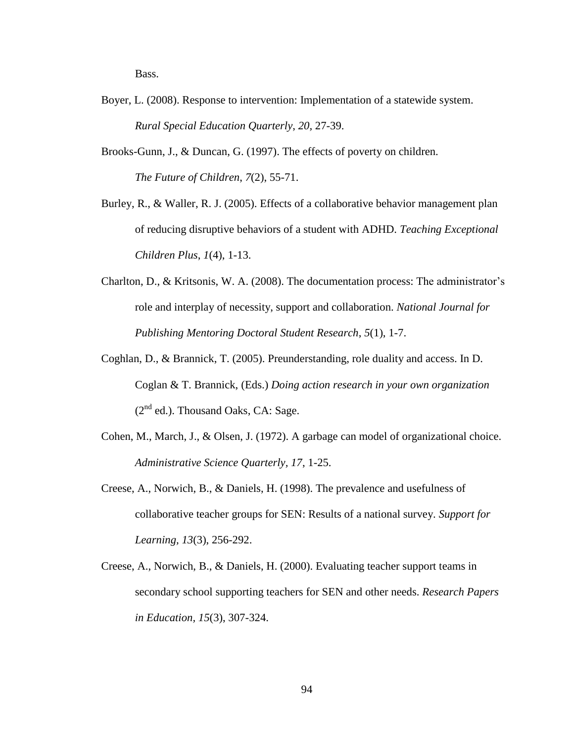Bass.

- Boyer, L. (2008). Response to intervention: Implementation of a statewide system. *Rural Special Education Quarterly*, *20,* 27-39.
- Brooks-Gunn, J., & Duncan, G. (1997). The effects of poverty on children. *The Future of Children*, *7*(2), 55-71.
- Burley, R., & Waller, R. J. (2005). Effects of a collaborative behavior management plan of reducing disruptive behaviors of a student with ADHD. *Teaching Exceptional Children Plus*, *1*(4), 1-13.
- Charlton, D., & Kritsonis, W. A. (2008). The documentation process: The administrator"s role and interplay of necessity, support and collaboration. *National Journal for Publishing Mentoring Doctoral Student Research*, *5*(1), 1-7.
- Coghlan, D., & Brannick, T. (2005). Preunderstanding, role duality and access. In D. Coglan & T. Brannick, (Eds.) *Doing action research in your own organization*  $(2^{nd}$  ed.). Thousand Oaks, CA: Sage.
- Cohen, M., March, J., & Olsen, J. (1972). A garbage can model of organizational choice. *Administrative Science Quarterly, 17*, 1-25.
- Creese, A., Norwich, B., & Daniels, H. (1998). The prevalence and usefulness of collaborative teacher groups for SEN: Results of a national survey. *Support for Learning, 13*(3), 256-292.
- Creese, A., Norwich, B., & Daniels, H. (2000). Evaluating teacher support teams in secondary school supporting teachers for SEN and other needs. *Research Papers in Education, 15*(3), 307-324.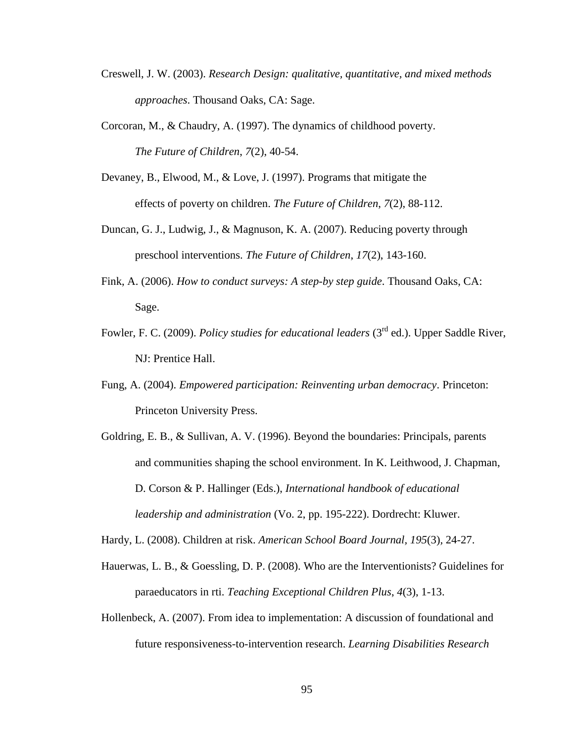- Creswell, J. W. (2003). *Research Design: qualitative, quantitative, and mixed methods approaches*. Thousand Oaks, CA: Sage.
- Corcoran, M., & Chaudry, A. (1997). The dynamics of childhood poverty. *The Future of Children*, *7*(2), 40-54.
- Devaney, B., Elwood, M., & Love, J. (1997). Programs that mitigate the effects of poverty on children. *The Future of Children*, *7*(2), 88-112.
- Duncan, G. J., Ludwig, J., & Magnuson, K. A. (2007). Reducing poverty through preschool interventions. *The Future of Children*, *17*(2), 143-160.
- Fink, A. (2006). *How to conduct surveys: A step-by step guide*. Thousand Oaks, CA: Sage.
- Fowler, F. C. (2009). *Policy studies for educational leaders* (3<sup>rd</sup> ed.). Upper Saddle River, NJ: Prentice Hall.
- Fung, A. (2004). *Empowered participation: Reinventing urban democracy*. Princeton: Princeton University Press.
- Goldring, E. B., & Sullivan, A. V. (1996). Beyond the boundaries: Principals, parents and communities shaping the school environment. In K. Leithwood, J. Chapman, D. Corson & P. Hallinger (Eds.), *International handbook of educational leadership and administration* (Vo. 2, pp. 195-222). Dordrecht: Kluwer.
- Hardy, L. (2008). Children at risk. *American School Board Journal, 195*(3)*,* 24-27.
- Hauerwas, L. B., & Goessling, D. P. (2008). Who are the Interventionists? Guidelines for paraeducators in rti. *Teaching Exceptional Children Plus*, *4*(3), 1-13.
- Hollenbeck, A. (2007). From idea to implementation: A discussion of foundational and future responsiveness-to-intervention research. *Learning Disabilities Research*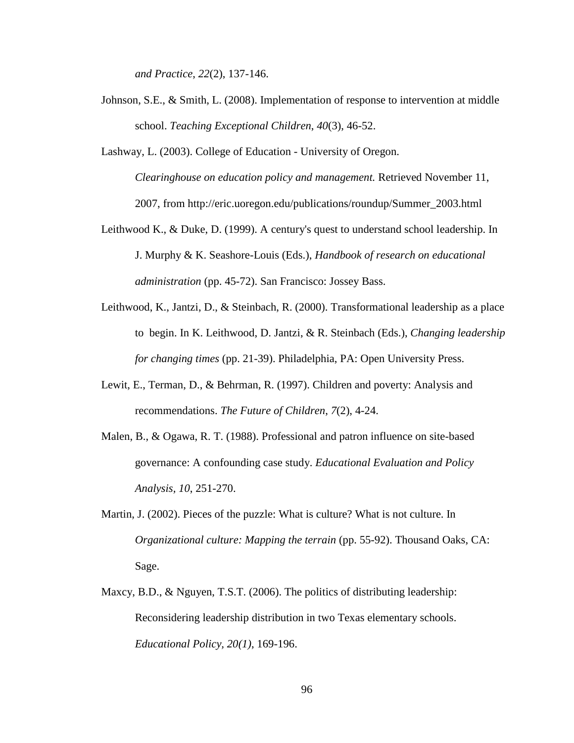*and Practice*, *22*(2), 137-146.

- Johnson, S.E., & Smith, L. (2008). Implementation of response to intervention at middle school. *Teaching Exceptional Children*, *40*(3), 46-52.
- Lashway, L. (2003). College of Education University of Oregon. *Clearinghouse on education policy and management.* Retrieved November 11, 2007, from [http://eric.uoregon.edu/publications/roundup/Summer\\_2003.html](http://eric.uoregon.edu/publications/roundup/Summer_2003.html)
- Leithwood K., & Duke, D. (1999). A century's quest to understand school leadership. In J. Murphy & K. Seashore-Louis (Eds.), *Handbook of research on educational administration* (pp. 45-72). San Francisco: Jossey Bass.
- Leithwood, K., Jantzi, D., & Steinbach, R. (2000). Transformational leadership as a place to begin. In K. Leithwood, D. Jantzi, & R. Steinbach (Eds.), *Changing leadership for changing times* (pp. 21-39). Philadelphia, PA: Open University Press.
- Lewit, E., Terman, D., & Behrman, R. (1997). Children and poverty: Analysis and recommendations. *The Future of Children*, *7*(2), 4-24.
- Malen, B., & Ogawa, R. T. (1988). Professional and patron influence on site-based governance: A confounding case study. *Educational Evaluation and Policy Analysis, 10*, 251-270.
- Martin, J. (2002). Pieces of the puzzle: What is culture? What is not culture. In *Organizational culture: Mapping the terrain* (pp. 55-92). Thousand Oaks, CA: Sage.
- Maxcy, B.D., & Nguyen, T.S.T. (2006). The politics of distributing leadership: Reconsidering leadership distribution in two Texas elementary schools. *Educational Policy, 20(1)*, 169-196.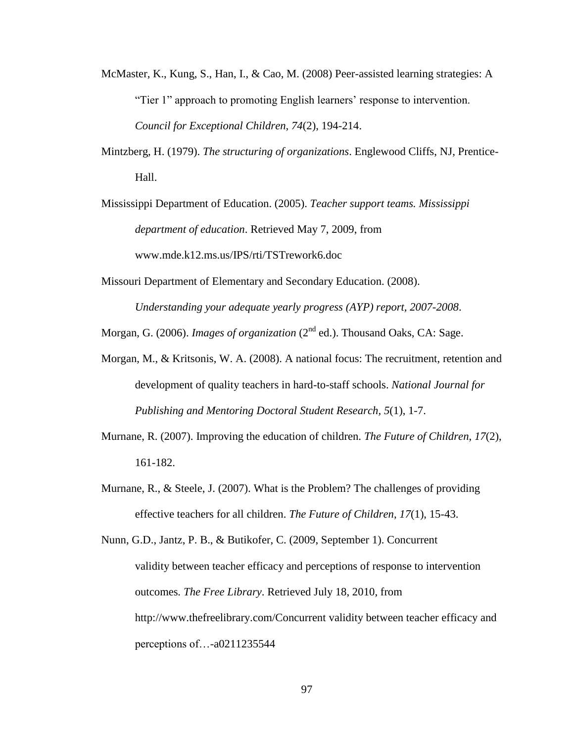- McMaster, K., Kung, S., Han, I., & Cao, M. (2008) Peer-assisted learning strategies: A "Tier 1" approach to promoting English learners' response to intervention. *Council for Exceptional Children, 74*(2), 194-214.
- Mintzberg, H. (1979). *The structuring of organizations*. Englewood Cliffs, NJ, Prentice-Hall.

Mississippi Department of Education. (2005). *Teacher support teams. Mississippi department of education*. Retrieved May 7, 2009, from [www.mde.k12.ms.us/IPS/rti/TSTrework6.doc](http://www.mde.k12.ms.us/IPS/rti/TSTrework6.doc)

Missouri Department of Elementary and Secondary Education. (2008). *Understanding your adequate yearly progress (AYP) report, 2007-2008*.

Morgan, G. (2006). *Images of organization* (2<sup>nd</sup> ed.). Thousand Oaks, CA: Sage.

- Morgan, M., & Kritsonis, W. A. (2008). A national focus: The recruitment, retention and development of quality teachers in hard-to-staff schools. *National Journal for Publishing and Mentoring Doctoral Student Research, 5*(1), 1-7.
- Murnane, R. (2007). Improving the education of children. *The Future of Children*, *17*(2), 161-182.
- Murnane, R., & Steele, J. (2007). What is the Problem? The challenges of providing effective teachers for all children. *The Future of Children*, *17*(1), 15-43.

Nunn, G.D., Jantz, P. B., & Butikofer, C. (2009, September 1). Concurrent validity between teacher efficacy and perceptions of response to intervention outcomes*. The Free Library*. Retrieved July 18, 2010, from <http://www.thefreelibrary.com/Concurrent> validity between teacher efficacy and perceptions of…-a0211235544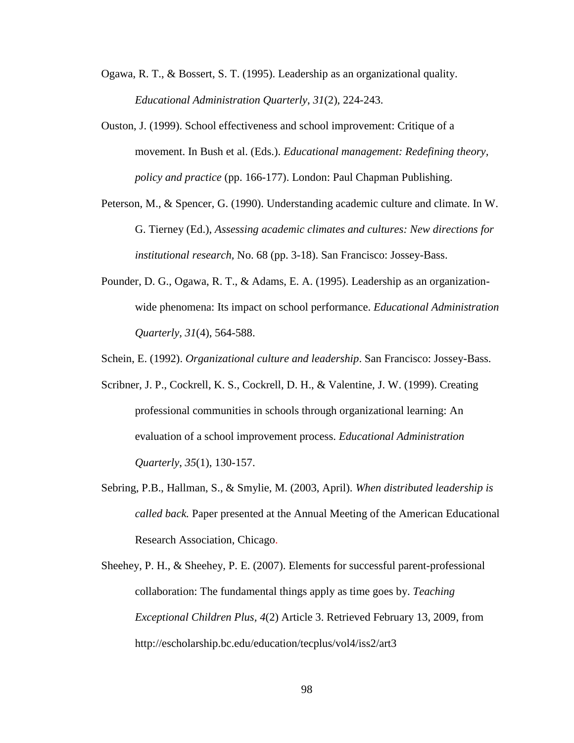- Ogawa, R. T., & Bossert, S. T. (1995). Leadership as an organizational quality. *Educational Administration Quarterly*, *31*(2), 224-243.
- Ouston, J. (1999). School effectiveness and school improvement: Critique of a movement. In Bush et al. (Eds.). *Educational management: Redefining theory, policy and practice* (pp. 166-177). London: Paul Chapman Publishing.
- Peterson, M., & Spencer, G. (1990). Understanding academic culture and climate. In W. G. Tierney (Ed.), *Assessing academic climates and cultures: New directions for institutional research,* No. 68 (pp. 3-18). San Francisco: Jossey-Bass.
- Pounder, D. G., Ogawa, R. T., & Adams, E. A. (1995). Leadership as an organizationwide phenomena: Its impact on school performance. *Educational Administration Quarterly, 31*(4), 564-588.
- Schein, E. (1992). *Organizational culture and leadership*. San Francisco: Jossey-Bass.
- Scribner, J. P., Cockrell, K. S., Cockrell, D. H., & Valentine, J. W. (1999). Creating professional communities in schools through organizational learning: An evaluation of a school improvement process. *Educational Administration Quarterly*, *35*(1), 130-157.
- Sebring, P.B., Hallman, S., & Smylie, M. (2003, April). *When distributed leadership is called back.* Paper presented at the Annual Meeting of the American Educational Research Association, Chicago.
- Sheehey, P. H., & Sheehey, P. E. (2007). Elements for successful parent-professional collaboration: The fundamental things apply as time goes by. *Teaching Exceptional Children Plus, 4*(2) Article 3. Retrieved February 13, 2009, from <http://escholarship.bc.edu/education/tecplus/vol4/iss2/art3>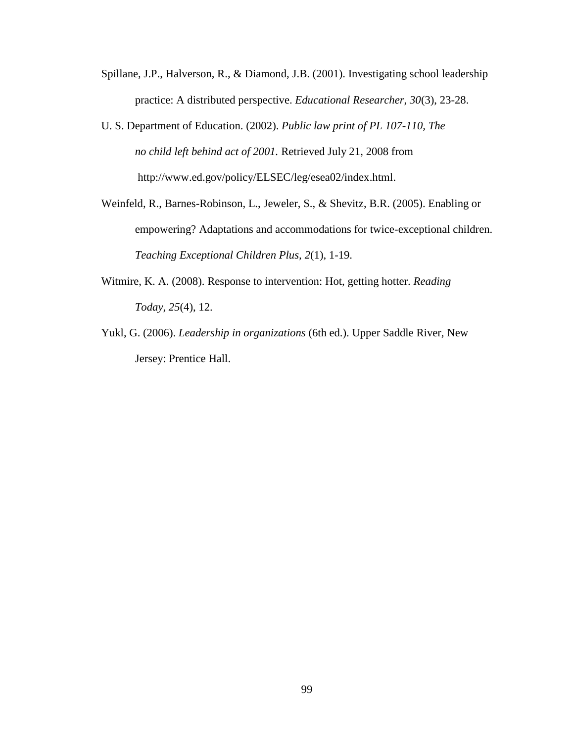- Spillane, J.P., Halverson, R., & Diamond, J.B. (2001). Investigating school leadership practice: A distributed perspective. *Educational Researcher*, *30*(3), 23-28.
- U. S. Department of Education. (2002). *Public law print of PL 107-110, The no child left behind act of 2001.* Retrieved July 21, 2008 from [http://www.ed.gov/policy/ELSEC/leg/esea02/index.html.](http://www.ed.gov/policy/ELSEC/leg/esea02/index.html)
- Weinfeld, R., Barnes-Robinson, L., Jeweler, S., & Shevitz, B.R. (2005). Enabling or empowering? Adaptations and accommodations for twice-exceptional children. *Teaching Exceptional Children Plus, 2*(1), 1-19.
- Witmire, K. A. (2008). Response to intervention: Hot, getting hotter. *Reading Today*, *25*(4), 12.
- Yukl, G. (2006). *Leadership in organizations* (6th ed.). Upper Saddle River, New Jersey: Prentice Hall.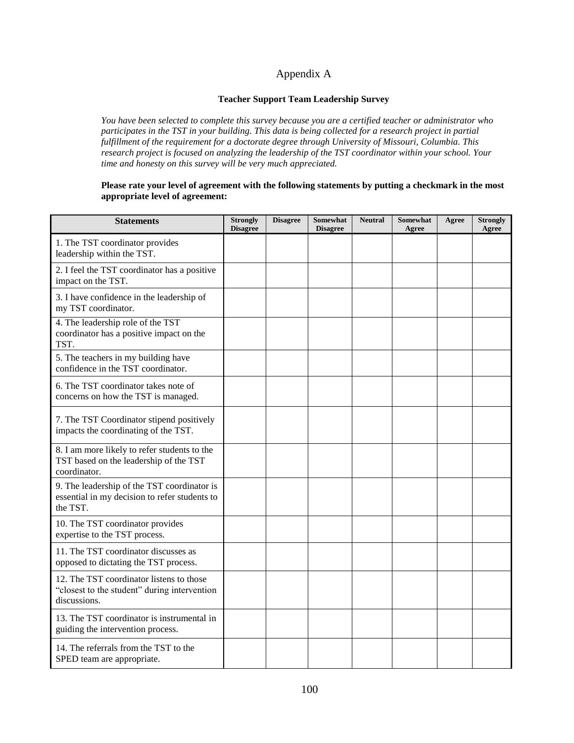# Appendix A

### **Teacher Support Team Leadership Survey**

*You have been selected to complete this survey because you are a certified teacher or administrator who participates in the TST in your building. This data is being collected for a research project in partial fulfillment of the requirement for a doctorate degree through University of Missouri, Columbia. This research project is focused on analyzing the leadership of the TST coordinator within your school. Your time and honesty on this survey will be very much appreciated.*

### **Please rate your level of agreement with the following statements by putting a checkmark in the most appropriate level of agreement:**

| <b>Statements</b>                                                                                        | <b>Strongly</b><br><b>Disagree</b> | <b>Disagree</b> | <b>Somewhat</b><br><b>Disagree</b> | <b>Neutral</b> | <b>Somewhat</b><br>Agree | Agree | <b>Strongly</b><br>Agree |
|----------------------------------------------------------------------------------------------------------|------------------------------------|-----------------|------------------------------------|----------------|--------------------------|-------|--------------------------|
| 1. The TST coordinator provides<br>leadership within the TST.                                            |                                    |                 |                                    |                |                          |       |                          |
| 2. I feel the TST coordinator has a positive<br>impact on the TST.                                       |                                    |                 |                                    |                |                          |       |                          |
| 3. I have confidence in the leadership of<br>my TST coordinator.                                         |                                    |                 |                                    |                |                          |       |                          |
| 4. The leadership role of the TST<br>coordinator has a positive impact on the<br>TST.                    |                                    |                 |                                    |                |                          |       |                          |
| 5. The teachers in my building have<br>confidence in the TST coordinator.                                |                                    |                 |                                    |                |                          |       |                          |
| 6. The TST coordinator takes note of<br>concerns on how the TST is managed.                              |                                    |                 |                                    |                |                          |       |                          |
| 7. The TST Coordinator stipend positively<br>impacts the coordinating of the TST.                        |                                    |                 |                                    |                |                          |       |                          |
| 8. I am more likely to refer students to the<br>TST based on the leadership of the TST<br>coordinator.   |                                    |                 |                                    |                |                          |       |                          |
| 9. The leadership of the TST coordinator is<br>essential in my decision to refer students to<br>the TST. |                                    |                 |                                    |                |                          |       |                          |
| 10. The TST coordinator provides<br>expertise to the TST process.                                        |                                    |                 |                                    |                |                          |       |                          |
| 11. The TST coordinator discusses as<br>opposed to dictating the TST process.                            |                                    |                 |                                    |                |                          |       |                          |
| 12. The TST coordinator listens to those<br>"closest to the student" during intervention<br>discussions. |                                    |                 |                                    |                |                          |       |                          |
| 13. The TST coordinator is instrumental in<br>guiding the intervention process.                          |                                    |                 |                                    |                |                          |       |                          |
| 14. The referrals from the TST to the<br>SPED team are appropriate.                                      |                                    |                 |                                    |                |                          |       |                          |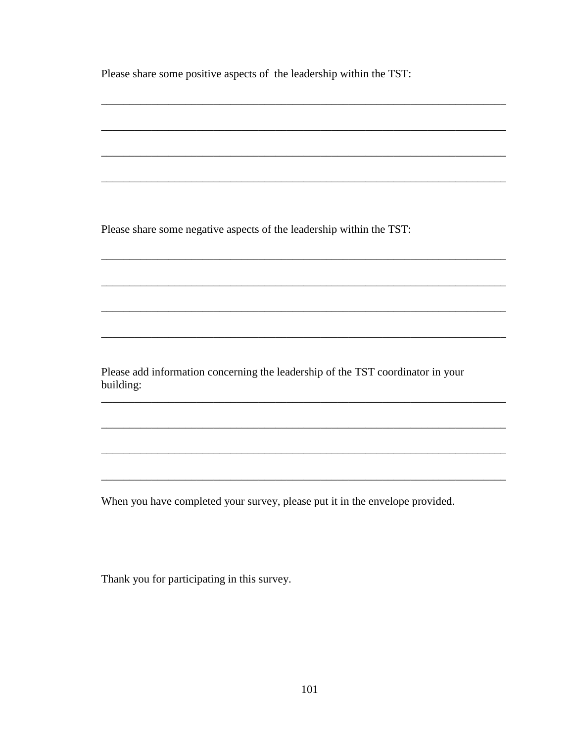Please share some positive aspects of the leadership within the TST:

Please share some negative aspects of the leadership within the TST:

Please add information concerning the leadership of the TST coordinator in your building:

When you have completed your survey, please put it in the envelope provided.

Thank you for participating in this survey.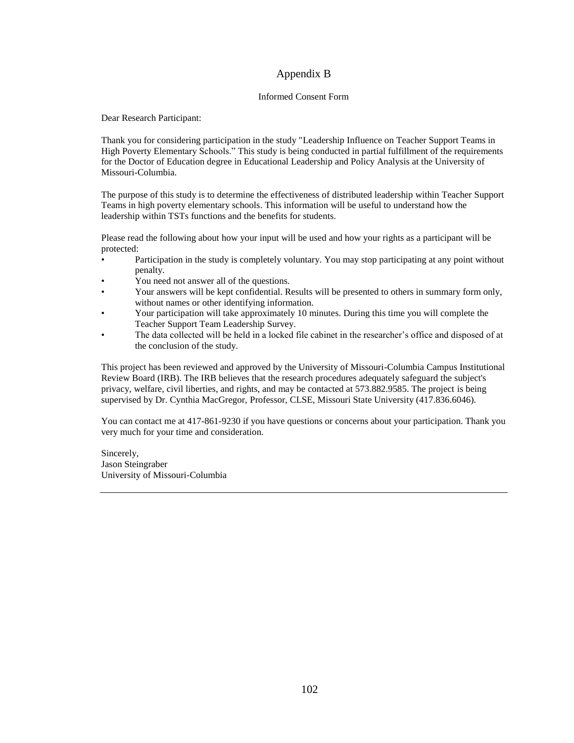## Appendix B

#### Informed Consent Form

Dear Research Participant:

Thank you for considering participation in the study "Leadership Influence on Teacher Support Teams in High Poverty Elementary Schools." This study is being conducted in partial fulfillment of the requirements for the Doctor of Education degree in Educational Leadership and Policy Analysis at the University of Missouri-Columbia.

The purpose of this study is to determine the effectiveness of distributed leadership within Teacher Support Teams in high poverty elementary schools. This information will be useful to understand how the leadership within TSTs functions and the benefits for students.

Please read the following about how your input will be used and how your rights as a participant will be protected:

- Participation in the study is completely voluntary. You may stop participating at any point without penalty.
- You need not answer all of the questions.
- Your answers will be kept confidential. Results will be presented to others in summary form only, without names or other identifying information.
- Your participation will take approximately 10 minutes. During this time you will complete the Teacher Support Team Leadership Survey.
- The data collected will be held in a locked file cabinet in the researcher's office and disposed of at the conclusion of the study.

This project has been reviewed and approved by the University of Missouri-Columbia Campus Institutional Review Board (IRB). The IRB believes that the research procedures adequately safeguard the subject's privacy, welfare, civil liberties, and rights, and may be contacted at 573.882.9585. The project is being supervised by Dr. Cynthia MacGregor, Professor, CLSE, Missouri State University (417.836.6046).

You can contact me at 417-861-9230 if you have questions or concerns about your participation. Thank you very much for your time and consideration.

Sincerely, Jason Steingraber University of Missouri-Columbia